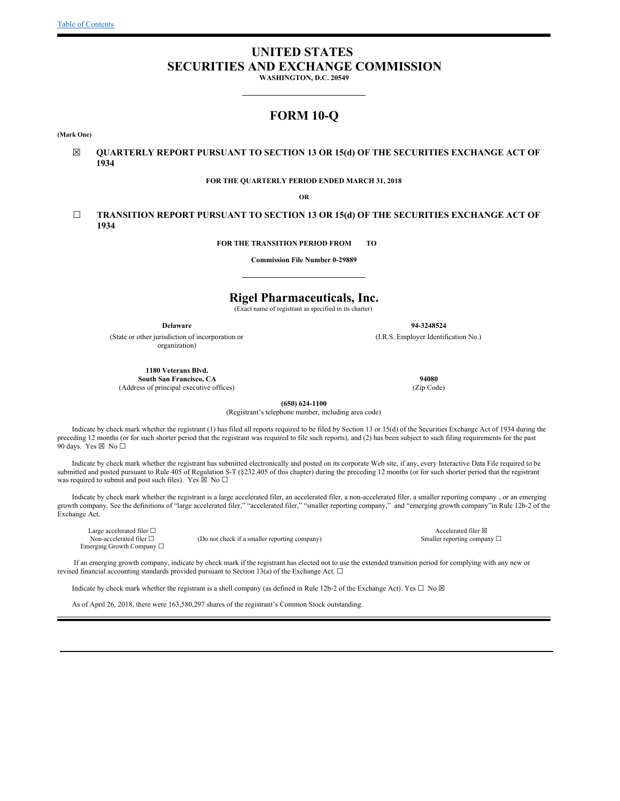# **UNITED STATES SECURITIES AND EXCHANGE COMMISSION**

**WASHINGTON, D.C. 20549**

# **FORM 10-Q**

**(Mark One)**

# **☒ QUARTERLY REPORT PURSUANT TO SECTION 13 OR 15(d) OF THE SECURITIES EXCHANGE ACT OF 1934**

#### **FOR THE QUARTERLY PERIOD ENDED MARCH 31, 2018**

**OR**

# **☐ TRANSITION REPORT PURSUANT TO SECTION 13 OR 15(d) OF THE SECURITIES EXCHANGE ACT OF 1934**

**FOR THE TRANSITION PERIOD FROM TO**

**Commission File Number 0-29889**

# **Rigel Pharmaceuticals, Inc.**

(Exact name of registrant as specified in its charter)

**Delaware 94-3248524**

(State or other jurisdiction of incorporation or (I.R.S. Employer Identification No.)

organization)

**1180 Veterans Blvd. South San Francisco, CA 94080**

(Address of principal executive offices) (Zip Code)

**(650) 624-1100**

(Registrant's telephone number, including area code)

Indicate by check mark whether the registrant (1) has filed all reports required to be filed by Section 13 or 15(d) of the Securities Exchange Act of 1934 during the preceding 12 months (or for such shorter period that the registrant was required to file such reports), and (2) has been subject to such filing requirements for the past 90 days. Yes  $\boxtimes$  No  $\Box$ 

Indicate by check mark whether the registrant has submitted electronically and posted on its corporate Web site, if any, every Interactive Data File required to be submitted and posted pursuant to Rule 405 of Regulation S-T (§232.405 of this chapter) during the preceding 12 months (or for such shorter period that the registrant was required to submit and post such files). Yes  $\boxtimes$  No  $\Box$ 

Indicate by check mark whether the registrant is a large accelerated filer, an accelerated filer, a non-accelerated filer, a smaller reporting company , or an emerging growth company. See the definitions of "large accelerated filer," "accelerated filer," "smaller reporting company," and "emerging growth company"in Rule 12b-2 of the Exchange Act.

Large accelerated filer □<br>
Non-accelerated filer □<br>
(Do not check if a smaller reporting company) Banaller reporting company □<br>
Smaller reporting company □ Emerging Growth Company  $\Box$ 

(Do not check if a smaller reporting company)

If an emerging growth company, indicate by check mark if the registrant has elected not to use the extended transition period for complying with any new or revised financial accounting standards provided pursuant to Section 13(a) of the Exchange Act.  $\Box$ 

Indicate by check mark whether the registrant is a shell company (as defined in Rule 12b-2 of the Exchange Act). Yes  $\Box$  No  $\boxtimes$ 

As of April 26, 2018, there were 163,580,297 shares of the registrant's Common Stock outstanding.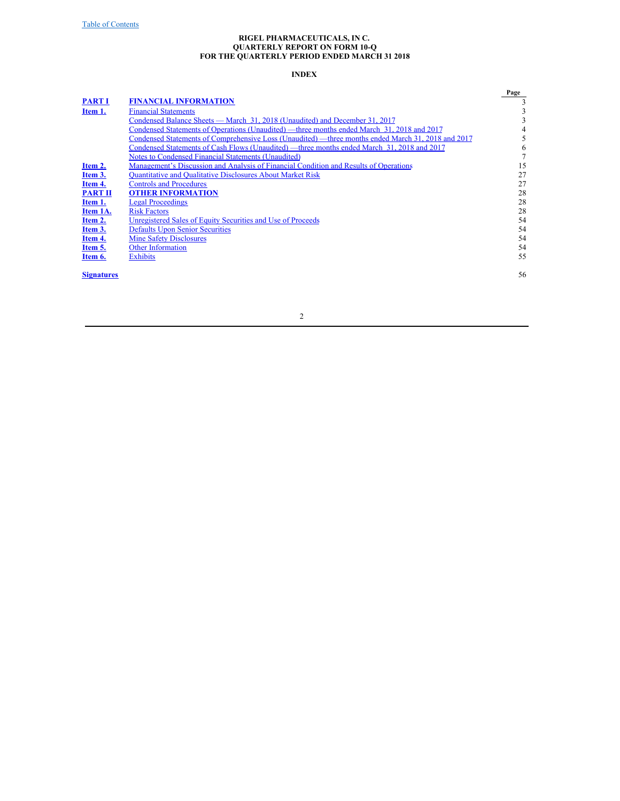## **RIGEL PHARMACEUTICALS, IN C. QUARTERLY REPORT ON FORM 10-Q FOR THE QUARTERLY PERIOD ENDED MARCH 31 2018**

# **INDEX**

|                   |                                                                                                    | Page |
|-------------------|----------------------------------------------------------------------------------------------------|------|
| <b>PART I</b>     | <b>FINANCIAL INFORMATION</b>                                                                       | 3    |
| Item 1.           | <b>Financial Statements</b>                                                                        | 3    |
|                   | Condensed Balance Sheets — March 31, 2018 (Unaudited) and December 31, 2017                        | 3    |
|                   | Condensed Statements of Operations (Unaudited) —three months ended March 31, 2018 and 2017         | 4    |
|                   | Condensed Statements of Comprehensive Loss (Unaudited) —three months ended March 31, 2018 and 2017 | 5    |
|                   | Condensed Statements of Cash Flows (Unaudited) —three months ended March 31, 2018 and 2017         | 6    |
|                   | Notes to Condensed Financial Statements (Unaudited)                                                | 7    |
| Item 2.           | Management's Discussion and Analysis of Financial Condition and Results of Operations              | 15   |
| Item 3.           | <b>Quantitative and Qualitative Disclosures About Market Risk</b>                                  | 27   |
| Item 4.           | <b>Controls and Procedures</b>                                                                     | 27   |
| <b>PART II</b>    | <b>OTHER INFORMATION</b>                                                                           | 28   |
| Item 1.           | <b>Legal Proceedings</b>                                                                           | 28   |
| Item 1A.          | <b>Risk Factors</b>                                                                                | 28   |
| Item 2.           | Unregistered Sales of Equity Securities and Use of Proceeds                                        | 54   |
| Item 3.           | <b>Defaults Upon Senior Securities</b>                                                             | 54   |
| Item 4.           | <b>Mine Safety Disclosures</b>                                                                     | 54   |
| Item 5.           | <b>Other Information</b>                                                                           | 54   |
| Item 6.           | <b>Exhibits</b>                                                                                    | 55   |
| <b>Signatures</b> |                                                                                                    | 56   |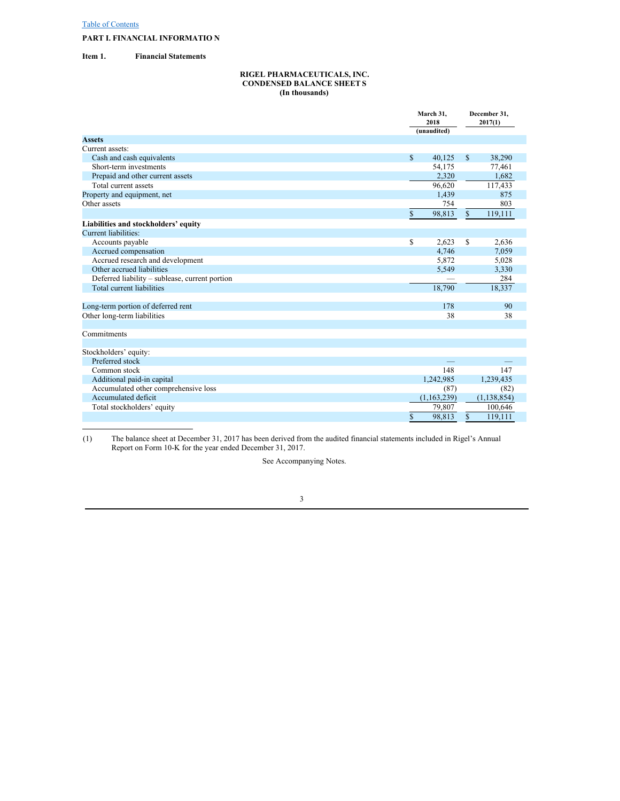# **PART I. FINANCIAL INFORMATIO N**

# **Item 1. Financial Statements**

## <span id="page-2-2"></span><span id="page-2-1"></span><span id="page-2-0"></span>**RIGEL PHARMACEUTICALS, INC. CONDENSED BALANCE SHEET S (In thousands)**

|                                                |                    | March 31,<br>2018<br>(unaudited) |              |               |  |  |  |  |  | December 31,<br>2017(1) |
|------------------------------------------------|--------------------|----------------------------------|--------------|---------------|--|--|--|--|--|-------------------------|
| <b>Assets</b>                                  |                    |                                  |              |               |  |  |  |  |  |                         |
| Current assets:                                |                    |                                  |              |               |  |  |  |  |  |                         |
| Cash and cash equivalents                      | $\mathbb{S}$       | 40.125                           | $\mathbb{S}$ | 38,290        |  |  |  |  |  |                         |
| Short-term investments                         |                    | 54,175                           |              | 77,461        |  |  |  |  |  |                         |
| Prepaid and other current assets               |                    | 2,320                            |              | 1,682         |  |  |  |  |  |                         |
| Total current assets                           |                    | 96,620                           |              | 117,433       |  |  |  |  |  |                         |
| Property and equipment, net                    |                    | 1,439                            |              | 875           |  |  |  |  |  |                         |
| Other assets                                   |                    | 754                              |              | 803           |  |  |  |  |  |                         |
|                                                | $\mathbb{S}$       | 98,813                           | $\mathbb{S}$ | 119,111       |  |  |  |  |  |                         |
| Liabilities and stockholders' equity           |                    |                                  |              |               |  |  |  |  |  |                         |
| Current liabilities:                           |                    |                                  |              |               |  |  |  |  |  |                         |
| Accounts payable                               | S                  | 2,623                            | \$           | 2,636         |  |  |  |  |  |                         |
| Accrued compensation                           |                    | 4,746                            |              | 7,059         |  |  |  |  |  |                         |
| Accrued research and development               |                    | 5,872                            |              | 5,028         |  |  |  |  |  |                         |
| Other accrued liabilities                      |                    | 5,549                            |              | 3,330         |  |  |  |  |  |                         |
| Deferred liability – sublease, current portion |                    |                                  |              | 284           |  |  |  |  |  |                         |
| Total current liabilities                      |                    | 18,790                           |              | 18,337        |  |  |  |  |  |                         |
|                                                |                    |                                  |              |               |  |  |  |  |  |                         |
| Long-term portion of deferred rent             |                    | 178                              |              | 90            |  |  |  |  |  |                         |
| Other long-term liabilities                    |                    | 38                               |              | 38            |  |  |  |  |  |                         |
|                                                |                    |                                  |              |               |  |  |  |  |  |                         |
| Commitments                                    |                    |                                  |              |               |  |  |  |  |  |                         |
|                                                |                    |                                  |              |               |  |  |  |  |  |                         |
| Stockholders' equity:                          |                    |                                  |              |               |  |  |  |  |  |                         |
| Preferred stock                                |                    |                                  |              |               |  |  |  |  |  |                         |
| Common stock                                   |                    | 148                              |              | 147           |  |  |  |  |  |                         |
| Additional paid-in capital                     |                    | 1,242,985                        |              | 1,239,435     |  |  |  |  |  |                         |
| Accumulated other comprehensive loss           |                    | (87)                             |              | (82)          |  |  |  |  |  |                         |
| Accumulated deficit                            |                    | (1,163,239)                      |              | (1, 138, 854) |  |  |  |  |  |                         |
| Total stockholders' equity                     |                    | 79,807                           |              | 100,646       |  |  |  |  |  |                         |
|                                                | $\mathbf{\hat{s}}$ | 98.813                           | $\mathbf{s}$ | 119,111       |  |  |  |  |  |                         |

(1) The balance sheet at December 31, 2017 has been derived from the audited financial statements included in Rigel's Annual Report on Form 10-K for the year ended December 31, 2017.

See Accompanying Notes.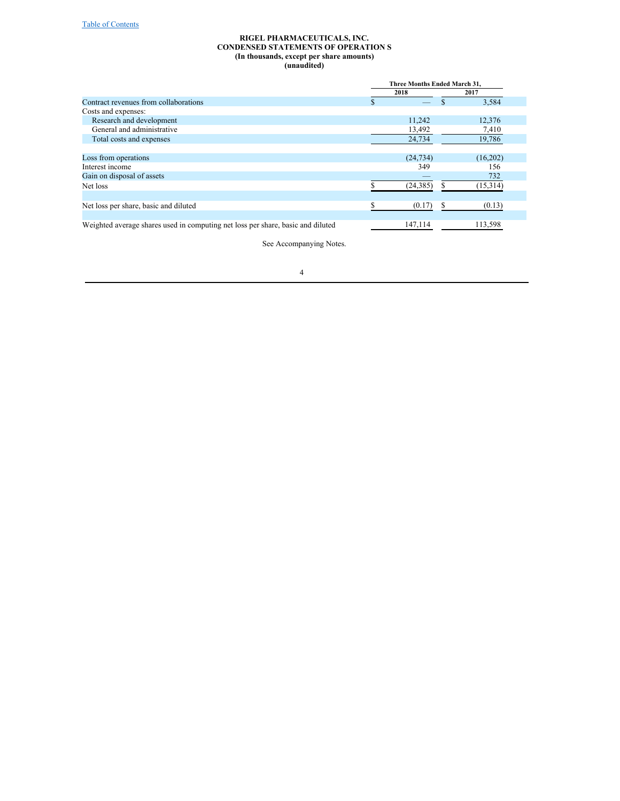## <span id="page-3-0"></span>**RIGEL PHARMACEUTICALS, INC. CONDENSED STATEMENTS OF OPERATION S (In thousands, except per share amounts) (unaudited)**

|                                                                                 | Three Months Ended March 31, |           |  |          |  |
|---------------------------------------------------------------------------------|------------------------------|-----------|--|----------|--|
|                                                                                 |                              | 2018      |  | 2017     |  |
| Contract revenues from collaborations                                           |                              |           |  | 3,584    |  |
| Costs and expenses:                                                             |                              |           |  |          |  |
| Research and development                                                        |                              | 11.242    |  | 12,376   |  |
| General and administrative                                                      |                              | 13,492    |  | 7,410    |  |
| Total costs and expenses                                                        |                              | 24,734    |  | 19,786   |  |
|                                                                                 |                              |           |  |          |  |
| Loss from operations                                                            |                              | (24, 734) |  | (16,202) |  |
| Interest income                                                                 |                              | 349       |  | 156      |  |
| Gain on disposal of assets                                                      |                              |           |  | 732      |  |
| Net loss                                                                        |                              | (24, 385) |  | (15,314) |  |
|                                                                                 |                              |           |  |          |  |
| Net loss per share, basic and diluted                                           |                              | (0.17)    |  | (0.13)   |  |
|                                                                                 |                              |           |  |          |  |
| Weighted average shares used in computing net loss per share, basic and diluted |                              | 147,114   |  | 113,598  |  |

See Accompanying Notes.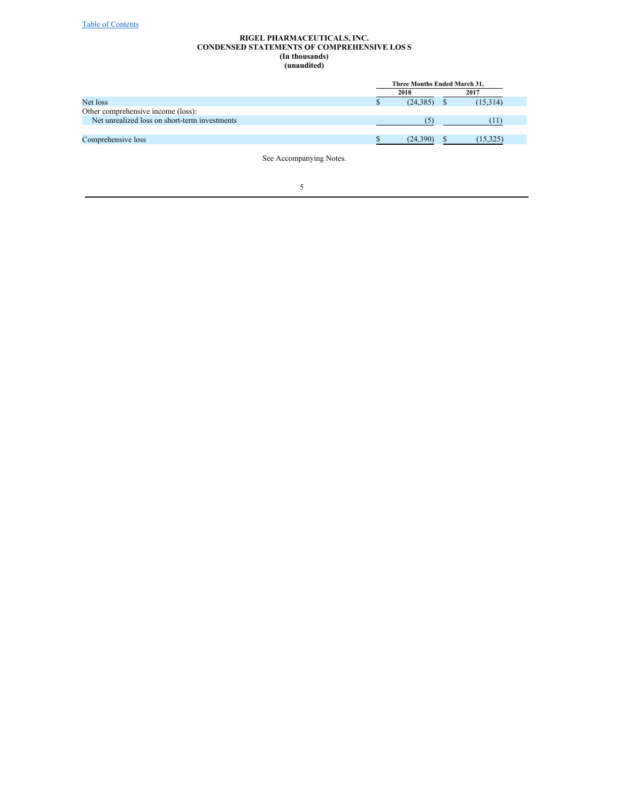## **RIGEL PHARMACEUTICALS, INC. CONDENSED STATEMENTS OF COMPREHENSIVE LOS S (In thousands) (unaudited)**

|                                               | Three Months Ended March 31. |          |  |          |  |  |  |
|-----------------------------------------------|------------------------------|----------|--|----------|--|--|--|
|                                               |                              | 2018     |  | 2017     |  |  |  |
| Net loss                                      |                              | (24.385) |  | (15.314) |  |  |  |
| Other comprehensive income (loss):            |                              |          |  |          |  |  |  |
| Net unrealized loss on short-term investments |                              |          |  |          |  |  |  |
|                                               |                              |          |  |          |  |  |  |
| Comprehensive loss                            |                              | (24.390) |  | (15.325) |  |  |  |
|                                               |                              |          |  |          |  |  |  |

<span id="page-4-0"></span>See Accompanying Notes.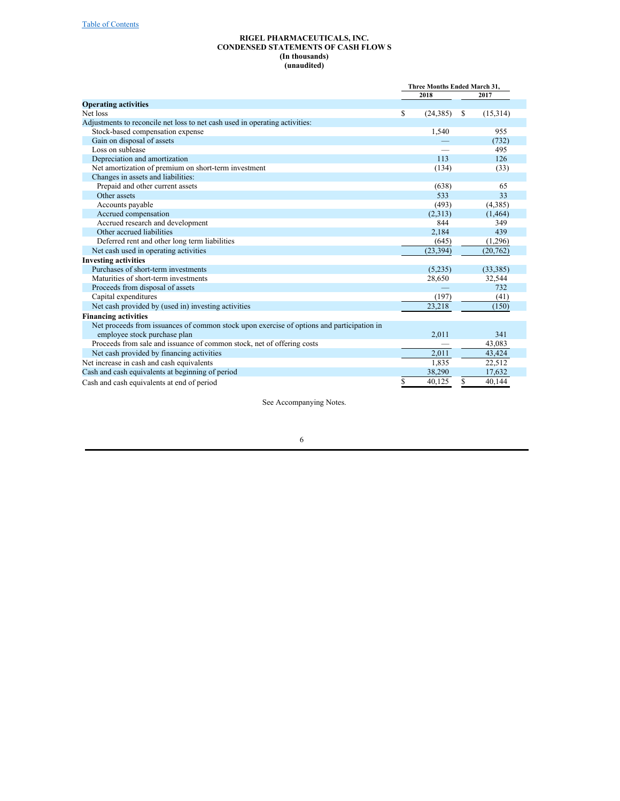## <span id="page-5-0"></span>**RIGEL PHARMACEUTICALS, INC. CONDENSED STATEMENTS OF CASH FLOW S (In thousands) (unaudited)**

|                                                                                           | Three Months Ended March 31, |           |   |           |
|-------------------------------------------------------------------------------------------|------------------------------|-----------|---|-----------|
|                                                                                           |                              | 2018      |   | 2017      |
| <b>Operating activities</b>                                                               |                              |           |   |           |
| Net loss                                                                                  | \$                           | (24, 385) | S | (15,314)  |
| Adjustments to reconcile net loss to net cash used in operating activities:               |                              |           |   |           |
| Stock-based compensation expense                                                          |                              | 1,540     |   | 955       |
| Gain on disposal of assets                                                                |                              |           |   | (732)     |
| Loss on sublease                                                                          |                              |           |   | 495       |
| Depreciation and amortization                                                             |                              | 113       |   | 126       |
| Net amortization of premium on short-term investment                                      |                              | (134)     |   | (33)      |
| Changes in assets and liabilities:                                                        |                              |           |   |           |
| Prepaid and other current assets                                                          |                              | (638)     |   | 65        |
| Other assets                                                                              |                              | 533       |   | 33        |
| Accounts payable                                                                          |                              | (493)     |   | (4,385)   |
| Accrued compensation                                                                      |                              | (2,313)   |   | (1, 464)  |
| Accrued research and development                                                          |                              | 844       |   | 349       |
| Other accrued liabilities                                                                 |                              | 2,184     |   | 439       |
| Deferred rent and other long term liabilities                                             |                              | (645)     |   | (1,296)   |
| Net cash used in operating activities                                                     |                              | (23, 394) |   | (20, 762) |
| <b>Investing activities</b>                                                               |                              |           |   |           |
| Purchases of short-term investments                                                       |                              | (5,235)   |   | (33, 385) |
| Maturities of short-term investments                                                      |                              | 28,650    |   | 32,544    |
| Proceeds from disposal of assets                                                          |                              |           |   | 732       |
| Capital expenditures                                                                      |                              | (197)     |   | (41)      |
| Net cash provided by (used in) investing activities                                       |                              | 23,218    |   | (150)     |
| <b>Financing activities</b>                                                               |                              |           |   |           |
| Net proceeds from issuances of common stock upon exercise of options and participation in |                              |           |   |           |
| employee stock purchase plan                                                              |                              | 2,011     |   | 341       |
| Proceeds from sale and issuance of common stock, net of offering costs                    |                              |           |   | 43,083    |
| Net cash provided by financing activities                                                 |                              | 2,011     |   | 43,424    |
| Net increase in cash and cash equivalents                                                 |                              | 1,835     |   | 22,512    |
| Cash and cash equivalents at beginning of period                                          |                              | 38,290    |   | 17,632    |
| Cash and cash equivalents at end of period                                                | \$                           | 40.125    | S | 40.144    |

See Accompanying Notes.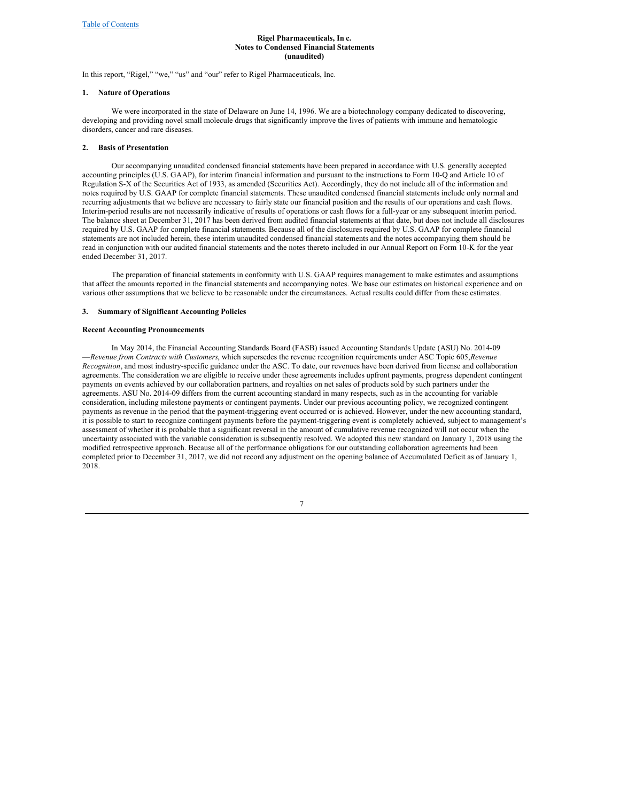## <span id="page-6-0"></span>**Rigel Pharmaceuticals, In c. Notes to Condensed Financial Statements (unaudited)**

In this report, "Rigel," "we," "us" and "our" refer to Rigel Pharmaceuticals, Inc.

## **1. Nature of Operations**

We were incorporated in the state of Delaware on June 14, 1996. We are a biotechnology company dedicated to discovering, developing and providing novel small molecule drugs that significantly improve the lives of patients with immune and hematologic disorders, cancer and rare diseases.

## **2. Basis of Presentation**

Our accompanying unaudited condensed financial statements have been prepared in accordance with U.S. generally accepted accounting principles (U.S. GAAP), for interim financial information and pursuant to the instructions to Form 10-Q and Article 10 of Regulation S-X of the Securities Act of 1933, as amended (Securities Act). Accordingly, they do not include all of the information and notes required by U.S. GAAP for complete financial statements. These unaudited condensed financial statements include only normal and recurring adjustments that we believe are necessary to fairly state our financial position and the results of our operations and cash flows. Interim-period results are not necessarily indicative of results of operations or cash flows for a full-year or any subsequent interim period. The balance sheet at December 31, 2017 has been derived from audited financial statements at that date, but does not include all disclosures required by U.S. GAAP for complete financial statements. Because all of the disclosures required by U.S. GAAP for complete financial statements are not included herein, these interim unaudited condensed financial statements and the notes accompanying them should be read in conjunction with our audited financial statements and the notes thereto included in our Annual Report on Form 10-K for the year ended December 31, 2017.

The preparation of financial statements in conformity with U.S. GAAP requires management to make estimates and assumptions that affect the amounts reported in the financial statements and accompanying notes. We base our estimates on historical experience and on various other assumptions that we believe to be reasonable under the circumstances. Actual results could differ from these estimates.

## **3. Summary of Significant Accounting Policies**

#### **Recent Accounting Pronouncements**

In May 2014, the Financial Accounting Standards Board (FASB) issued Accounting Standards Update (ASU) No. 2014-09 —*Revenue from Contracts with Customers*, which supersedes the revenue recognition requirements under ASC Topic 605,*Revenue Recognition*, and most industry-specific guidance under the ASC. To date, our revenues have been derived from license and collaboration agreements. The consideration we are eligible to receive under these agreements includes upfront payments, progress dependent contingent payments on events achieved by our collaboration partners, and royalties on net sales of products sold by such partners under the agreements. ASU No. 2014-09 differs from the current accounting standard in many respects, such as in the accounting for variable consideration, including milestone payments or contingent payments. Under our previous accounting policy, we recognized contingent payments as revenue in the period that the payment-triggering event occurred or is achieved. However, under the new accounting standard, it is possible to start to recognize contingent payments before the payment-triggering event is completely achieved, subject to management's assessment of whether it is probable that a significant reversal in the amount of cumulative revenue recognized will not occur when the uncertainty associated with the variable consideration is subsequently resolved. We adopted this new standard on January 1, 2018 using the modified retrospective approach. Because all of the performance obligations for our outstanding collaboration agreements had been completed prior to December 31, 2017, we did not record any adjustment on the opening balance of Accumulated Deficit as of January 1, 2018.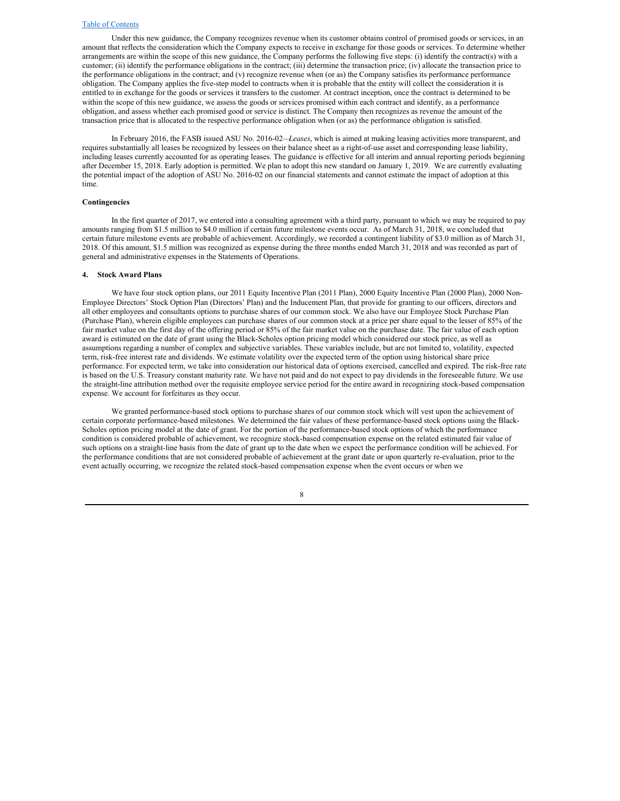Under this new guidance, the Company recognizes revenue when its customer obtains control of promised goods or services, in an amount that reflects the consideration which the Company expects to receive in exchange for those goods or services. To determine whether arrangements are within the scope of this new guidance, the Company performs the following five steps: (i) identify the contract(s) with a customer; (ii) identify the performance obligations in the contract; (iii) determine the transaction price; (iv) allocate the transaction price to the performance obligations in the contract; and (v) recognize revenue when (or as) the Company satisfies its performance performance obligation. The Company applies the five-step model to contracts when it is probable that the entity will collect the consideration it is entitled to in exchange for the goods or services it transfers to the customer. At contract inception, once the contract is determined to be within the scope of this new guidance, we assess the goods or services promised within each contract and identify, as a performance obligation, and assess whether each promised good or service is distinct. The Company then recognizes as revenue the amount of the transaction price that is allocated to the respective performance obligation when (or as) the performance obligation is satisfied.

In February 2016, the FASB issued ASU No. 2016-02—*Leases*, which is aimed at making leasing activities more transparent, and requires substantially all leases be recognized by lessees on their balance sheet as a right-of-use asset and corresponding lease liability, including leases currently accounted for as operating leases. The guidance is effective for all interim and annual reporting periods beginning after December 15, 2018. Early adoption is permitted. We plan to adopt this new standard on January 1, 2019. We are currently evaluating the potential impact of the adoption of ASU No. 2016-02 on our financial statements and cannot estimate the impact of adoption at this time.

## **Contingencies**

In the first quarter of 2017, we entered into a consulting agreement with a third party, pursuant to which we may be required to pay amounts ranging from \$1.5 million to \$4.0 million if certain future milestone events occur. As of March 31, 2018, we concluded that certain future milestone events are probable of achievement. Accordingly, we recorded a contingent liability of \$3.0 million as of March 31, 2018. Of this amount, \$1.5 million was recognized as expense during the three months ended March 31, 2018 and was recorded as part of general and administrative expenses in the Statements of Operations.

#### **4. Stock Award Plans**

We have four stock option plans, our 2011 Equity Incentive Plan (2011 Plan), 2000 Equity Incentive Plan (2000 Plan), 2000 Non-Employee Directors' Stock Option Plan (Directors' Plan) and the Inducement Plan, that provide for granting to our officers, directors and all other employees and consultants options to purchase shares of our common stock. We also have our Employee Stock Purchase Plan (Purchase Plan), wherein eligible employees can purchase shares of our common stock at a price per share equal to the lesser of 85% of the fair market value on the first day of the offering period or 85% of the fair market value on the purchase date. The fair value of each option award is estimated on the date of grant using the Black-Scholes option pricing model which considered our stock price, as well as assumptions regarding a number of complex and subjective variables. These variables include, but are not limited to, volatility, expected term, risk-free interest rate and dividends. We estimate volatility over the expected term of the option using historical share price performance. For expected term, we take into consideration our historical data of options exercised, cancelled and expired. The risk-free rate is based on the U.S. Treasury constant maturity rate. We have not paid and do not expect to pay dividends in the foreseeable future. We use the straight-line attribution method over the requisite employee service period for the entire award in recognizing stock-based compensation expense. We account for forfeitures as they occur.

We granted performance-based stock options to purchase shares of our common stock which will vest upon the achievement of certain corporate performance-based milestones. We determined the fair values of these performance-based stock options using the Black-Scholes option pricing model at the date of grant. For the portion of the performance-based stock options of which the performance condition is considered probable of achievement, we recognize stock-based compensation expense on the related estimated fair value of such options on a straight-line basis from the date of grant up to the date when we expect the performance condition will be achieved. For the performance conditions that are not considered probable of achievement at the grant date or upon quarterly re-evaluation, prior to the event actually occurring, we recognize the related stock-based compensation expense when the event occurs or when we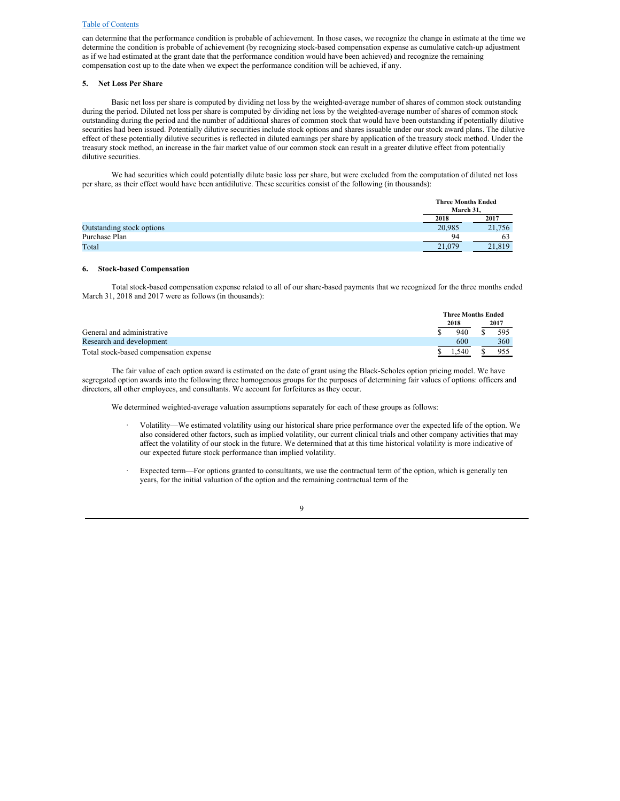can determine that the performance condition is probable of achievement. In those cases, we recognize the change in estimate at the time we determine the condition is probable of achievement (by recognizing stock-based compensation expense as cumulative catch-up adjustment as if we had estimated at the grant date that the performance condition would have been achieved) and recognize the remaining compensation cost up to the date when we expect the performance condition will be achieved, if any.

## **5. Net Loss Per Share**

Basic net loss per share is computed by dividing net loss by the weighted-average number of shares of common stock outstanding during the period. Diluted net loss per share is computed by dividing net loss by the weighted-average number of shares of common stock outstanding during the period and the number of additional shares of common stock that would have been outstanding if potentially dilutive securities had been issued. Potentially dilutive securities include stock options and shares issuable under our stock award plans. The dilutive effect of these potentially dilutive securities is reflected in diluted earnings per share by application of the treasury stock method. Under the treasury stock method, an increase in the fair market value of our common stock can result in a greater dilutive effect from potentially dilutive securities.

We had securities which could potentially dilute basic loss per share, but were excluded from the computation of diluted net loss per share, as their effect would have been antidilutive. These securities consist of the following (in thousands):

|                           | <b>Three Months Ended</b><br>March 31. |        |
|---------------------------|----------------------------------------|--------|
|                           | 2018                                   | 2017   |
| Outstanding stock options | 20,985                                 | 21,756 |
| Purchase Plan             | 94                                     | 63     |
| Total                     | 21,079                                 | 21.819 |

## **6. Stock-based Compensation**

Total stock-based compensation expense related to all of our share-based payments that we recognized for the three months ended March 31, 2018 and 2017 were as follows (in thousands):

|                                        | <b>Three Months Ended</b> |            |
|----------------------------------------|---------------------------|------------|
|                                        | 2018                      | 2017       |
| General and administrative             | 940                       | 595        |
| Research and development               | 600                       | <b>360</b> |
| Total stock-based compensation expense | .540                      | 955        |

The fair value of each option award is estimated on the date of grant using the Black-Scholes option pricing model. We have segregated option awards into the following three homogenous groups for the purposes of determining fair values of options: officers and directors, all other employees, and consultants. We account for forfeitures as they occur.

We determined weighted-average valuation assumptions separately for each of these groups as follows:

- · Volatility—We estimated volatility using our historical share price performance over the expected life of the option. We also considered other factors, such as implied volatility, our current clinical trials and other company activities that may affect the volatility of our stock in the future. We determined that at this time historical volatility is more indicative of our expected future stock performance than implied volatility.
- Expected term—For options granted to consultants, we use the contractual term of the option, which is generally ten years, for the initial valuation of the option and the remaining contractual term of the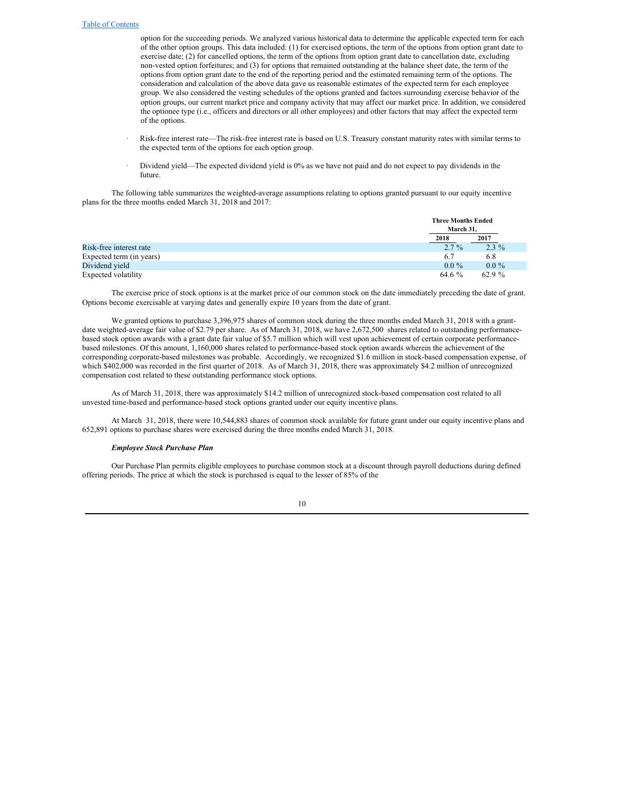option for the succeeding periods. We analyzed various historical data to determine the applicable expected term for each of the other option groups. This data included: (1) for exercised options, the term of the options from option grant date to exercise date; (2) for cancelled options, the term of the options from option grant date to cancellation date, excluding non-vested option forfeitures; and (3) for options that remained outstanding at the balance sheet date, the term of the options from option grant date to the end of the reporting period and the estimated remaining term of the options. The consideration and calculation of the above data gave us reasonable estimates of the expected term for each employee group. We also considered the vesting schedules of the options granted and factors surrounding exercise behavior of the option groups, our current market price and company activity that may affect our market price. In addition, we considered the optionee type (i.e., officers and directors or all other employees) and other factors that may affect the expected term of the options.

- Risk-free interest rate—The risk-free interest rate is based on U.S. Treasury constant maturity rates with similar terms to the expected term of the options for each option group.
- Dividend yield—The expected dividend yield is 0% as we have not paid and do not expect to pay dividends in the future.

The following table summarizes the weighted-average assumptions relating to options granted pursuant to our equity incentive plans for the three months ended March 31, 2018 and 2017:

|                          | <b>Three Months Ended</b><br>March 31, |           |
|--------------------------|----------------------------------------|-----------|
|                          | 2018                                   | 2017      |
| Risk-free interest rate  | $2.7\%$                                | $2.3\%$   |
| Expected term (in years) | 6.7                                    | 6.8       |
| Dividend yield           | $0.0\%$                                | $0.0\%$   |
| Expected volatility      | 64.6 %                                 | $62.9 \%$ |

The exercise price of stock options is at the market price of our common stock on the date immediately preceding the date of grant. Options become exercisable at varying dates and generally expire 10 years from the date of grant.

We granted options to purchase 3,396,975 shares of common stock during the three months ended March 31, 2018 with a grantdate weighted-average fair value of \$2.79 per share. As of March 31, 2018, we have 2,672,500 shares related to outstanding performancebased stock option awards with a grant date fair value of \$5.7 million which will vest upon achievement of certain corporate performancebased milestones. Of this amount, 1,160,000 shares related to performance-based stock option awards wherein the achievement of the corresponding corporate-based milestones was probable. Accordingly, we recognized \$1.6 million in stock-based compensation expense, of which \$402,000 was recorded in the first quarter of 2018. As of March 31, 2018, there was approximately \$4.2 million of unrecognized compensation cost related to these outstanding performance stock options.

As of March 31, 2018, there was approximately \$14.2 million of unrecognized stock-based compensation cost related to all unvested time-based and performance-based stock options granted under our equity incentive plans.

At March 31, 2018, there were 10,544,883 shares of common stock available for future grant under our equity incentive plans and 652,891 options to purchase shares were exercised during the three months ended March 31, 2018.

## *Employee Stock Purchase Plan*

Our Purchase Plan permits eligible employees to purchase common stock at a discount through payroll deductions during defined offering periods. The price at which the stock is purchased is equal to the lesser of 85% of the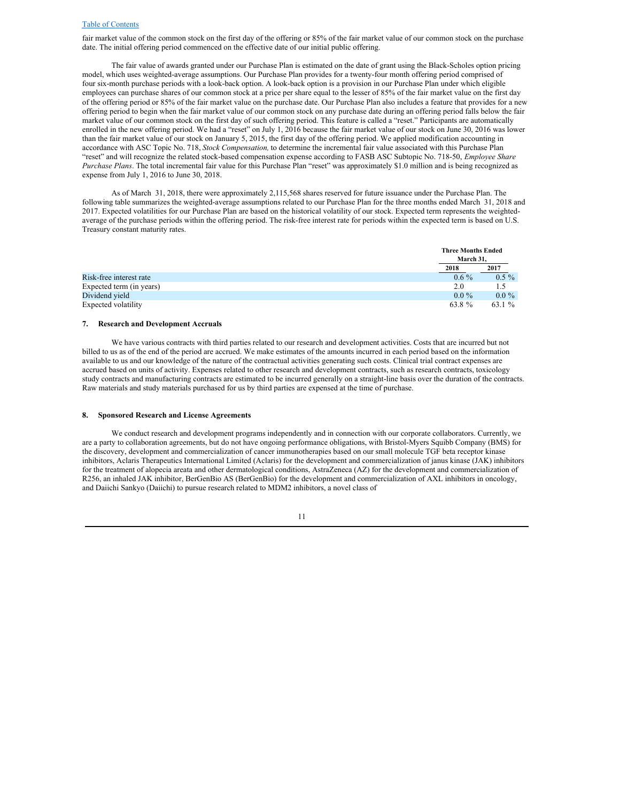fair market value of the common stock on the first day of the offering or 85% of the fair market value of our common stock on the purchase date. The initial offering period commenced on the effective date of our initial public offering.

The fair value of awards granted under our Purchase Plan is estimated on the date of grant using the Black-Scholes option pricing model, which uses weighted-average assumptions. Our Purchase Plan provides for a twenty-four month offering period comprised of four six-month purchase periods with a look-back option. A look-back option is a provision in our Purchase Plan under which eligible employees can purchase shares of our common stock at a price per share equal to the lesser of 85% of the fair market value on the first day of the offering period or 85% of the fair market value on the purchase date. Our Purchase Plan also includes a feature that provides for a new offering period to begin when the fair market value of our common stock on any purchase date during an offering period falls below the fair market value of our common stock on the first day of such offering period. This feature is called a "reset." Participants are automatically enrolled in the new offering period. We had a "reset" on July 1, 2016 because the fair market value of our stock on June 30, 2016 was lower than the fair market value of our stock on January 5, 2015, the first day of the offering period. We applied modification accounting in accordance with ASC Topic No. 718, *Stock Compensation,* to determine the incremental fair value associated with this Purchase Plan "reset" and will recognize the related stock-based compensation expense according to FASB ASC Subtopic No. 718-50, *Employee Share Purchase Plans*. The total incremental fair value for this Purchase Plan "reset" was approximately \$1.0 million and is being recognized as expense from July 1, 2016 to June 30, 2018.

As of March 31, 2018, there were approximately 2,115,568 shares reserved for future issuance under the Purchase Plan. The following table summarizes the weighted-average assumptions related to our Purchase Plan for the three months ended March 31, 2018 and 2017. Expected volatilities for our Purchase Plan are based on the historical volatility of our stock. Expected term represents the weightedaverage of the purchase periods within the offering period. The risk-free interest rate for periods within the expected term is based on U.S. Treasury constant maturity rates.

|                          | <b>Three Months Ended</b><br>March 31. |          |
|--------------------------|----------------------------------------|----------|
|                          | 2018                                   | 2017     |
| Risk-free interest rate  | $0.6\%$                                | $0.5 \%$ |
| Expected term (in years) | 2.0                                    | 1.5      |
| Dividend yield           | $0.0\%$                                | $0.0\%$  |
| Expected volatility      | 63.8 %                                 | 63.1%    |

## **7. Research and Development Accruals**

We have various contracts with third parties related to our research and development activities. Costs that are incurred but not billed to us as of the end of the period are accrued. We make estimates of the amounts incurred in each period based on the information available to us and our knowledge of the nature of the contractual activities generating such costs. Clinical trial contract expenses are accrued based on units of activity. Expenses related to other research and development contracts, such as research contracts, toxicology study contracts and manufacturing contracts are estimated to be incurred generally on a straight-line basis over the duration of the contracts. Raw materials and study materials purchased for us by third parties are expensed at the time of purchase.

## **8. Sponsored Research and License Agreements**

We conduct research and development programs independently and in connection with our corporate collaborators. Currently, we are a party to collaboration agreements, but do not have ongoing performance obligations, with Bristol-Myers Squibb Company (BMS) for the discovery, development and commercialization of cancer immunotherapies based on our small molecule TGF beta receptor kinase inhibitors, Aclaris Therapeutics International Limited (Aclaris) for the development and commercialization of janus kinase (JAK) inhibitors for the treatment of alopecia areata and other dermatological conditions, AstraZeneca (AZ) for the development and commercialization of R256, an inhaled JAK inhibitor, BerGenBio AS (BerGenBio) for the development and commercialization of AXL inhibitors in oncology, and Daiichi Sankyo (Daiichi) to pursue research related to MDM2 inhibitors, a novel class of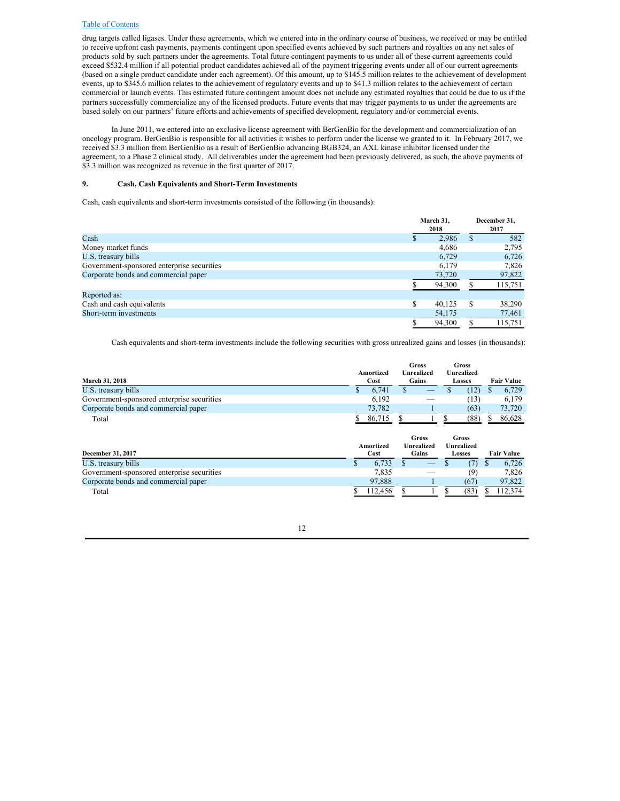drug targets called ligases. Under these agreements, which we entered into in the ordinary course of business, we received or may be entitled to receive upfront cash payments, payments contingent upon specified events achieved by such partners and royalties on any net sales of products sold by such partners under the agreements. Total future contingent payments to us under all of these current agreements could exceed \$532.4 million if all potential product candidates achieved all of the payment triggering events under all of our current agreements (based on a single product candidate under each agreement). Of this amount, up to \$145.5 million relates to the achievement of development events, up to \$345.6 million relates to the achievement of regulatory events and up to \$41.3 million relates to the achievement of certain commercial or launch events. This estimated future contingent amount does not include any estimated royalties that could be due to us if the partners successfully commercialize any of the licensed products. Future events that may trigger payments to us under the agreements are based solely on our partners' future efforts and achievements of specified development, regulatory and/or commercial events.

In June 2011, we entered into an exclusive license agreement with BerGenBio for the development and commercialization of an oncology program. BerGenBio is responsible for all activities it wishes to perform under the license we granted to it. In February 2017, we received \$3.3 million from BerGenBio as a result of BerGenBio advancing BGB324, an AXL kinase inhibitor licensed under the agreement, to a Phase 2 clinical study. All deliverables under the agreement had been previously delivered, as such, the above payments of \$3.3 million was recognized as revenue in the first quarter of 2017.

# **9. Cash, Cash Equivalents and Short-Term Investments**

Cash, cash equivalents and short-term investments consisted of the following (in thousands):

|                                            | March 31,<br>2018 |               | December 31,<br>2017 |
|--------------------------------------------|-------------------|---------------|----------------------|
| Cash                                       |                   | 2.986<br>S.   | 582                  |
| Money market funds                         |                   | 4,686         | 2,795                |
| U.S. treasury bills                        |                   | 6,729         | 6,726                |
| Government-sponsored enterprise securities |                   | 6,179         | 7,826                |
| Corporate bonds and commercial paper       |                   | 73,720        | 97,822               |
|                                            |                   | 94,300        | 115,751              |
| Reported as:                               |                   |               |                      |
| Cash and cash equivalents                  | S                 | 40,125<br>\$. | 38,290               |
| Short-term investments                     |                   | 54,175        | 77,461               |
|                                            |                   | 94.300        | 115.751              |

Cash equivalents and short-term investments include the following securities with gross unrealized gains and losses (in thousands):

| March 31, 2018                             |    | Amortized<br>Cost |   |                              |   |                                      |              |                   |  |  |  |  |  |  |  |  |  |  |  |  |  |  |  |  |  |  |  |  |  |  |  |  |  |  |  |  |  | Gross<br>Unrealized<br>Gains |  | Gross<br>Unrealized<br><b>Losses</b> |  | <b>Fair Value</b> |
|--------------------------------------------|----|-------------------|---|------------------------------|---|--------------------------------------|--------------|-------------------|--|--|--|--|--|--|--|--|--|--|--|--|--|--|--|--|--|--|--|--|--|--|--|--|--|--|--|--|--|------------------------------|--|--------------------------------------|--|-------------------|
| U.S. treasury bills                        | \$ | 6,741             | S |                              | S | (12)                                 | S            | 6,729             |  |  |  |  |  |  |  |  |  |  |  |  |  |  |  |  |  |  |  |  |  |  |  |  |  |  |  |  |  |                              |  |                                      |  |                   |
| Government-sponsored enterprise securities |    | 6,192             |   | _                            |   | (13)                                 |              | 6,179             |  |  |  |  |  |  |  |  |  |  |  |  |  |  |  |  |  |  |  |  |  |  |  |  |  |  |  |  |  |                              |  |                                      |  |                   |
| Corporate bonds and commercial paper       |    | 73,782            |   |                              |   | (63)                                 |              | 73,720            |  |  |  |  |  |  |  |  |  |  |  |  |  |  |  |  |  |  |  |  |  |  |  |  |  |  |  |  |  |                              |  |                                      |  |                   |
| Total                                      |    | 86,715            |   |                              |   | (88)                                 |              | 86,628            |  |  |  |  |  |  |  |  |  |  |  |  |  |  |  |  |  |  |  |  |  |  |  |  |  |  |  |  |  |                              |  |                                      |  |                   |
| December 31, 2017                          |    | Amortized<br>Cost |   | Gross<br>Unrealized<br>Gains |   | Gross<br>Unrealized<br><b>Losses</b> |              | <b>Fair Value</b> |  |  |  |  |  |  |  |  |  |  |  |  |  |  |  |  |  |  |  |  |  |  |  |  |  |  |  |  |  |                              |  |                                      |  |                   |
| U.S. treasury bills                        | \$ | 6,733             | S |                              | S | (7)                                  | <sup>S</sup> | 6,726             |  |  |  |  |  |  |  |  |  |  |  |  |  |  |  |  |  |  |  |  |  |  |  |  |  |  |  |  |  |                              |  |                                      |  |                   |
| Government-sponsored enterprise securities |    | 7,835             |   | $\overline{\phantom{a}}$     |   | (9)                                  |              | 7,826             |  |  |  |  |  |  |  |  |  |  |  |  |  |  |  |  |  |  |  |  |  |  |  |  |  |  |  |  |  |                              |  |                                      |  |                   |
| Corporate bonds and commercial paper       |    | 97.888            |   |                              |   | (67)                                 |              | 97,822            |  |  |  |  |  |  |  |  |  |  |  |  |  |  |  |  |  |  |  |  |  |  |  |  |  |  |  |  |  |                              |  |                                      |  |                   |

12

Total \$ 112,456 \$ 112,374 \$ (83) \$ 112,374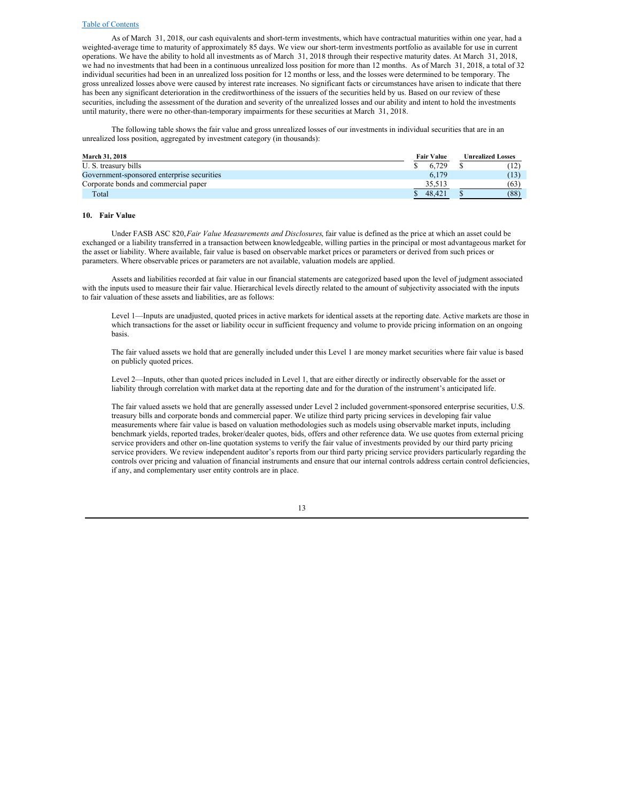As of March 31, 2018, our cash equivalents and short-term investments, which have contractual maturities within one year, had a weighted-average time to maturity of approximately 85 days. We view our short-term investments portfolio as available for use in current operations. We have the ability to hold all investments as of March 31, 2018 through their respective maturity dates. At March 31, 2018, we had no investments that had been in a continuous unrealized loss position for more than 12 months. As of March 31, 2018, a total of 32 individual securities had been in an unrealized loss position for 12 months or less, and the losses were determined to be temporary. The gross unrealized losses above were caused by interest rate increases. No significant facts or circumstances have arisen to indicate that there has been any significant deterioration in the creditworthiness of the issuers of the securities held by us. Based on our review of these securities, including the assessment of the duration and severity of the unrealized losses and our ability and intent to hold the investments until maturity, there were no other-than-temporary impairments for these securities at March 31, 2018.

The following table shows the fair value and gross unrealized losses of our investments in individual securities that are in an unrealized loss position, aggregated by investment category (in thousands):

| March 31, 2018                             |  | <b>Fair Value</b> |  |      |  |  |  | <b>Unrealized Losses</b> |
|--------------------------------------------|--|-------------------|--|------|--|--|--|--------------------------|
| U. S. treasury bills                       |  | 6.729             |  |      |  |  |  |                          |
| Government-sponsored enterprise securities |  | 6.179             |  | (13) |  |  |  |                          |
| Corporate bonds and commercial paper       |  | 35,513            |  | (63) |  |  |  |                          |
| Total                                      |  | 48.421            |  | (88) |  |  |  |                          |

## **10. Fair Value**

Under FASB ASC 820,*Fair Value Measurements and Disclosures*, fair value is defined as the price at which an asset could be exchanged or a liability transferred in a transaction between knowledgeable, willing parties in the principal or most advantageous market for the asset or liability. Where available, fair value is based on observable market prices or parameters or derived from such prices or parameters. Where observable prices or parameters are not available, valuation models are applied.

Assets and liabilities recorded at fair value in our financial statements are categorized based upon the level of judgment associated with the inputs used to measure their fair value. Hierarchical levels directly related to the amount of subjectivity associated with the inputs to fair valuation of these assets and liabilities, are as follows:

Level 1—Inputs are unadjusted, quoted prices in active markets for identical assets at the reporting date. Active markets are those in which transactions for the asset or liability occur in sufficient frequency and volume to provide pricing information on an ongoing basis.

The fair valued assets we hold that are generally included under this Level 1 are money market securities where fair value is based on publicly quoted prices.

Level 2—Inputs, other than quoted prices included in Level 1, that are either directly or indirectly observable for the asset or liability through correlation with market data at the reporting date and for the duration of the instrument's anticipated life.

The fair valued assets we hold that are generally assessed under Level 2 included government-sponsored enterprise securities, U.S. treasury bills and corporate bonds and commercial paper. We utilize third party pricing services in developing fair value measurements where fair value is based on valuation methodologies such as models using observable market inputs, including benchmark yields, reported trades, broker/dealer quotes, bids, offers and other reference data. We use quotes from external pricing service providers and other on-line quotation systems to verify the fair value of investments provided by our third party pricing service providers. We review independent auditor's reports from our third party pricing service providers particularly regarding the controls over pricing and valuation of financial instruments and ensure that our internal controls address certain control deficiencies, if any, and complementary user entity controls are in place.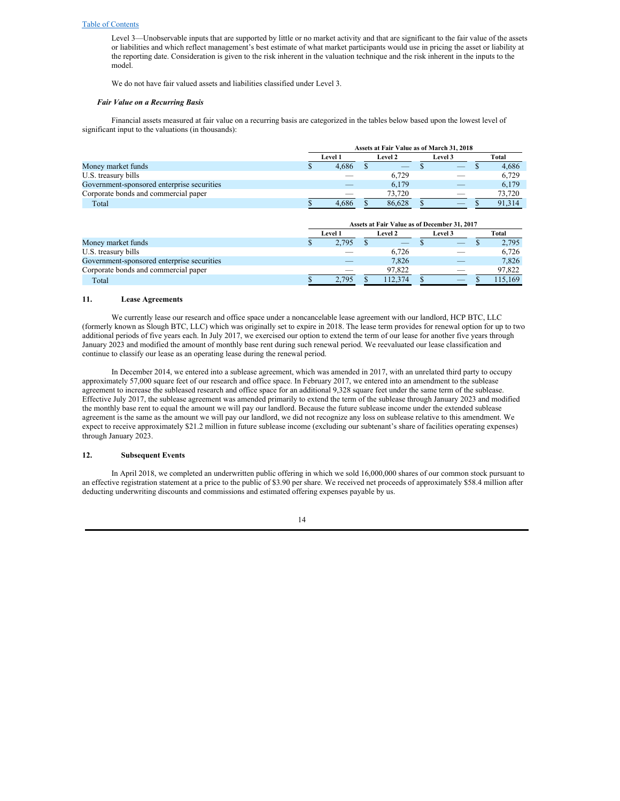Level 3—Unobservable inputs that are supported by little or no market activity and that are significant to the fair value of the assets or liabilities and which reflect management's best estimate of what market participants would use in pricing the asset or liability at the reporting date. Consideration is given to the risk inherent in the valuation technique and the risk inherent in the inputs to the model.

We do not have fair valued assets and liabilities classified under Level 3.

## *Fair Value on a Recurring Basis*

Financial assets measured at fair value on a recurring basis are categorized in the tables below based upon the lowest level of significant input to the valuations (in thousands):

|                                            |   | Assets at Fair Value as of March 31, 2018 |  |         |  |                          |  |        |  |  |  |
|--------------------------------------------|---|-------------------------------------------|--|---------|--|--------------------------|--|--------|--|--|--|
|                                            |   | <b>Level 1</b>                            |  | Level 2 |  | Level 3                  |  | Total  |  |  |  |
| Money market funds                         | a | 4.686                                     |  |         |  |                          |  | 4.686  |  |  |  |
| U.S. treasury bills                        |   |                                           |  | 6.729   |  | $\overline{\phantom{a}}$ |  | 6.729  |  |  |  |
| Government-sponsored enterprise securities |   |                                           |  | 6.179   |  |                          |  | 6.179  |  |  |  |
| Corporate bonds and commercial paper       |   |                                           |  | 73.720  |  | $\overline{\phantom{a}}$ |  | 73.720 |  |  |  |
| Total                                      |   | 4.686                                     |  | 86.628  |  | $-$                      |  | 91.314 |  |  |  |

|                                            |  | Assets at Fair Value as of December 31, 2017 |  |         |  |         |  |         |  |  |
|--------------------------------------------|--|----------------------------------------------|--|---------|--|---------|--|---------|--|--|
|                                            |  | Level 1                                      |  | Level 2 |  | Level 3 |  | Total   |  |  |
| Money market funds                         |  | 2.795                                        |  |         |  | $-$     |  | 2,795   |  |  |
| U.S. treasury bills                        |  |                                              |  | 6.726   |  |         |  | 6.726   |  |  |
| Government-sponsored enterprise securities |  |                                              |  | 7.826   |  |         |  | 7,826   |  |  |
| Corporate bonds and commercial paper       |  |                                              |  | 97.822  |  |         |  | 97.822  |  |  |
| Total                                      |  | 2.795                                        |  | 112.374 |  |         |  | 115.169 |  |  |

# **11. Lease Agreements**

We currently lease our research and office space under a noncancelable lease agreement with our landlord, HCP BTC, LLC (formerly known as Slough BTC, LLC) which was originally set to expire in 2018. The lease term provides for renewal option for up to two additional periods of five years each. In July 2017, we exercised our option to extend the term of our lease for another five years through January 2023 and modified the amount of monthly base rent during such renewal period. We reevaluated our lease classification and continue to classify our lease as an operating lease during the renewal period.

In December 2014, we entered into a sublease agreement, which was amended in 2017, with an unrelated third party to occupy approximately 57,000 square feet of our research and office space. In February 2017, we entered into an amendment to the sublease agreement to increase the subleased research and office space for an additional 9,328 square feet under the same term of the sublease. Effective July 2017, the sublease agreement was amended primarily to extend the term of the sublease through January 2023 and modified the monthly base rent to equal the amount we will pay our landlord. Because the future sublease income under the extended sublease agreement is the same as the amount we will pay our landlord, we did not recognize any loss on sublease relative to this amendment. We expect to receive approximately \$21.2 million in future sublease income (excluding our subtenant's share of facilities operating expenses) through January 2023.

## **12. Subsequent Events**

In April 2018, we completed an underwritten public offering in which we sold 16,000,000 shares of our common stock pursuant to an effective registration statement at a price to the public of \$3.90 per share. We received net proceeds of approximately \$58.4 million after deducting underwriting discounts and commissions and estimated offering expenses payable by us.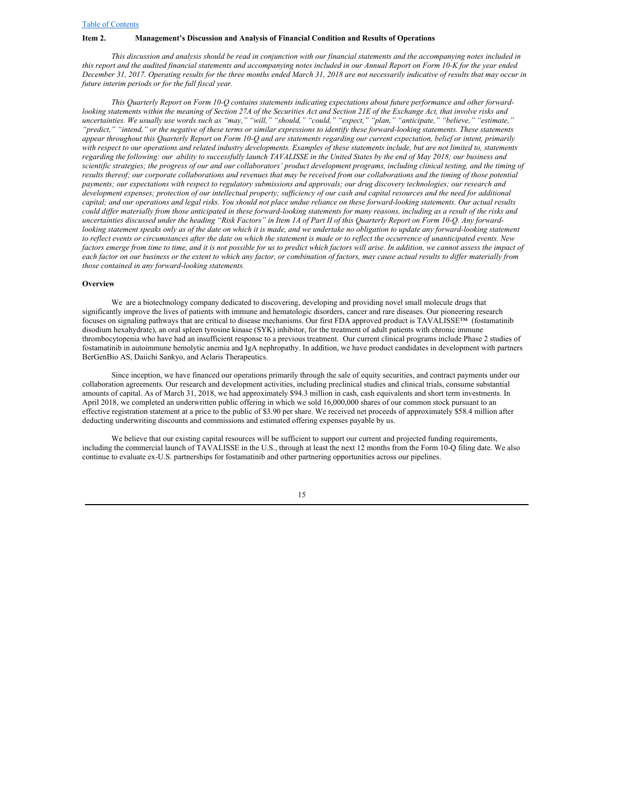## <span id="page-14-0"></span>**Item 2. Management's Discussion and Analysis of Financial Condition and Results of Operations**

This discussion and analysis should be read in conjunction with our financial statements and the accompanying notes included in this report and the audited financial statements and accompanying notes included in our Annual Report on Form 10-K for the year ended December 31, 2017. Operating results for the three months ended March 31, 2018 are not necessarily indicative of results that may occur in *future interim periods or for the full fiscal year.*

This Quarterly Report on Form 10-Q contains statements indicating expectations about future performance and other forwardlooking statements within the meaning of Section 27A of the Securities Act and Section 21E of the Exchange Act, that involve risks and uncertainties. We usually use words such as "may," "will," "should," "could," "expect," "plan," "anticipate," "believe," "estimate," "predict," "intend," or the negative of these terms or similar expressions to identify these forward-looking statements. These statements appear throughout this Quarterly Report on Form 10-Q and are statements regarding our current expectation, belief or intent, primarily with respect to our operations and related industry developments. Examples of these statements include, but are not limited to, statements regarding the following: our ability to successfully launch TAVALISSE in the United States by the end of May 2018; our business and scientific strategies; the progress of our and our collaborators' product development programs, including clinical testing, and the timing of results thereof; our corporate collaborations and revenues that may be received from our collaborations and the timing of those potential payments; our expectations with respect to regulatory submissions and approvals; our drug discovery technologies; our research and development expenses; protection of our intellectual property; sufficiency of our cash and capital resources and the need for additional capital; and our operations and legal risks. You should not place undue reliance on these forward-looking statements. Our actual results could differ materially from those anticipated in these forward-looking statements for many reasons, including as a result of the risks and uncertainties discussed under the heading "Risk Factors" in Item 1A of Part II of this Quarterly Report on Form 10-Q. Any forwardlooking statement speaks only as of the date on which it is made, and we undertake no obligation to update any forward-looking statement to reflect events or circumstances after the date on which the statement is made or to reflect the occurrence of unanticipated events. New factors emerge from time to time, and it is not possible for us to predict which factors will arise. In addition, we cannot assess the impact of each factor on our business or the extent to which any factor, or combination of factors, may cause actual results to differ materially from *those contained in any forward-looking statements.*

## **Overview**

We are a biotechnology company dedicated to discovering, developing and providing novel small molecule drugs that significantly improve the lives of patients with immune and hematologic disorders, cancer and rare diseases. Our pioneering research focuses on signaling pathways that are critical to disease mechanisms. Our first FDA approved product is TAVALISSE™ (fostamatinib disodium hexahydrate), an oral spleen tyrosine kinase (SYK) inhibitor, for the treatment of adult patients with chronic immune thrombocytopenia who have had an insufficient response to a previous treatment. Our current clinical programs include Phase 2 studies of fostamatinib in autoimmune hemolytic anemia and IgA nephropathy. In addition, we have product candidates in development with partners BerGenBio AS, Daiichi Sankyo, and Aclaris Therapeutics.

Since inception, we have financed our operations primarily through the sale of equity securities, and contract payments under our collaboration agreements. Our research and development activities, including preclinical studies and clinical trials, consume substantial amounts of capital. As of March 31, 2018, we had approximately \$94.3 million in cash, cash equivalents and short term investments. In April 2018, we completed an underwritten public offering in which we sold 16,000,000 shares of our common stock pursuant to an effective registration statement at a price to the public of \$3.90 per share. We received net proceeds of approximately \$58.4 million after deducting underwriting discounts and commissions and estimated offering expenses payable by us.

We believe that our existing capital resources will be sufficient to support our current and projected funding requirements, including the commercial launch of TAVALISSE in the U.S., through at least the next 12 months from the Form 10-Q filing date. We also continue to evaluate ex-U.S. partnerships for fostamatinib and other partnering opportunities across our pipelines.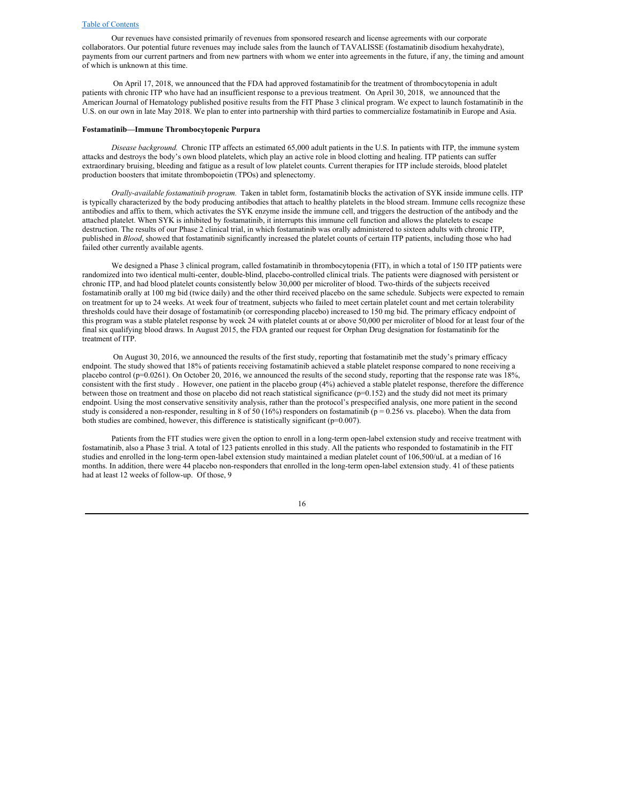Our revenues have consisted primarily of revenues from sponsored research and license agreements with our corporate collaborators. Our potential future revenues may include sales from the launch of TAVALISSE (fostamatinib disodium hexahydrate), payments from our current partners and from new partners with whom we enter into agreements in the future, if any, the timing and amount of which is unknown at this time.

On April 17, 2018, we announced that the FDA had approved fostamatinib for the treatment of thrombocytopenia in adult patients with chronic ITP who have had an insufficient response to a previous treatment. On April 30, 2018, we announced that the American Journal of Hematology published positive results from the FIT Phase 3 clinical program. We expect to launch fostamatinib in the U.S. on our own in late May 2018. We plan to enter into partnership with third parties to commercialize fostamatinib in Europe and Asia.

#### **Fostamatinib—Immune Thrombocytopenic Purpura**

*Disease background.* Chronic ITP affects an estimated 65,000 adult patients in the U.S. In patients with ITP, the immune system attacks and destroys the body's own blood platelets, which play an active role in blood clotting and healing. ITP patients can suffer extraordinary bruising, bleeding and fatigue as a result of low platelet counts. Current therapies for ITP include steroids, blood platelet production boosters that imitate thrombopoietin (TPOs) and splenectomy.

*Orally-available fostamatinib program.* Taken in tablet form, fostamatinib blocks the activation of SYK inside immune cells. ITP is typically characterized by the body producing antibodies that attach to healthy platelets in the blood stream. Immune cells recognize these antibodies and affix to them, which activates the SYK enzyme inside the immune cell, and triggers the destruction of the antibody and the attached platelet. When SYK is inhibited by fostamatinib, it interrupts this immune cell function and allows the platelets to escape destruction. The results of our Phase 2 clinical trial, in which fostamatinib was orally administered to sixteen adults with chronic ITP, published in *Blood*, showed that fostamatinib significantly increased the platelet counts of certain ITP patients, including those who had failed other currently available agents.

We designed a Phase 3 clinical program, called fostamatinib in thrombocytopenia (FIT), in which a total of 150 ITP patients were randomized into two identical multi-center, double-blind, placebo-controlled clinical trials. The patients were diagnosed with persistent or chronic ITP, and had blood platelet counts consistently below 30,000 per microliter of blood. Two-thirds of the subjects received fostamatinib orally at 100 mg bid (twice daily) and the other third received placebo on the same schedule. Subjects were expected to remain on treatment for up to 24 weeks. At week four of treatment, subjects who failed to meet certain platelet count and met certain tolerability thresholds could have their dosage of fostamatinib (or corresponding placebo) increased to 150 mg bid. The primary efficacy endpoint of this program was a stable platelet response by week 24 with platelet counts at or above 50,000 per microliter of blood for at least four of the final six qualifying blood draws. In August 2015, the FDA granted our request for Orphan Drug designation for fostamatinib for the treatment of ITP.

On August 30, 2016, we announced the results of the first study, reporting that fostamatinib met the study's primary efficacy endpoint. The study showed that 18% of patients receiving fostamatinib achieved a stable platelet response compared to none receiving a placebo control (p=0.0261). On October 20, 2016, we announced the results of the second study, reporting that the response rate was 18%, consistent with the first study . However, one patient in the placebo group (4%) achieved a stable platelet response, therefore the difference between those on treatment and those on placebo did not reach statistical significance (p=0.152) and the study did not meet its primary endpoint. Using the most conservative sensitivity analysis, rather than the protocol's prespecified analysis, one more patient in the second study is considered a non-responder, resulting in 8 of 50 (16%) responders on fostamatinib ( $p = 0.256$  vs. placebo). When the data from both studies are combined, however, this difference is statistically significant (p=0.007).

Patients from the FIT studies were given the option to enroll in a long-term open-label extension study and receive treatment with fostamatinib, also a Phase 3 trial. A total of 123 patients enrolled in this study. All the patients who responded to fostamatinib in the FIT studies and enrolled in the long-term open-label extension study maintained a median platelet count of 106,500/uL at a median of 16 months. In addition, there were 44 placebo non-responders that enrolled in the long-term open-label extension study. 41 of these patients had at least 12 weeks of follow-up. Of those, 9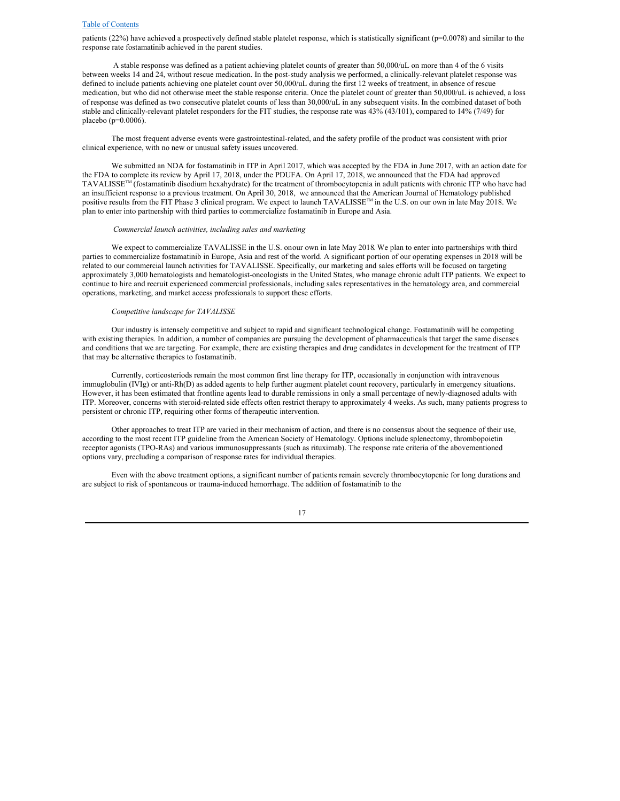patients (22%) have achieved a prospectively defined stable platelet response, which is statistically significant (p=0.0078) and similar to the response rate fostamatinib achieved in the parent studies.

A stable response was defined as a patient achieving platelet counts of greater than 50,000/uL on more than 4 of the 6 visits between weeks 14 and 24, without rescue medication. In the post-study analysis we performed, a clinically-relevant platelet response was defined to include patients achieving one platelet count over 50,000/uL during the first 12 weeks of treatment, in absence of rescue medication, but who did not otherwise meet the stable response criteria. Once the platelet count of greater than 50,000/uL is achieved, a loss of response was defined as two consecutive platelet counts of less than 30,000/uL in any subsequent visits. In the combined dataset of both stable and clinically-relevant platelet responders for the FIT studies, the response rate was 43% (43/101), compared to 14% (7/49) for placebo (p=0.0006).

The most frequent adverse events were gastrointestinal-related, and the safety profile of the product was consistent with prior clinical experience, with no new or unusual safety issues uncovered.

We submitted an NDA for fostamatinib in ITP in April 2017, which was accepted by the FDA in June 2017, with an action date for the FDA to complete its review by April 17, 2018, under the PDUFA. On April 17, 2018, we announced that the FDA had approved TAVALISSE™ (fostamatinib disodium hexahydrate) for the treatment of thrombocytopenia in adult patients with chronic ITP who have had an insufficient response to a previous treatment. On April 30, 2018, we announced that the American Journal of Hematology published positive results from the FIT Phase 3 clinical program. We expect to launch  $TAVALISE^{TM}$  in the U.S. on our own in late May 2018. We plan to enter into partnership with third parties to commercialize fostamatinib in Europe and Asia.

# *Commercial launch activities, including sales and marketing*

We expect to commercialize TAVALISSE in the U.S. onour own in late May 2018. We plan to enter into partnerships with third parties to commercialize fostamatinib in Europe, Asia and rest of the world. A significant portion of our operating expenses in 2018 will be related to our commercial launch activities for TAVALISSE. Specifically, our marketing and sales efforts will be focused on targeting approximately 3,000 hematologists and hematologist-oncologists in the United States, who manage chronic adult ITP patients. We expect to continue to hire and recruit experienced commercial professionals, including sales representatives in the hematology area, and commercial operations, marketing, and market access professionals to support these efforts.

#### *Competitive landscape for TAVALISSE*

Our industry is intensely competitive and subject to rapid and significant technological change. Fostamatinib will be competing with existing therapies. In addition, a number of companies are pursuing the development of pharmaceuticals that target the same diseases and conditions that we are targeting. For example, there are existing therapies and drug candidates in development for the treatment of ITP that may be alternative therapies to fostamatinib.

Currently, corticosteriods remain the most common first line therapy for ITP, occasionally in conjunction with intravenous immuglobulin (IVIg) or anti-Rh(D) as added agents to help further augment platelet count recovery, particularly in emergency situations. However, it has been estimated that frontline agents lead to durable remissions in only a small percentage of newly-diagnosed adults with ITP. Moreover, concerns with steroid-related side effects often restrict therapy to approximately 4 weeks. As such, many patients progress to persistent or chronic ITP, requiring other forms of therapeutic intervention.

Other approaches to treat ITP are varied in their mechanism of action, and there is no consensus about the sequence of their use, according to the most recent ITP guideline from the American Society of Hematology. Options include splenectomy, thrombopoietin receptor agonists (TPO-RAs) and various immunosuppressants (such as rituximab). The response rate criteria of the abovementioned options vary, precluding a comparison of response rates for individual therapies.

Even with the above treatment options, a significant number of patients remain severely thrombocytopenic for long durations and are subject to risk of spontaneous or trauma-induced hemorrhage. The addition of fostamatinib to the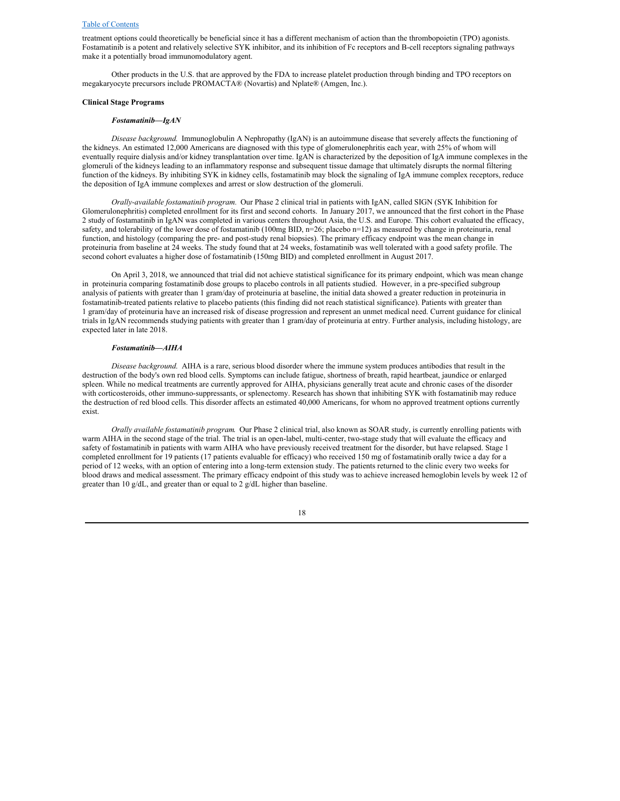treatment options could theoretically be beneficial since it has a different mechanism of action than the thrombopoietin (TPO) agonists. Fostamatinib is a potent and relatively selective SYK inhibitor, and its inhibition of Fc receptors and B-cell receptors signaling pathways make it a potentially broad immunomodulatory agent.

Other products in the U.S. that are approved by the FDA to increase platelet production through binding and TPO receptors on megakaryocyte precursors include PROMACTA® (Novartis) and Nplate® (Amgen, Inc.).

## **Clinical Stage Programs**

## *Fostamatinib—IgAN*

*Disease background.* Immunoglobulin A Nephropathy (IgAN) is an autoimmune disease that severely affects the functioning of the kidneys. An estimated 12,000 Americans are diagnosed with this type of glomerulonephritis each year, with 25% of whom will eventually require dialysis and/or kidney transplantation over time. IgAN is characterized by the deposition of IgA immune complexes in the glomeruli of the kidneys leading to an inflammatory response and subsequent tissue damage that ultimately disrupts the normal filtering function of the kidneys. By inhibiting SYK in kidney cells, fostamatinib may block the signaling of IgA immune complex receptors, reduce the deposition of IgA immune complexes and arrest or slow destruction of the glomeruli.

*Orally-available fostamatinib program.* Our Phase 2 clinical trial in patients with IgAN, called SIGN (SYK Inhibition for Glomerulonephritis) completed enrollment for its first and second cohorts. In January 2017, we announced that the first cohort in the Phase 2 study of fostamatinib in IgAN was completed in various centers throughout Asia, the U.S. and Europe. This cohort evaluated the efficacy, safety, and tolerability of the lower dose of fostamatinib (100mg BID, n=26; placebo n=12) as measured by change in proteinuria, renal function, and histology (comparing the pre- and post-study renal biopsies). The primary efficacy endpoint was the mean change in proteinuria from baseline at 24 weeks. The study found that at 24 weeks, fostamatinib was well tolerated with a good safety profile. The second cohort evaluates a higher dose of fostamatinib (150mg BID) and completed enrollment in August 2017.

On April 3, 2018, we announced that trial did not achieve statistical significance for its primary endpoint, which was mean change in proteinuria comparing fostamatinib dose groups to placebo controls in all patients studied. However, in a pre-specified subgroup analysis of patients with greater than 1 gram/day of proteinuria at baseline, the initial data showed a greater reduction in proteinuria in fostamatinib-treated patients relative to placebo patients (this finding did not reach statistical significance). Patients with greater than 1 gram/day of proteinuria have an increased risk of disease progression and represent an unmet medical need. Current guidance for clinical trials in IgAN recommends studying patients with greater than 1 gram/day of proteinuria at entry. Further analysis, including histology, are expected later in late 2018.

## *Fostamatinib—AIHA*

*Disease background*. AIHA is a rare, serious blood disorder where the immune system produces antibodies that result in the destruction of the body's own red blood cells. Symptoms can include fatigue, shortness of breath, rapid heartbeat, jaundice or enlarged spleen. While no medical treatments are currently approved for AIHA, physicians generally treat acute and chronic cases of the disorder with corticosteroids, other immuno-suppressants, or splenectomy. Research has shown that inhibiting SYK with fostamatinib may reduce the destruction of red blood cells. This disorder affects an estimated 40,000 Americans, for whom no approved treatment options currently exist.

*Orally available fostamatinib program*. Our Phase 2 clinical trial, also known as SOAR study, is currently enrolling patients with warm AIHA in the second stage of the trial. The trial is an open-label, multi-center, two-stage study that will evaluate the efficacy and safety of fostamatinib in patients with warm AIHA who have previously received treatment for the disorder, but have relapsed. Stage 1 completed enrollment for 19 patients (17 patients evaluable for efficacy) who received 150 mg of fostamatinib orally twice a day for a period of 12 weeks, with an option of entering into a long-term extension study. The patients returned to the clinic every two weeks for blood draws and medical assessment. The primary efficacy endpoint of this study was to achieve increased hemoglobin levels by week 12 of greater than 10 g/dL, and greater than or equal to 2 g/dL higher than baseline.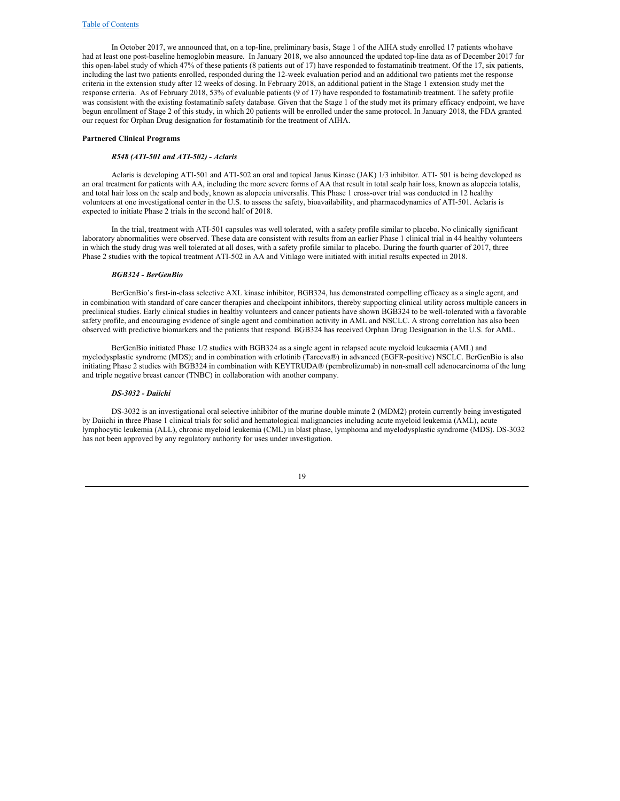In October 2017, we announced that, on a top-line, preliminary basis, Stage 1 of the AIHA study enrolled 17 patients who have had at least one post-baseline hemoglobin measure. In January 2018, we also announced the updated top-line data as of December 2017 for this open-label study of which 47% of these patients (8 patients out of 17) have responded to fostamatinib treatment. Of the 17, six patients, including the last two patients enrolled, responded during the 12-week evaluation period and an additional two patients met the response criteria in the extension study after 12 weeks of dosing. In February 2018, an additional patient in the Stage 1 extension study met the response criteria. As of February 2018, 53% of evaluable patients (9 of 17) have responded to fostamatinib treatment. The safety profile was consistent with the existing fostamatinib safety database. Given that the Stage 1 of the study met its primary efficacy endpoint, we have begun enrollment of Stage 2 of this study, in which 20 patients will be enrolled under the same protocol. In January 2018, the FDA granted our request for Orphan Drug designation for fostamatinib for the treatment of AIHA.

## **Partnered Clinical Programs**

## *R548 (ATI-501 and ATI-502) - Aclaris*

Aclaris is developing ATI-501 and ATI-502 an oral and topical Janus Kinase (JAK) 1/3 inhibitor. ATI- 501 is being developed as an oral treatment for patients with AA, including the more severe forms of AA that result in total scalp hair loss, known as alopecia totalis, and total hair loss on the scalp and body, known as alopecia universalis. This Phase 1 cross-over trial was conducted in 12 healthy volunteers at one investigational center in the U.S. to assess the safety, bioavailability, and pharmacodynamics of ATI-501. Aclaris is expected to initiate Phase 2 trials in the second half of 2018.

In the trial, treatment with ATI-501 capsules was well tolerated, with a safety profile similar to placebo. No clinically significant laboratory abnormalities were observed. These data are consistent with results from an earlier Phase 1 clinical trial in 44 healthy volunteers in which the study drug was well tolerated at all doses, with a safety profile similar to placebo. During the fourth quarter of 2017, three Phase 2 studies with the topical treatment ATI-502 in AA and Vitilago were initiated with initial results expected in 2018.

#### *BGB324 - BerGenBio*

BerGenBio's first-in-class selective AXL kinase inhibitor, BGB324, has demonstrated compelling efficacy as a single agent, and in combination with standard of care cancer therapies and checkpoint inhibitors, thereby supporting clinical utility across multiple cancers in preclinical studies. Early clinical studies in healthy volunteers and cancer patients have shown BGB324 to be well-tolerated with a favorable safety profile, and encouraging evidence of single agent and combination activity in AML and NSCLC. A strong correlation has also been observed with predictive biomarkers and the patients that respond. BGB324 has received Orphan Drug Designation in the U.S. for AML.

BerGenBio initiated Phase 1/2 studies with BGB324 as a single agent in relapsed acute myeloid leukaemia (AML) and myelodysplastic syndrome (MDS); and in combination with erlotinib (Tarceva®) in advanced (EGFR-positive) NSCLC. BerGenBio is also initiating Phase 2 studies with BGB324 in combination with KEYTRUDA® (pembrolizumab) in non-small cell adenocarcinoma of the lung and triple negative breast cancer (TNBC) in collaboration with another company.

## *DS-3032 - Daiichi*

DS-3032 is an investigational oral selective inhibitor of the murine double minute 2 (MDM2) protein currently being investigated by Daiichi in three Phase 1 clinical trials for solid and hematological malignancies including acute myeloid leukemia (AML), acute lymphocytic leukemia (ALL), chronic myeloid leukemia (CML) in blast phase, lymphoma and myelodysplastic syndrome (MDS). DS-3032 has not been approved by any regulatory authority for uses under investigation.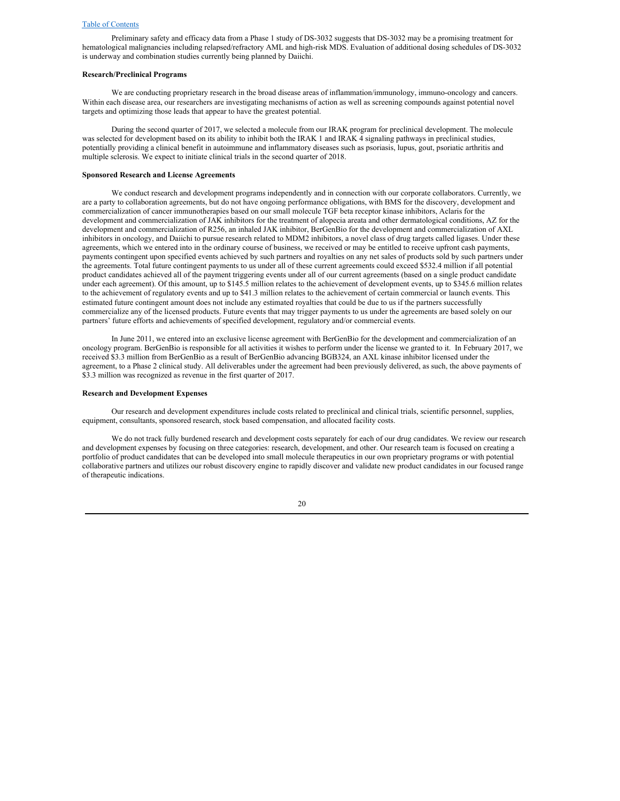Preliminary safety and efficacy data from a Phase 1 study of DS-3032 suggests that DS-3032 may be a promising treatment for hematological malignancies including relapsed/refractory AML and high-risk MDS. Evaluation of additional dosing schedules of DS-3032 is underway and combination studies currently being planned by Daiichi.

#### **Research/Preclinical Programs**

We are conducting proprietary research in the broad disease areas of inflammation/immunology, immuno-oncology and cancers. Within each disease area, our researchers are investigating mechanisms of action as well as screening compounds against potential novel targets and optimizing those leads that appear to have the greatest potential.

During the second quarter of 2017, we selected a molecule from our IRAK program for preclinical development. The molecule was selected for development based on its ability to inhibit both the IRAK 1 and IRAK 4 signaling pathways in preclinical studies, potentially providing a clinical benefit in autoimmune and inflammatory diseases such as psoriasis, lupus, gout, psoriatic arthritis and multiple sclerosis. We expect to initiate clinical trials in the second quarter of 2018.

#### **Sponsored Research and License Agreements**

We conduct research and development programs independently and in connection with our corporate collaborators. Currently, we are a party to collaboration agreements, but do not have ongoing performance obligations, with BMS for the discovery, development and commercialization of cancer immunotherapies based on our small molecule TGF beta receptor kinase inhibitors, Aclaris for the development and commercialization of JAK inhibitors for the treatment of alopecia areata and other dermatological conditions, AZ for the development and commercialization of R256, an inhaled JAK inhibitor, BerGenBio for the development and commercialization of AXL inhibitors in oncology, and Daiichi to pursue research related to MDM2 inhibitors, a novel class of drug targets called ligases. Under these agreements, which we entered into in the ordinary course of business, we received or may be entitled to receive upfront cash payments, payments contingent upon specified events achieved by such partners and royalties on any net sales of products sold by such partners under the agreements. Total future contingent payments to us under all of these current agreements could exceed \$532.4 million if all potential product candidates achieved all of the payment triggering events under all of our current agreements (based on a single product candidate under each agreement). Of this amount, up to \$145.5 million relates to the achievement of development events, up to \$345.6 million relates to the achievement of regulatory events and up to \$41.3 million relates to the achievement of certain commercial or launch events. This estimated future contingent amount does not include any estimated royalties that could be due to us if the partners successfully commercialize any of the licensed products. Future events that may trigger payments to us under the agreements are based solely on our partners' future efforts and achievements of specified development, regulatory and/or commercial events.

In June 2011, we entered into an exclusive license agreement with BerGenBio for the development and commercialization of an oncology program. BerGenBio is responsible for all activities it wishes to perform under the license we granted to it. In February 2017, we received \$3.3 million from BerGenBio as a result of BerGenBio advancing BGB324, an AXL kinase inhibitor licensed under the agreement, to a Phase 2 clinical study. All deliverables under the agreement had been previously delivered, as such, the above payments of \$3.3 million was recognized as revenue in the first quarter of 2017.

## **Research and Development Expenses**

Our research and development expenditures include costs related to preclinical and clinical trials, scientific personnel, supplies, equipment, consultants, sponsored research, stock based compensation, and allocated facility costs.

We do not track fully burdened research and development costs separately for each of our drug candidates. We review our research and development expenses by focusing on three categories: research, development, and other. Our research team is focused on creating a portfolio of product candidates that can be developed into small molecule therapeutics in our own proprietary programs or with potential collaborative partners and utilizes our robust discovery engine to rapidly discover and validate new product candidates in our focused range of therapeutic indications.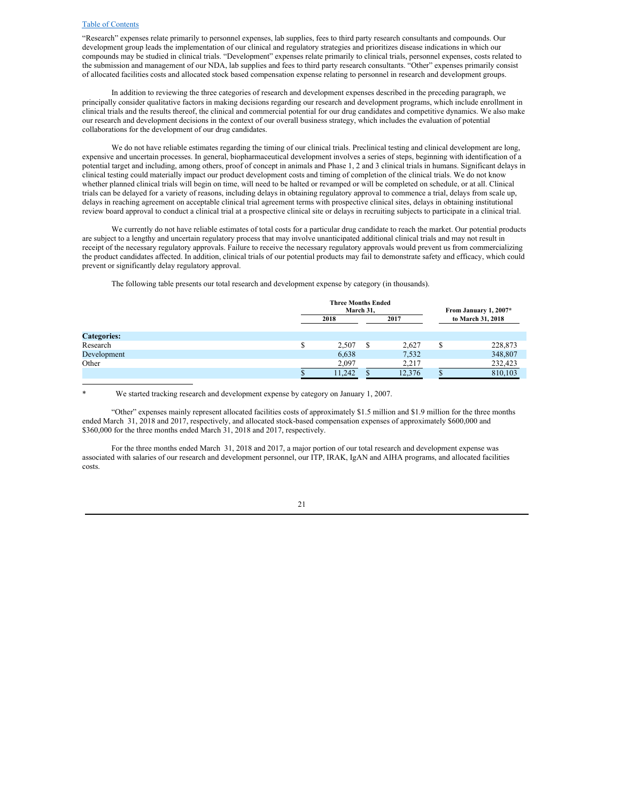"Research" expenses relate primarily to personnel expenses, lab supplies, fees to third party research consultants and compounds. Our development group leads the implementation of our clinical and regulatory strategies and prioritizes disease indications in which our compounds may be studied in clinical trials. "Development" expenses relate primarily to clinical trials, personnel expenses, costs related to the submission and management of our NDA, lab supplies and fees to third party research consultants. "Other" expenses primarily consist of allocated facilities costs and allocated stock based compensation expense relating to personnel in research and development groups.

In addition to reviewing the three categories of research and development expenses described in the preceding paragraph, we principally consider qualitative factors in making decisions regarding our research and development programs, which include enrollment in clinical trials and the results thereof, the clinical and commercial potential for our drug candidates and competitive dynamics. We also make our research and development decisions in the context of our overall business strategy, which includes the evaluation of potential collaborations for the development of our drug candidates.

We do not have reliable estimates regarding the timing of our clinical trials. Preclinical testing and clinical development are long, expensive and uncertain processes. In general, biopharmaceutical development involves a series of steps, beginning with identification of a potential target and including, among others, proof of concept in animals and Phase 1, 2 and 3 clinical trials in humans. Significant delays in clinical testing could materially impact our product development costs and timing of completion of the clinical trials. We do not know whether planned clinical trials will begin on time, will need to be halted or revamped or will be completed on schedule, or at all. Clinical trials can be delayed for a variety of reasons, including delays in obtaining regulatory approval to commence a trial, delays from scale up, delays in reaching agreement on acceptable clinical trial agreement terms with prospective clinical sites, delays in obtaining institutional review board approval to conduct a clinical trial at a prospective clinical site or delays in recruiting subjects to participate in a clinical trial.

We currently do not have reliable estimates of total costs for a particular drug candidate to reach the market. Our potential products are subject to a lengthy and uncertain regulatory process that may involve unanticipated additional clinical trials and may not result in receipt of the necessary regulatory approvals. Failure to receive the necessary regulatory approvals would prevent us from commercializing the product candidates affected. In addition, clinical trials of our potential products may fail to demonstrate safety and efficacy, which could prevent or significantly delay regulatory approval.

The following table presents our total research and development expense by category (in thousands).

|                    | <b>Three Months Ended</b><br>March 31, |   | From January 1, 2007* |                   |         |  |
|--------------------|----------------------------------------|---|-----------------------|-------------------|---------|--|
|                    | 2017<br>2018                           |   |                       | to March 31, 2018 |         |  |
| <b>Categories:</b> |                                        |   |                       |                   |         |  |
| Research           | 2,507                                  | S | 2.627                 |                   | 228,873 |  |
| Development        | 6,638                                  |   | 7,532                 |                   | 348,807 |  |
| Other              | 2,097                                  |   | 2,217                 |                   | 232,423 |  |
|                    | 11.242                                 |   | 12.376                |                   | 810.103 |  |

We started tracking research and development expense by category on January 1, 2007.

"Other" expenses mainly represent allocated facilities costs of approximately \$1.5 million and \$1.9 million for the three months ended March 31, 2018 and 2017, respectively, and allocated stock-based compensation expenses of approximately \$600,000 and \$360,000 for the three months ended March 31, 2018 and 2017, respectively.

For the three months ended March 31, 2018 and 2017, a major portion of our total research and development expense was associated with salaries of our research and development personnel, our ITP, IRAK, IgAN and AIHA programs, and allocated facilities costs.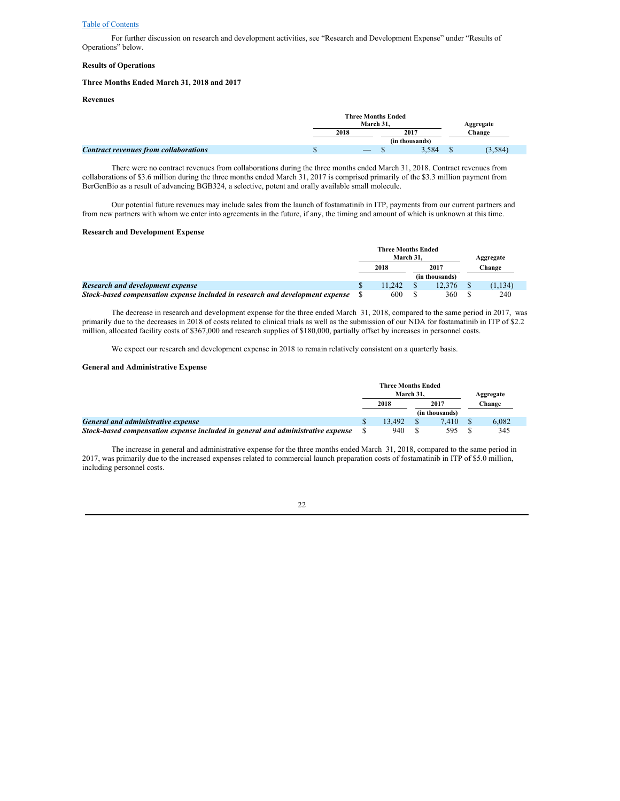For further discussion on research and development activities, see "Research and Development Expense" under "Results of Operations" below.

## **Results of Operations**

## **Three Months Ended March 31, 2018 and 2017**

# **Revenues**

|                                              | <b>Three Months Ended</b> |                |           |         |  |
|----------------------------------------------|---------------------------|----------------|-----------|---------|--|
|                                              | March 31                  |                | Aggregate |         |  |
|                                              | 2018                      | 2017           | Change    |         |  |
|                                              |                           | (in thousands) |           |         |  |
| <b>Contract revenues from collaborations</b> | _                         | 3.584          |           | (3.584) |  |

There were no contract revenues from collaborations during the three months ended March 31, 2018. Contract revenues from collaborations of \$3.6 million during the three months ended March 31, 2017 is comprised primarily of the \$3.3 million payment from BerGenBio as a result of advancing BGB324, a selective, potent and orally available small molecule.

Our potential future revenues may include sales from the launch of fostamatinib in ITP, payments from our current partners and from new partners with whom we enter into agreements in the future, if any, the timing and amount of which is unknown at this time.

## **Research and Development Expense**

|                                                                               | <b>Three Months Ended</b> |       |      |                |           |         |
|-------------------------------------------------------------------------------|---------------------------|-------|------|----------------|-----------|---------|
|                                                                               | March 31.                 |       |      |                | Aggregate |         |
|                                                                               | 2018                      |       | 2017 |                |           | Change  |
|                                                                               |                           |       |      | (in thousands) |           |         |
| Research and development expense                                              |                           | 1.242 |      | 12.376         |           | (1.134) |
| Stock-based compensation expense included in research and development expense |                           | 600   |      | 360            |           | 240     |

The decrease in research and development expense for the three ended March 31, 2018, compared to the same period in 2017, was primarily due to the decreases in 2018 of costs related to clinical trials as well as the submission of our NDA for fostamatinib in ITP of \$2.2 million, allocated facility costs of \$367,000 and research supplies of \$180,000, partially offset by increases in personnel costs.

We expect our research and development expense in 2018 to remain relatively consistent on a quarterly basis.

## **General and Administrative Expense**

|                                                                                 |      | March 31. |      |                |  | Aggregate |
|---------------------------------------------------------------------------------|------|-----------|------|----------------|--|-----------|
|                                                                                 | 2018 |           | 2017 |                |  | Change    |
|                                                                                 |      |           |      | (in thousands) |  |           |
| General and administrative expense                                              |      | 13.492    |      | 7.410          |  | 6.082     |
| Stock-based compensation expense included in general and administrative expense |      | 940       |      | 595            |  | 345       |

The increase in general and administrative expense for the three months ended March 31, 2018, compared to the same period in 2017, was primarily due to the increased expenses related to commercial launch preparation costs of fostamatinib in ITP of \$5.0 million, including personnel costs.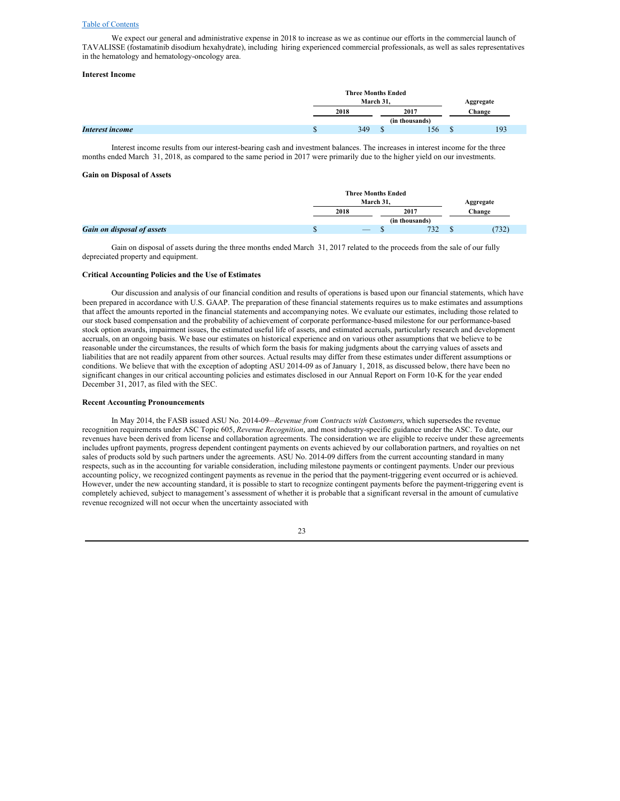We expect our general and administrative expense in 2018 to increase as we as continue our efforts in the commercial launch of TAVALISSE (fostamatinib disodium hexahydrate), including hiring experienced commercial professionals, as well as sales representatives in the hematology and hematology-oncology area.

#### **Interest Income**

|                        |   | <b>Three Months Ended</b><br>March 31. |             |                |  |        |
|------------------------|---|----------------------------------------|-------------|----------------|--|--------|
|                        |   | 2018                                   |             | 2017           |  | Change |
|                        |   |                                        |             | (in thousands) |  |        |
| <b>Interest income</b> | ъ | 349                                    | $\triangle$ | 156            |  | 193    |
|                        |   |                                        |             |                |  |        |

Interest income results from our interest-bearing cash and investment balances. The increases in interest income for the three months ended March 31, 2018, as compared to the same period in 2017 were primarily due to the higher yield on our investments.

#### **Gain on Disposal of Assets**

|                                   | <b>Three Months Ended</b><br>March 31. |      |                        |        |  | Aggregate |
|-----------------------------------|----------------------------------------|------|------------------------|--------|--|-----------|
|                                   |                                        | 2018 | 2017<br>(in thousands) | Change |  |           |
| <b>Gain on disposal of assets</b> |                                        | -    |                        | 732    |  | 732)      |

Gain on disposal of assets during the three months ended March 31, 2017 related to the proceeds from the sale of our fully depreciated property and equipment.

### **Critical Accounting Policies and the Use of Estimates**

Our discussion and analysis of our financial condition and results of operations is based upon our financial statements, which have been prepared in accordance with U.S. GAAP. The preparation of these financial statements requires us to make estimates and assumptions that affect the amounts reported in the financial statements and accompanying notes. We evaluate our estimates, including those related to our stock based compensation and the probability of achievement of corporate performance-based milestone for our performance-based stock option awards, impairment issues, the estimated useful life of assets, and estimated accruals, particularly research and development accruals, on an ongoing basis. We base our estimates on historical experience and on various other assumptions that we believe to be reasonable under the circumstances, the results of which form the basis for making judgments about the carrying values of assets and liabilities that are not readily apparent from other sources. Actual results may differ from these estimates under different assumptions or conditions. We believe that with the exception of adopting ASU 2014-09 as of January 1, 2018, as discussed below, there have been no significant changes in our critical accounting policies and estimates disclosed in our Annual Report on Form 10-K for the year ended December 31, 2017, as filed with the SEC.

#### **Recent Accounting Pronouncements**

In May 2014, the FASB issued ASU No. 2014-09—*Revenue from Contracts with Customers*, which supersedes the revenue recognition requirements under ASC Topic 605, *Revenue Recognition*, and most industry-specific guidance under the ASC. To date, our revenues have been derived from license and collaboration agreements. The consideration we are eligible to receive under these agreements includes upfront payments, progress dependent contingent payments on events achieved by our collaboration partners, and royalties on net sales of products sold by such partners under the agreements. ASU No. 2014-09 differs from the current accounting standard in many respects, such as in the accounting for variable consideration, including milestone payments or contingent payments. Under our previous accounting policy, we recognized contingent payments as revenue in the period that the payment-triggering event occurred or is achieved. However, under the new accounting standard, it is possible to start to recognize contingent payments before the payment-triggering event is completely achieved, subject to management's assessment of whether it is probable that a significant reversal in the amount of cumulative revenue recognized will not occur when the uncertainty associated with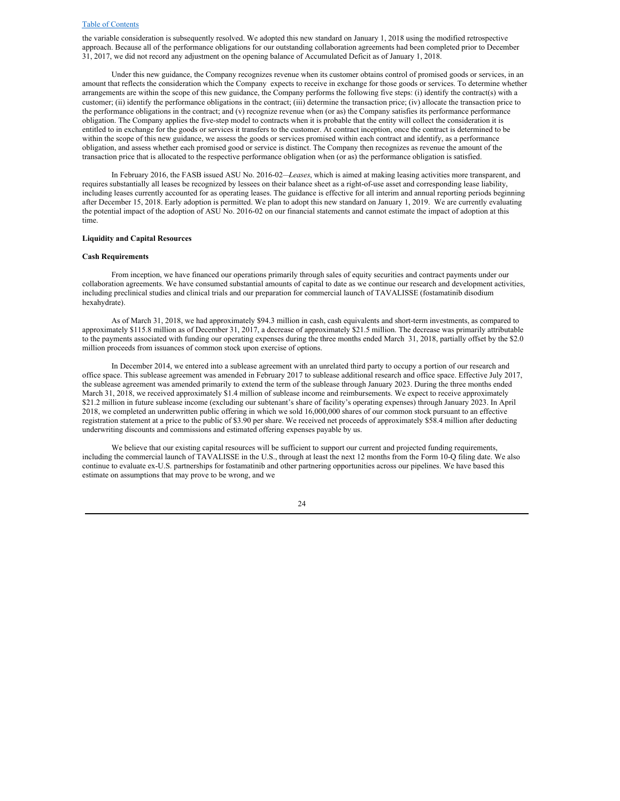the variable consideration is subsequently resolved. We adopted this new standard on January 1, 2018 using the modified retrospective approach. Because all of the performance obligations for our outstanding collaboration agreements had been completed prior to December 31, 2017, we did not record any adjustment on the opening balance of Accumulated Deficit as of January 1, 2018.

Under this new guidance, the Company recognizes revenue when its customer obtains control of promised goods or services, in an amount that reflects the consideration which the Company expects to receive in exchange for those goods or services. To determine whether arrangements are within the scope of this new guidance, the Company performs the following five steps: (i) identify the contract(s) with a customer; (ii) identify the performance obligations in the contract; (iii) determine the transaction price; (iv) allocate the transaction price to the performance obligations in the contract; and (v) recognize revenue when (or as) the Company satisfies its performance performance obligation. The Company applies the five-step model to contracts when it is probable that the entity will collect the consideration it is entitled to in exchange for the goods or services it transfers to the customer. At contract inception, once the contract is determined to be within the scope of this new guidance, we assess the goods or services promised within each contract and identify, as a performance obligation, and assess whether each promised good or service is distinct. The Company then recognizes as revenue the amount of the transaction price that is allocated to the respective performance obligation when (or as) the performance obligation is satisfied.

In February 2016, the FASB issued ASU No. 2016-02—*Leases*, which is aimed at making leasing activities more transparent, and requires substantially all leases be recognized by lessees on their balance sheet as a right-of-use asset and corresponding lease liability, including leases currently accounted for as operating leases. The guidance is effective for all interim and annual reporting periods beginning after December 15, 2018. Early adoption is permitted. We plan to adopt this new standard on January 1, 2019. We are currently evaluating the potential impact of the adoption of ASU No. 2016-02 on our financial statements and cannot estimate the impact of adoption at this time.

## **Liquidity and Capital Resources**

## **Cash Requirements**

From inception, we have financed our operations primarily through sales of equity securities and contract payments under our collaboration agreements. We have consumed substantial amounts of capital to date as we continue our research and development activities, including preclinical studies and clinical trials and our preparation for commercial launch of TAVALISSE (fostamatinib disodium hexahydrate).

As of March 31, 2018, we had approximately \$94.3 million in cash, cash equivalents and short-term investments, as compared to approximately \$115.8 million as of December 31, 2017, a decrease of approximately \$21.5 million. The decrease was primarily attributable to the payments associated with funding our operating expenses during the three months ended March 31, 2018, partially offset by the \$2.0 million proceeds from issuances of common stock upon exercise of options.

In December 2014, we entered into a sublease agreement with an unrelated third party to occupy a portion of our research and office space. This sublease agreement was amended in February 2017 to sublease additional research and office space. Effective July 2017, the sublease agreement was amended primarily to extend the term of the sublease through January 2023. During the three months ended March 31, 2018, we received approximately \$1.4 million of sublease income and reimbursements. We expect to receive approximately \$21.2 million in future sublease income (excluding our subtenant's share of facility's operating expenses) through January 2023. In April 2018, we completed an underwritten public offering in which we sold 16,000,000 shares of our common stock pursuant to an effective registration statement at a price to the public of \$3.90 per share. We received net proceeds of approximately \$58.4 million after deducting underwriting discounts and commissions and estimated offering expenses payable by us.

We believe that our existing capital resources will be sufficient to support our current and projected funding requirements, including the commercial launch of TAVALISSE in the U.S., through at least the next 12 months from the Form 10-Q filing date. We also continue to evaluate ex-U.S. partnerships for fostamatinib and other partnering opportunities across our pipelines. We have based this estimate on assumptions that may prove to be wrong, and we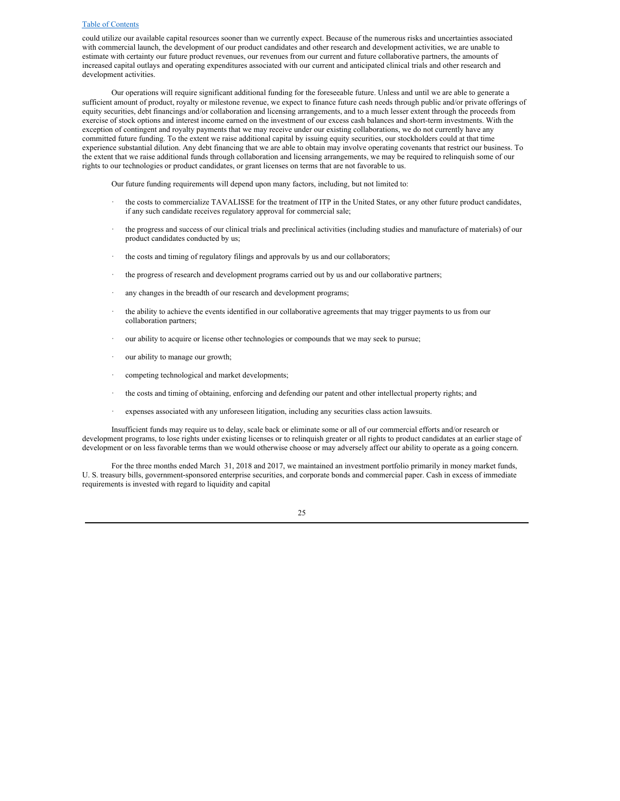could utilize our available capital resources sooner than we currently expect. Because of the numerous risks and uncertainties associated with commercial launch, the development of our product candidates and other research and development activities, we are unable to estimate with certainty our future product revenues, our revenues from our current and future collaborative partners, the amounts of increased capital outlays and operating expenditures associated with our current and anticipated clinical trials and other research and development activities.

Our operations will require significant additional funding for the foreseeable future. Unless and until we are able to generate a sufficient amount of product, royalty or milestone revenue, we expect to finance future cash needs through public and/or private offerings of equity securities, debt financings and/or collaboration and licensing arrangements, and to a much lesser extent through the proceeds from exercise of stock options and interest income earned on the investment of our excess cash balances and short-term investments. With the exception of contingent and royalty payments that we may receive under our existing collaborations, we do not currently have any committed future funding. To the extent we raise additional capital by issuing equity securities, our stockholders could at that time experience substantial dilution. Any debt financing that we are able to obtain may involve operating covenants that restrict our business. To the extent that we raise additional funds through collaboration and licensing arrangements, we may be required to relinquish some of our rights to our technologies or product candidates, or grant licenses on terms that are not favorable to us.

Our future funding requirements will depend upon many factors, including, but not limited to:

- the costs to commercialize TAVALISSE for the treatment of ITP in the United States, or any other future product candidates, if any such candidate receives regulatory approval for commercial sale;
- the progress and success of our clinical trials and preclinical activities (including studies and manufacture of materials) of our product candidates conducted by us;
- the costs and timing of regulatory filings and approvals by us and our collaborators;
- the progress of research and development programs carried out by us and our collaborative partners;
- any changes in the breadth of our research and development programs;
- the ability to achieve the events identified in our collaborative agreements that may trigger payments to us from our collaboration partners;
- our ability to acquire or license other technologies or compounds that we may seek to pursue;
- our ability to manage our growth;
- competing technological and market developments;
- the costs and timing of obtaining, enforcing and defending our patent and other intellectual property rights; and
- expenses associated with any unforeseen litigation, including any securities class action lawsuits.

Insufficient funds may require us to delay, scale back or eliminate some or all of our commercial efforts and/or research or development programs, to lose rights under existing licenses or to relinquish greater or all rights to product candidates at an earlier stage of development or on less favorable terms than we would otherwise choose or may adversely affect our ability to operate as a going concern.

For the three months ended March 31, 2018 and 2017, we maintained an investment portfolio primarily in money market funds, U. S. treasury bills, government‑sponsored enterprise securities, and corporate bonds and commercial paper. Cash in excess of immediate requirements is invested with regard to liquidity and capital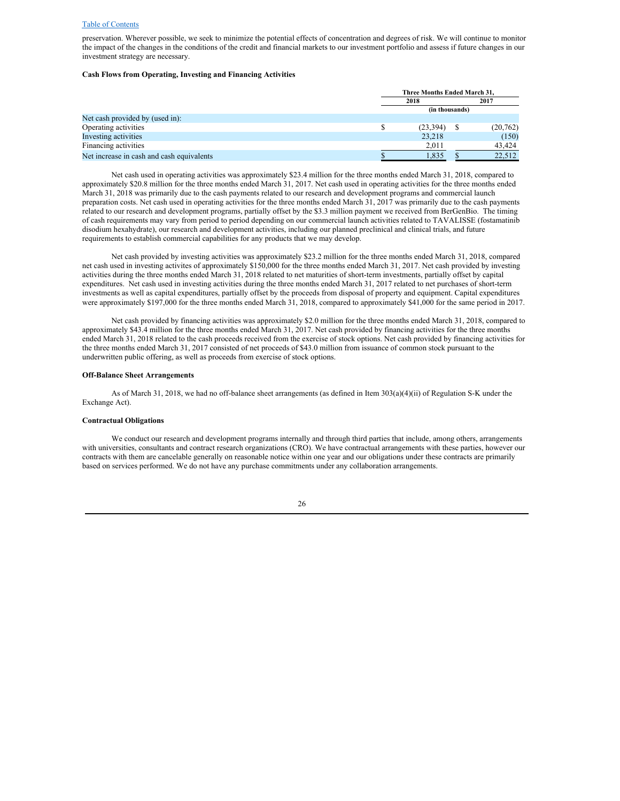preservation. Wherever possible, we seek to minimize the potential effects of concentration and degrees of risk. We will continue to monitor the impact of the changes in the conditions of the credit and financial markets to our investment portfolio and assess if future changes in our investment strategy are necessary.

## **Cash Flows from Operating, Investing and Financing Activities**

|                                           | Three Months Ended March 31. |  |           |  |  |  |
|-------------------------------------------|------------------------------|--|-----------|--|--|--|
|                                           | 2018                         |  | 2017      |  |  |  |
|                                           | (in thousands)               |  |           |  |  |  |
| Net cash provided by (used in):           |                              |  |           |  |  |  |
| Operating activities                      | (23, 394)                    |  | (20, 762) |  |  |  |
| Investing activities                      | 23,218                       |  | (150)     |  |  |  |
| Financing activities                      | 2.011                        |  | 43.424    |  |  |  |
| Net increase in cash and cash equivalents | 1.835                        |  | 22.512    |  |  |  |

Net cash used in operating activities was approximately \$23.4 million for the three months ended March 31, 2018, compared to approximately \$20.8 million for the three months ended March 31, 2017. Net cash used in operating activities for the three months ended March 31, 2018 was primarily due to the cash payments related to our research and development programs and commercial launch preparation costs. Net cash used in operating activities for the three months ended March 31, 2017 was primarily due to the cash payments related to our research and development programs, partially offset by the \$3.3 million payment we received from BerGenBio. The timing of cash requirements may vary from period to period depending on our commercial launch activities related to TAVALISSE (fostamatinib disodium hexahydrate), our research and development activities, including our planned preclinical and clinical trials, and future requirements to establish commercial capabilities for any products that we may develop.

Net cash provided by investing activities was approximately \$23.2 million for the three months ended March 31, 2018, compared net cash used in investing activites of approximately \$150,000 for the three months ended March 31, 2017. Net cash provided by investing activities during the three months ended March 31, 2018 related to net maturities of short-term investments, partially offset by capital expenditures. Net cash used in investing activities during the three months ended March 31, 2017 related to net purchases of short-term investments as well as capital expenditures, partially offset by the proceeds from disposal of property and equipment. Capital expenditures were approximately \$197,000 for the three months ended March 31, 2018, compared to approximately \$41,000 for the same period in 2017.

Net cash provided by financing activities was approximately \$2.0 million for the three months ended March 31, 2018, compared to approximately \$43.4 million for the three months ended March 31, 2017. Net cash provided by financing activities for the three months ended March 31, 2018 related to the cash proceeds received from the exercise of stock options. Net cash provided by financing activities for the three months ended March 31, 2017 consisted of net proceeds of \$43.0 million from issuance of common stock pursuant to the underwritten public offering, as well as proceeds from exercise of stock options.

#### **Off-Balance Sheet Arrangements**

As of March 31, 2018, we had no off-balance sheet arrangements (as defined in Item 303(a)(4)(ii) of Regulation S-K under the Exchange Act).

# **Contractual Obligations**

We conduct our research and development programs internally and through third parties that include, among others, arrangements with universities, consultants and contract research organizations (CRO). We have contractual arrangements with these parties, however our contracts with them are cancelable generally on reasonable notice within one year and our obligations under these contracts are primarily based on services performed. We do not have any purchase commitments under any collaboration arrangements.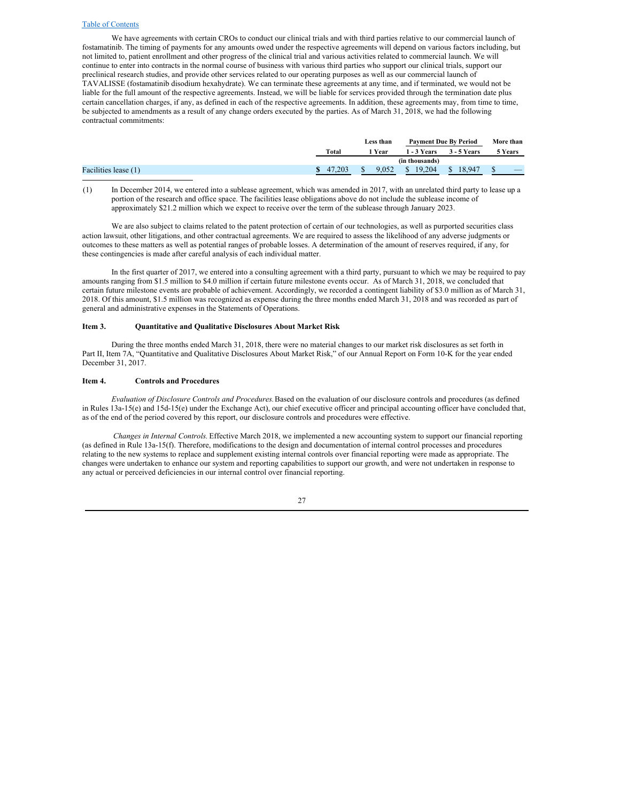We have agreements with certain CROs to conduct our clinical trials and with third parties relative to our commercial launch of fostamatinib. The timing of payments for any amounts owed under the respective agreements will depend on various factors including, but not limited to, patient enrollment and other progress of the clinical trial and various activities related to commercial launch. We will continue to enter into contracts in the normal course of business with various third parties who support our clinical trials, support our preclinical research studies, and provide other services related to our operating purposes as well as our commercial launch of TAVALISSE (fostamatinib disodium hexahydrate). We can terminate these agreements at any time, and if terminated, we would not be liable for the full amount of the respective agreements. Instead, we will be liable for services provided through the termination date plus certain cancellation charges, if any, as defined in each of the respective agreements. In addition, these agreements may, from time to time, be subjected to amendments as a result of any change orders executed by the parties. As of March 31, 2018, we had the following contractual commitments:

|                      |        | Less than |                        | <b>Payment Due By Period</b> | More than |
|----------------------|--------|-----------|------------------------|------------------------------|-----------|
|                      | Total  | Year      | 1 - 3 Years            | 3 - 5 Years                  | 5 Years   |
|                      |        |           | (in thousands)         |                              |           |
| Facilities lease (1) | 47.203 | 9.052     | 19.204<br><sup>S</sup> | 18.947                       |           |

(1) In December 2014, we entered into a sublease agreement, which was amended in 2017, with an unrelated third party to lease up a portion of the research and office space. The facilities lease obligations above do not include the sublease income of approximately \$21.2 million which we expect to receive over the term of the sublease through January 2023.

We are also subject to claims related to the patent protection of certain of our technologies, as well as purported securities class action lawsuit, other litigations, and other contractual agreements. We are required to assess the likelihood of any adverse judgments or outcomes to these matters as well as potential ranges of probable losses. A determination of the amount of reserves required, if any, for these contingencies is made after careful analysis of each individual matter.

In the first quarter of 2017, we entered into a consulting agreement with a third party, pursuant to which we may be required to pay amounts ranging from \$1.5 million to \$4.0 million if certain future milestone events occur. As of March 31, 2018, we concluded that certain future milestone events are probable of achievement. Accordingly, we recorded a contingent liability of \$3.0 million as of March 31, 2018. Of this amount, \$1.5 million was recognized as expense during the three months ended March 31, 2018 and was recorded as part of general and administrative expenses in the Statements of Operations.

## **Item 3. Quantitative and Qualitative Disclosures About Market Risk**

<span id="page-26-0"></span>During the three months ended March 31, 2018, there were no material changes to our market risk disclosures as set forth in Part II, Item 7A, "Quantitative and Qualitative Disclosures About Market Risk," of our Annual Report on Form 10-K for the year ended December 31, 2017.

#### <span id="page-26-1"></span>**Item 4. Controls and Procedures**

*Evaluation of Disclosure Controls and Procedures.*Based on the evaluation of our disclosure controls and procedures (as defined in Rules 13a-15(e) and 15d-15(e) under the Exchange Act), our chief executive officer and principal accounting officer have concluded that, as of the end of the period covered by this report, our disclosure controls and procedures were effective.

*Changes in Internal Controls.* Effective March 2018, we implemented a new accounting system to support our financial reporting (as defined in Rule 13a-15(f). Therefore, modifications to the design and documentation of internal control processes and procedures relating to the new systems to replace and supplement existing internal controls over financial reporting were made as appropriate. The changes were undertaken to enhance our system and reporting capabilities to support our growth, and were not undertaken in response to any actual or perceived deficiencies in our internal control over financial reporting.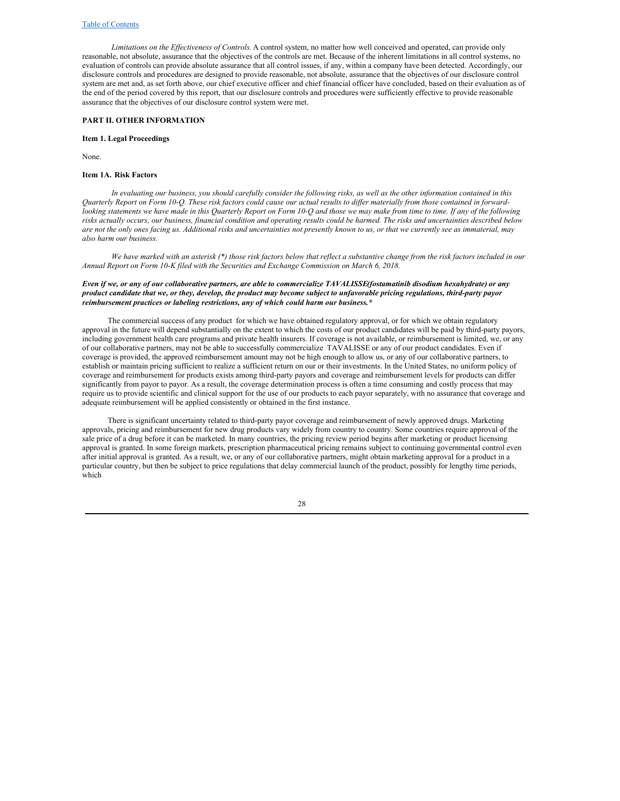*Limitations on the Ef ectiveness of Controls.* A control system, no matter how well conceived and operated, can provide only reasonable, not absolute, assurance that the objectives of the controls are met. Because of the inherent limitations in all control systems, no evaluation of controls can provide absolute assurance that all control issues, if any, within a company have been detected. Accordingly, our disclosure controls and procedures are designed to provide reasonable, not absolute, assurance that the objectives of our disclosure control system are met and, as set forth above, our chief executive officer and chief financial officer have concluded, based on their evaluation as of the end of the period covered by this report, that our disclosure controls and procedures were sufficiently effective to provide reasonable assurance that the objectives of our disclosure control system were met.

# <span id="page-27-0"></span>**PART II. OTHER INFORMATION**

## <span id="page-27-1"></span>**Item 1. Legal Proceedings**

None.

### <span id="page-27-2"></span>**Item 1A. Risk Factors**

In evaluating our business, you should carefully consider the following risks, as well as the other information contained in this Quarterly Report on Form 10-Q. These risk factors could cause our actual results to differ materially from those contained in forwardlooking statements we have made in this Quarterly Report on Form 10-Q and those we may make from time to time. If any of the following risks actually occurs, our business, financial condition and operating results could be harmed. The risks and uncertainties described below are not the only ones facing us. Additional risks and uncertainties not presently known to us, or that we currently see as immaterial, may *also harm our business.*

We have marked with an asterisk (\*) those risk factors below that reflect a substantive change from the risk factors included in our *Annual Report on Form 10-K filed with the Securities and Exchange Commission on March 6, 2018.*

## Even if we, or any of our collaborative partners, are able to commercialize TAVALISSE(fostamatinib disodium hexahydrate) or any product candidate that we, or they, develop, the product may become subject to unfavorable pricing regulations, third-party payor *reimbursement practices or labeling restrictions, any of which could harm our business.\**

The commercial success of any product for which we have obtained regulatory approval, or for which we obtain regulatory approval in the future will depend substantially on the extent to which the costs of our product candidates will be paid by third-party payors, including government health care programs and private health insurers. If coverage is not available, or reimbursement is limited, we, or any of our collaborative partners, may not be able to successfully commercialize TAVALISSE or any of our product candidates. Even if coverage is provided, the approved reimbursement amount may not be high enough to allow us, or any of our collaborative partners, to establish or maintain pricing sufficient to realize a sufficient return on our or their investments. In the United States, no uniform policy of coverage and reimbursement for products exists among third-party payors and coverage and reimbursement levels for products can differ significantly from payor to payor. As a result, the coverage determination process is often a time consuming and costly process that may require us to provide scientific and clinical support for the use of our products to each payor separately, with no assurance that coverage and adequate reimbursement will be applied consistently or obtained in the first instance.

There is significant uncertainty related to third-party payor coverage and reimbursement of newly approved drugs. Marketing approvals, pricing and reimbursement for new drug products vary widely from country to country. Some countries require approval of the sale price of a drug before it can be marketed. In many countries, the pricing review period begins after marketing or product licensing approval is granted. In some foreign markets, prescription pharmaceutical pricing remains subject to continuing governmental control even after initial approval is granted. As a result, we, or any of our collaborative partners, might obtain marketing approval for a product in a particular country, but then be subject to price regulations that delay commercial launch of the product, possibly for lengthy time periods, which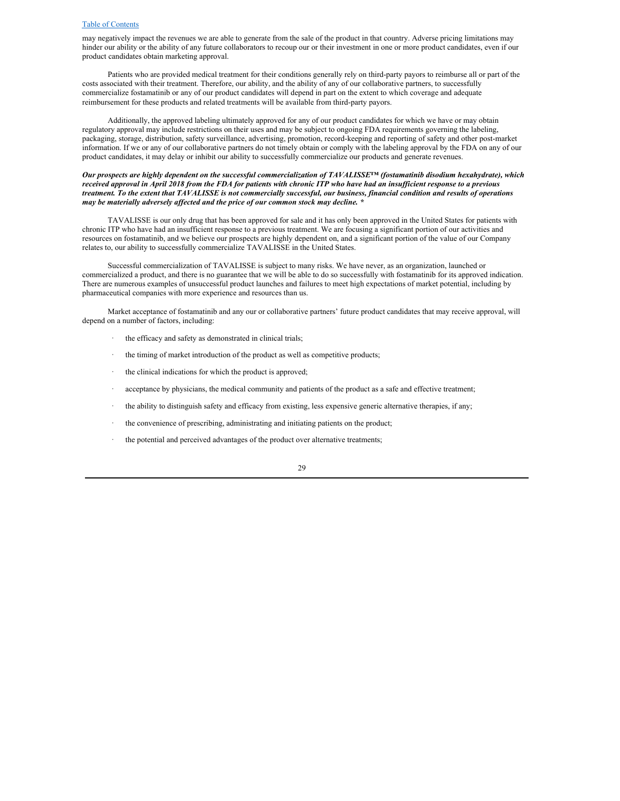may negatively impact the revenues we are able to generate from the sale of the product in that country. Adverse pricing limitations may hinder our ability or the ability of any future collaborators to recoup our or their investment in one or more product candidates, even if our product candidates obtain marketing approval.

Patients who are provided medical treatment for their conditions generally rely on third-party payors to reimburse all or part of the costs associated with their treatment. Therefore, our ability, and the ability of any of our collaborative partners, to successfully commercialize fostamatinib or any of our product candidates will depend in part on the extent to which coverage and adequate reimbursement for these products and related treatments will be available from third-party payors.

Additionally, the approved labeling ultimately approved for any of our product candidates for which we have or may obtain regulatory approval may include restrictions on their uses and may be subject to ongoing FDA requirements governing the labeling, packaging, storage, distribution, safety surveillance, advertising, promotion, record-keeping and reporting of safety and other post-market information. If we or any of our collaborative partners do not timely obtain or comply with the labeling approval by the FDA on any of our product candidates, it may delay or inhibit our ability to successfully commercialize our products and generate revenues.

## Our prospects are highly dependent on the successful commercialization of TAVALISSE<sup>TM</sup> (fostamatinib disodium hexahydrate), which received approval in April 2018 from the FDA for patients with chronic ITP who have had an insufficient response to a previous treatment. To the extent that TAVALISSE is not commercially successful, our business, financial condition and results of operations *may be materially adversely af ected and the price of our common stock may decline. \**

TAVALISSE is our only drug that has been approved for sale and it has only been approved in the United States for patients with chronic ITP who have had an insufficient response to a previous treatment. We are focusing a significant portion of our activities and resources on fostamatinib, and we believe our prospects are highly dependent on, and a significant portion of the value of our Company relates to, our ability to successfully commercialize TAVALISSE in the United States.

Successful commercialization of TAVALISSE is subject to many risks. We have never, as an organization, launched or commercialized a product, and there is no guarantee that we will be able to do so successfully with fostamatinib for its approved indication. There are numerous examples of unsuccessful product launches and failures to meet high expectations of market potential, including by pharmaceutical companies with more experience and resources than us.

Market acceptance of fostamatinib and any our or collaborative partners' future product candidates that may receive approval, will depend on a number of factors, including:

- the efficacy and safety as demonstrated in clinical trials;
- the timing of market introduction of the product as well as competitive products;
- the clinical indications for which the product is approved;
- acceptance by physicians, the medical community and patients of the product as a safe and effective treatment;
- the ability to distinguish safety and efficacy from existing, less expensive generic alternative therapies, if any;
- the convenience of prescribing, administrating and initiating patients on the product;
- the potential and perceived advantages of the product over alternative treatments;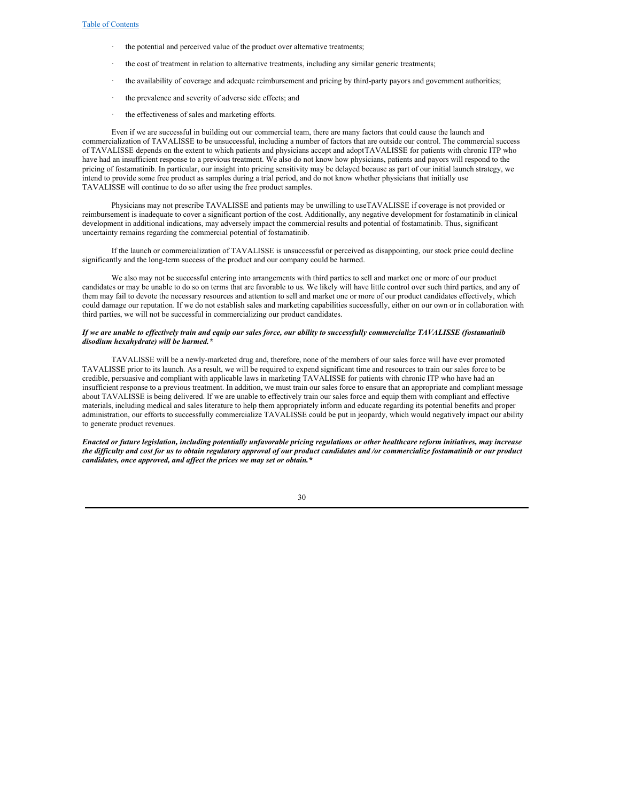- the potential and perceived value of the product over alternative treatments;
- the cost of treatment in relation to alternative treatments, including any similar generic treatments;
- the availability of coverage and adequate reimbursement and pricing by third-party payors and government authorities;
- the prevalence and severity of adverse side effects; and
- the effectiveness of sales and marketing efforts.

Even if we are successful in building out our commercial team, there are many factors that could cause the launch and commercialization of TAVALISSE to be unsuccessful, including a number of factors that are outside our control. The commercial success of TAVALISSE depends on the extent to which patients and physicians accept and adoptTAVALISSE for patients with chronic ITP who have had an insufficient response to a previous treatment. We also do not know how physicians, patients and payors will respond to the pricing of fostamatinib. In particular, our insight into pricing sensitivity may be delayed because as part of our initial launch strategy, we intend to provide some free product as samples during a trial period, and do not know whether physicians that initially use TAVALISSE will continue to do so after using the free product samples.

Physicians may not prescribe TAVALISSE and patients may be unwilling to useTAVALISSE if coverage is not provided or reimbursement is inadequate to cover a significant portion of the cost. Additionally, any negative development for fostamatinib in clinical development in additional indications, may adversely impact the commercial results and potential of fostamatinib. Thus, significant uncertainty remains regarding the commercial potential of fostamatinib.

If the launch or commercialization of TAVALISSE is unsuccessful or perceived as disappointing, our stock price could decline significantly and the long-term success of the product and our company could be harmed.

We also may not be successful entering into arrangements with third parties to sell and market one or more of our product candidates or may be unable to do so on terms that are favorable to us. We likely will have little control over such third parties, and any of them may fail to devote the necessary resources and attention to sell and market one or more of our product candidates effectively, which could damage our reputation. If we do not establish sales and marketing capabilities successfully, either on our own or in collaboration with third parties, we will not be successful in commercializing our product candidates.

## If we are unable to effectively train and equip our sales force, our ability to successfully commercialize TAVALISSE (fostamatinib *disodium hexahydrate) will be harmed.\**

TAVALISSE will be a newly-marketed drug and, therefore, none of the members of our sales force will have ever promoted TAVALISSE prior to its launch. As a result, we will be required to expend significant time and resources to train our sales force to be credible, persuasive and compliant with applicable laws in marketing TAVALISSE for patients with chronic ITP who have had an insufficient response to a previous treatment. In addition, we must train our sales force to ensure that an appropriate and compliant message about TAVALISSE is being delivered. If we are unable to effectively train our sales force and equip them with compliant and effective materials, including medical and sales literature to help them appropriately inform and educate regarding its potential benefits and proper administration, our efforts to successfully commercialize TAVALISSE could be put in jeopardy, which would negatively impact our ability to generate product revenues.

Enacted or future legislation, including potentially unfavorable pricing regulations or other healthcare reform initiatives, may increase the difficulty and cost for us to obtain regulatory approval of our product candidates and /or commercialize fostamatinib or our product *candidates, once approved, and af ect the prices we may set or obtain.\**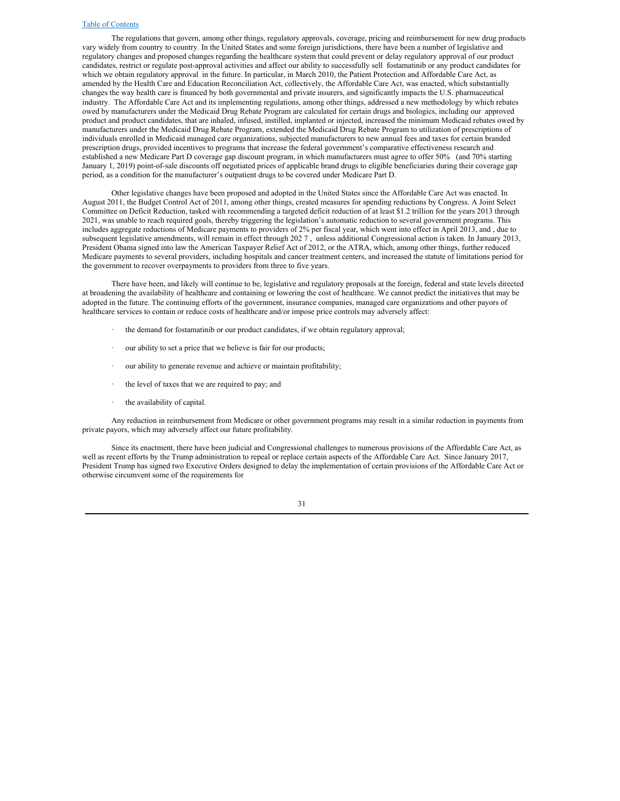The regulations that govern, among other things, regulatory approvals, coverage, pricing and reimbursement for new drug products vary widely from country to country. In the United States and some foreign jurisdictions, there have been a number of legislative and regulatory changes and proposed changes regarding the healthcare system that could prevent or delay regulatory approval of our product candidates, restrict or regulate post-approval activities and affect our ability to successfully sell fostamatinib or any product candidates for which we obtain regulatory approval in the future. In particular, in March 2010, the Patient Protection and Affordable Care Act, as amended by the Health Care and Education Reconciliation Act, collectively, the Affordable Care Act, was enacted, which substantially changes the way health care is financed by both governmental and private insurers, and significantly impacts the U.S. pharmaceutical industry. The Affordable Care Act and its implementing regulations, among other things, addressed a new methodology by which rebates owed by manufacturers under the Medicaid Drug Rebate Program are calculated for certain drugs and biologics, including our approved product and product candidates, that are inhaled, infused, instilled, implanted or injected, increased the minimum Medicaid rebates owed by manufacturers under the Medicaid Drug Rebate Program, extended the Medicaid Drug Rebate Program to utilization of prescriptions of individuals enrolled in Medicaid managed care organizations, subjected manufacturers to new annual fees and taxes for certain branded prescription drugs, provided incentives to programs that increase the federal government's comparative effectiveness research and established a new Medicare Part D coverage gap discount program, in which manufacturers must agree to offer 50% (and 70% starting January 1, 2019) point-of-sale discounts off negotiated prices of applicable brand drugs to eligible beneficiaries during their coverage gap period, as a condition for the manufacturer's outpatient drugs to be covered under Medicare Part D.

Other legislative changes have been proposed and adopted in the United States since the Affordable Care Act was enacted. In August 2011, the Budget Control Act of 2011, among other things, created measures for spending reductions by Congress. A Joint Select Committee on Deficit Reduction, tasked with recommending a targeted deficit reduction of at least \$1.2 trillion for the years 2013 through 2021, was unable to reach required goals, thereby triggering the legislation's automatic reduction to several government programs. This includes aggregate reductions of Medicare payments to providers of 2% per fiscal year, which went into effect in April 2013, and , due to subsequent legislative amendments, will remain in effect through 202 7 , unless additional Congressional action is taken. In January 2013, President Obama signed into law the American Taxpayer Relief Act of 2012, or the ATRA, which, among other things, further reduced Medicare payments to several providers, including hospitals and cancer treatment centers, and increased the statute of limitations period for the government to recover overpayments to providers from three to five years.

There have been, and likely will continue to be, legislative and regulatory proposals at the foreign, federal and state levels directed at broadening the availability of healthcare and containing or lowering the cost of healthcare. We cannot predict the initiatives that may be adopted in the future. The continuing efforts of the government, insurance companies, managed care organizations and other payors of healthcare services to contain or reduce costs of healthcare and/or impose price controls may adversely affect:

- the demand for fostamatinib or our product candidates, if we obtain regulatory approval;
- our ability to set a price that we believe is fair for our products;
- our ability to generate revenue and achieve or maintain profitability;
- the level of taxes that we are required to pay; and
- · the availability of capital.

Any reduction in reimbursement from Medicare or other government programs may result in a similar reduction in payments from private payors, which may adversely affect our future profitability.

Since its enactment, there have been judicial and Congressional challenges to numerous provisions of the Affordable Care Act, as well as recent efforts by the Trump administration to repeal or replace certain aspects of the Affordable Care Act. Since January 2017, President Trump has signed two Executive Orders designed to delay the implementation of certain provisions of the Affordable Care Act or otherwise circumvent some of the requirements for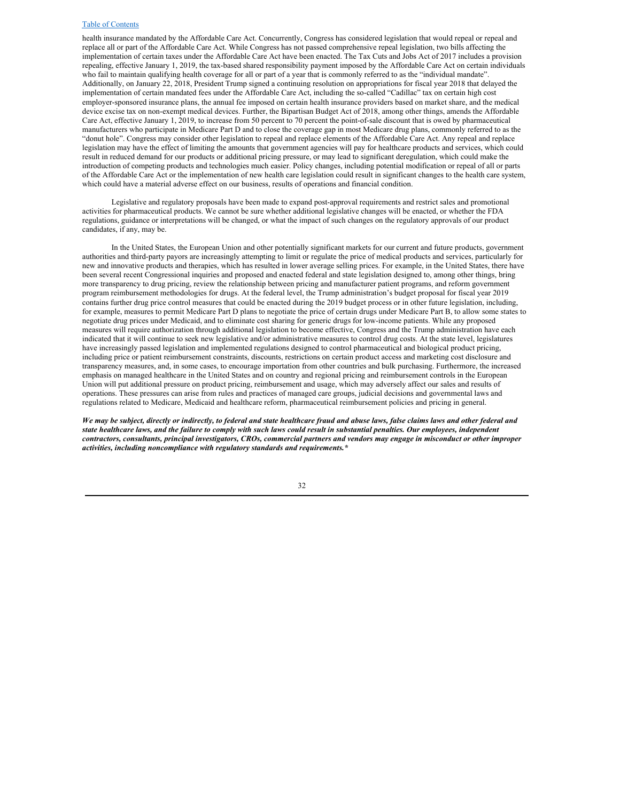health insurance mandated by the Affordable Care Act. Concurrently, Congress has considered legislation that would repeal or repeal and replace all or part of the Affordable Care Act. While Congress has not passed comprehensive repeal legislation, two bills affecting the implementation of certain taxes under the Affordable Care Act have been enacted. The Tax Cuts and Jobs Act of 2017 includes a provision repealing, effective January 1, 2019, the tax-based shared responsibility payment imposed by the Affordable Care Act on certain individuals who fail to maintain qualifying health coverage for all or part of a year that is commonly referred to as the "individual mandate". Additionally, on January 22, 2018, President Trump signed a continuing resolution on appropriations for fiscal year 2018 that delayed the implementation of certain mandated fees under the Affordable Care Act, including the so-called "Cadillac" tax on certain high cost employer-sponsored insurance plans, the annual fee imposed on certain health insurance providers based on market share, and the medical device excise tax on non-exempt medical devices. Further, the Bipartisan Budget Act of 2018, among other things, amends the Affordable Care Act, effective January 1, 2019, to increase from 50 percent to 70 percent the point-of-sale discount that is owed by pharmaceutical manufacturers who participate in Medicare Part D and to close the coverage gap in most Medicare drug plans, commonly referred to as the "donut hole". Congress may consider other legislation to repeal and replace elements of the Affordable Care Act. Any repeal and replace legislation may have the effect of limiting the amounts that government agencies will pay for healthcare products and services, which could result in reduced demand for our products or additional pricing pressure, or may lead to significant deregulation, which could make the introduction of competing products and technologies much easier. Policy changes, including potential modification or repeal of all or parts of the Affordable Care Act or the implementation of new health care legislation could result in significant changes to the health care system, which could have a material adverse effect on our business, results of operations and financial condition.

Legislative and regulatory proposals have been made to expand post-approval requirements and restrict sales and promotional activities for pharmaceutical products. We cannot be sure whether additional legislative changes will be enacted, or whether the FDA regulations, guidance or interpretations will be changed, or what the impact of such changes on the regulatory approvals of our product candidates, if any, may be.

In the United States, the European Union and other potentially significant markets for our current and future products, government authorities and third-party payors are increasingly attempting to limit or regulate the price of medical products and services, particularly for new and innovative products and therapies, which has resulted in lower average selling prices. For example, in the United States, there have been several recent Congressional inquiries and proposed and enacted federal and state legislation designed to, among other things, bring more transparency to drug pricing, review the relationship between pricing and manufacturer patient programs, and reform government program reimbursement methodologies for drugs. At the federal level, the Trump administration's budget proposal for fiscal year 2019 contains further drug price control measures that could be enacted during the 2019 budget process or in other future legislation, including, for example, measures to permit Medicare Part D plans to negotiate the price of certain drugs under Medicare Part B, to allow some states to negotiate drug prices under Medicaid, and to eliminate cost sharing for generic drugs for low-income patients. While any proposed measures will require authorization through additional legislation to become effective, Congress and the Trump administration have each indicated that it will continue to seek new legislative and/or administrative measures to control drug costs. At the state level, legislatures have increasingly passed legislation and implemented regulations designed to control pharmaceutical and biological product pricing, including price or patient reimbursement constraints, discounts, restrictions on certain product access and marketing cost disclosure and transparency measures, and, in some cases, to encourage importation from other countries and bulk purchasing. Furthermore, the increased emphasis on managed healthcare in the United States and on country and regional pricing and reimbursement controls in the European Union will put additional pressure on product pricing, reimbursement and usage, which may adversely affect our sales and results of operations. These pressures can arise from rules and practices of managed care groups, judicial decisions and governmental laws and regulations related to Medicare, Medicaid and healthcare reform, pharmaceutical reimbursement policies and pricing in general.

We may be subject, directly or indirectly, to federal and state healthcare fraud and abuse laws, false claims laws and other federal and state healthcare laws, and the failure to comply with such laws could result in substantial penalties. Our employees, independent contractors, consultants, principal investigators, CROs, commercial partners and vendors may engage in misconduct or other improper *activities, including noncompliance with regulatory standards and requirements.\**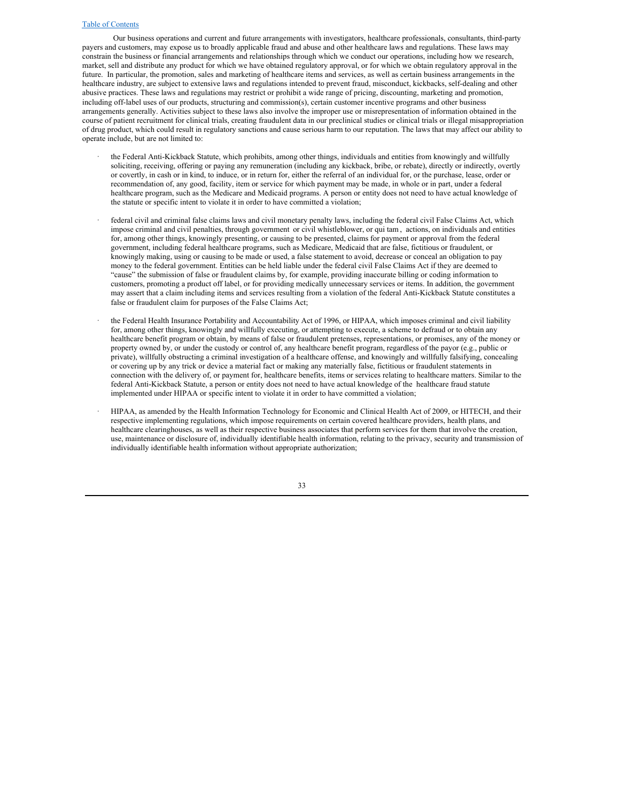Our business operations and current and future arrangements with investigators, healthcare professionals, consultants, third-party payers and customers, may expose us to broadly applicable fraud and abuse and other healthcare laws and regulations. These laws may constrain the business or financial arrangements and relationships through which we conduct our operations, including how we research, market, sell and distribute any product for which we have obtained regulatory approval, or for which we obtain regulatory approval in the future. In particular, the promotion, sales and marketing of healthcare items and services, as well as certain business arrangements in the healthcare industry, are subject to extensive laws and regulations intended to prevent fraud, misconduct, kickbacks, self-dealing and other abusive practices. These laws and regulations may restrict or prohibit a wide range of pricing, discounting, marketing and promotion, including off-label uses of our products, structuring and commission(s), certain customer incentive programs and other business arrangements generally. Activities subject to these laws also involve the improper use or misrepresentation of information obtained in the course of patient recruitment for clinical trials, creating fraudulent data in our preclinical studies or clinical trials or illegal misappropriation of drug product, which could result in regulatory sanctions and cause serious harm to our reputation. The laws that may affect our ability to operate include, but are not limited to:

- the Federal Anti-Kickback Statute, which prohibits, among other things, individuals and entities from knowingly and willfully soliciting, receiving, offering or paying any remuneration (including any kickback, bribe, or rebate), directly or indirectly, overtly or covertly, in cash or in kind, to induce, or in return for, either the referral of an individual for, or the purchase, lease, order or recommendation of, any good, facility, item or service for which payment may be made, in whole or in part, under a federal healthcare program, such as the Medicare and Medicaid programs. A person or entity does not need to have actual knowledge of the statute or specific intent to violate it in order to have committed a violation;
- federal civil and criminal false claims laws and civil monetary penalty laws, including the federal civil False Claims Act, which impose criminal and civil penalties, through government or civil whistleblower, or qui tam, actions, on individuals and entities for, among other things, knowingly presenting, or causing to be presented, claims for payment or approval from the federal government, including federal healthcare programs, such as Medicare, Medicaid that are false, fictitious or fraudulent, or knowingly making, using or causing to be made or used, a false statement to avoid, decrease or conceal an obligation to pay money to the federal government. Entities can be held liable under the federal civil False Claims Act if they are deemed to "cause" the submission of false or fraudulent claims by, for example, providing inaccurate billing or coding information to customers, promoting a product off label, or for providing medically unnecessary services or items. In addition, the government may assert that a claim including items and services resulting from a violation of the federal Anti-Kickback Statute constitutes a false or fraudulent claim for purposes of the False Claims Act;
- the Federal Health Insurance Portability and Accountability Act of 1996, or HIPAA, which imposes criminal and civil liability for, among other things, knowingly and willfully executing, or attempting to execute, a scheme to defraud or to obtain any healthcare benefit program or obtain, by means of false or fraudulent pretenses, representations, or promises, any of the money or property owned by, or under the custody or control of, any healthcare benefit program, regardless of the payor (e.g., public or private), willfully obstructing a criminal investigation of a healthcare offense, and knowingly and willfully falsifying, concealing or covering up by any trick or device a material fact or making any materially false, fictitious or fraudulent statements in connection with the delivery of, or payment for, healthcare benefits, items or services relating to healthcare matters. Similar to the federal Anti-Kickback Statute, a person or entity does not need to have actual knowledge of the healthcare fraud statute implemented under HIPAA or specific intent to violate it in order to have committed a violation;
- · HIPAA, as amended by the Health Information Technology for Economic and Clinical Health Act of 2009, or HITECH, and their respective implementing regulations, which impose requirements on certain covered healthcare providers, health plans, and healthcare clearinghouses, as well as their respective business associates that perform services for them that involve the creation, use, maintenance or disclosure of, individually identifiable health information, relating to the privacy, security and transmission of individually identifiable health information without appropriate authorization;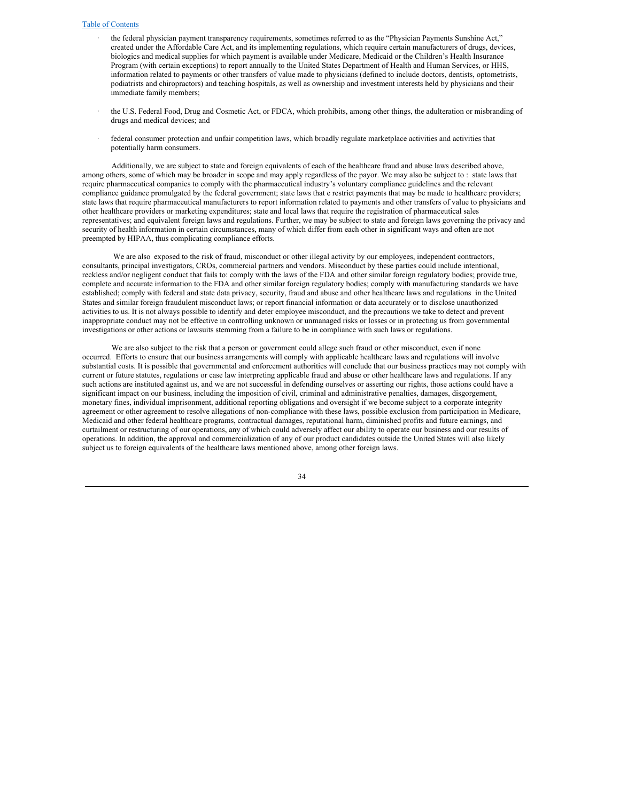- the federal physician payment transparency requirements, sometimes referred to as the "Physician Payments Sunshine Act," created under the Affordable Care Act, and its implementing regulations, which require certain manufacturers of drugs, devices, biologics and medical supplies for which payment is available under Medicare, Medicaid or the Children's Health Insurance Program (with certain exceptions) to report annually to the United States Department of Health and Human Services, or HHS, information related to payments or other transfers of value made to physicians (defined to include doctors, dentists, optometrists, podiatrists and chiropractors) and teaching hospitals, as well as ownership and investment interests held by physicians and their immediate family members;
- the U.S. Federal Food, Drug and Cosmetic Act, or FDCA, which prohibits, among other things, the adulteration or misbranding of drugs and medical devices; and
- federal consumer protection and unfair competition laws, which broadly regulate marketplace activities and activities that potentially harm consumers.

Additionally, we are subject to state and foreign equivalents of each of the healthcare fraud and abuse laws described above, among others, some of which may be broader in scope and may apply regardless of the payor. We may also be subject to : state laws that require pharmaceutical companies to comply with the pharmaceutical industry's voluntary compliance guidelines and the relevant compliance guidance promulgated by the federal government; state laws that e restrict payments that may be made to healthcare providers; state laws that require pharmaceutical manufacturers to report information related to payments and other transfers of value to physicians and other healthcare providers or marketing expenditures; state and local laws that require the registration of pharmaceutical sales representatives; and equivalent foreign laws and regulations. Further, we may be subject to state and foreign laws governing the privacy and security of health information in certain circumstances, many of which differ from each other in significant ways and often are not preempted by HIPAA, thus complicating compliance efforts.

We are also exposed to the risk of fraud, misconduct or other illegal activity by our employees, independent contractors, consultants, principal investigators, CROs, commercial partners and vendors. Misconduct by these parties could include intentional, reckless and/or negligent conduct that fails to: comply with the laws of the FDA and other similar foreign regulatory bodies; provide true, complete and accurate information to the FDA and other similar foreign regulatory bodies; comply with manufacturing standards we have established; comply with federal and state data privacy, security, fraud and abuse and other healthcare laws and regulations in the United States and similar foreign fraudulent misconduct laws; or report financial information or data accurately or to disclose unauthorized activities to us. It is not always possible to identify and deter employee misconduct, and the precautions we take to detect and prevent inappropriate conduct may not be effective in controlling unknown or unmanaged risks or losses or in protecting us from governmental investigations or other actions or lawsuits stemming from a failure to be in compliance with such laws or regulations.

We are also subject to the risk that a person or government could allege such fraud or other misconduct, even if none occurred. Efforts to ensure that our business arrangements will comply with applicable healthcare laws and regulations will involve substantial costs. It is possible that governmental and enforcement authorities will conclude that our business practices may not comply with current or future statutes, regulations or case law interpreting applicable fraud and abuse or other healthcare laws and regulations. If any such actions are instituted against us, and we are not successful in defending ourselves or asserting our rights, those actions could have a significant impact on our business, including the imposition of civil, criminal and administrative penalties, damages, disgorgement, monetary fines, individual imprisonment, additional reporting obligations and oversight if we become subject to a corporate integrity agreement or other agreement to resolve allegations of non-compliance with these laws, possible exclusion from participation in Medicare, Medicaid and other federal healthcare programs, contractual damages, reputational harm, diminished profits and future earnings, and curtailment or restructuring of our operations, any of which could adversely affect our ability to operate our business and our results of operations. In addition, the approval and commercialization of any of our product candidates outside the United States will also likely subject us to foreign equivalents of the healthcare laws mentioned above, among other foreign laws.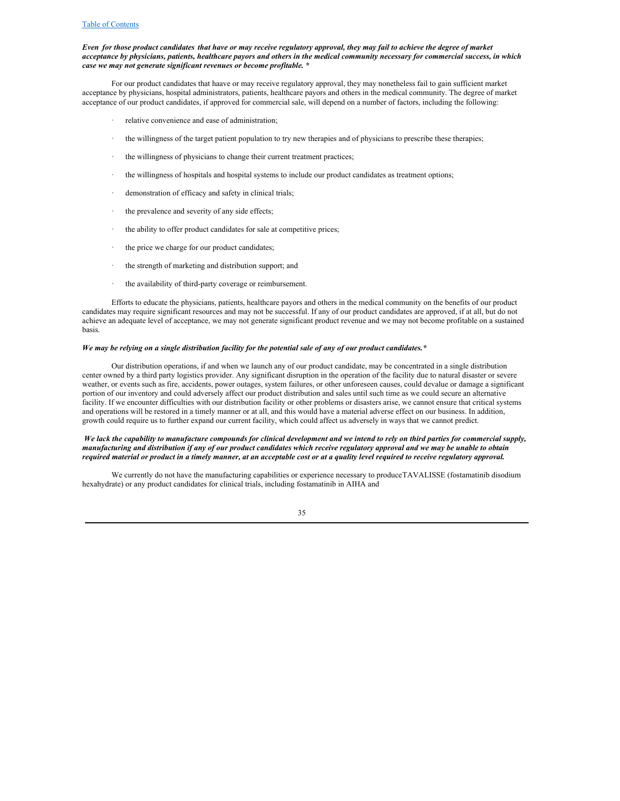## Even for those product candidates that have or may receive regulatory approval, they may fail to achieve the degree of market acceptance by physicians, patients, healthcare payors and others in the medical community necessary for commercial success, in which *case we may not generate significant revenues or become profitable. \**

For our product candidates that haave or may receive regulatory approval, they may nonetheless fail to gain sufficient market acceptance by physicians, hospital administrators, patients, healthcare payors and others in the medical community. The degree of market acceptance of our product candidates, if approved for commercial sale, will depend on a number of factors, including the following:

- relative convenience and ease of administration;
- the willingness of the target patient population to try new therapies and of physicians to prescribe these therapies;
- the willingness of physicians to change their current treatment practices;
- the willingness of hospitals and hospital systems to include our product candidates as treatment options;
- demonstration of efficacy and safety in clinical trials;
- the prevalence and severity of any side effects;
- the ability to offer product candidates for sale at competitive prices;
- · the price we charge for our product candidates;
- the strength of marketing and distribution support; and
- · the availability of third-party coverage or reimbursement.

Efforts to educate the physicians, patients, healthcare payors and others in the medical community on the benefits of our product candidates may require significant resources and may not be successful. If any of our product candidates are approved, if at all, but do not achieve an adequate level of acceptance, we may not generate significant product revenue and we may not become profitable on a sustained basis.

## We may be relying on a single distribution facility for the potential sale of any of our product candidates. $*$

Our distribution operations, if and when we launch any of our product candidate, may be concentrated in a single distribution center owned by a third party logistics provider. Any significant disruption in the operation of the facility due to natural disaster or severe weather, or events such as fire, accidents, power outages, system failures, or other unforeseen causes, could devalue or damage a significant portion of our inventory and could adversely affect our product distribution and sales until such time as we could secure an alternative facility. If we encounter difficulties with our distribution facility or other problems or disasters arise, we cannot ensure that critical systems and operations will be restored in a timely manner or at all, and this would have a material adverse effect on our business. In addition, growth could require us to further expand our current facility, which could affect us adversely in ways that we cannot predict.

## We lack the capability to manufacture compounds for clinical development and we intend to rely on third parties for commercial supply, manufacturing and distribution if any of our product candidates which receive regulatory approval and we may be unable to obtain required material or product in a timely manner, at an acceptable cost or at a quality level required to receive regulatory approval.

We currently do not have the manufacturing capabilities or experience necessary to produceTAVALISSE (fostamatinib disodium hexahydrate) or any product candidates for clinical trials, including fostamatinib in AIHA and

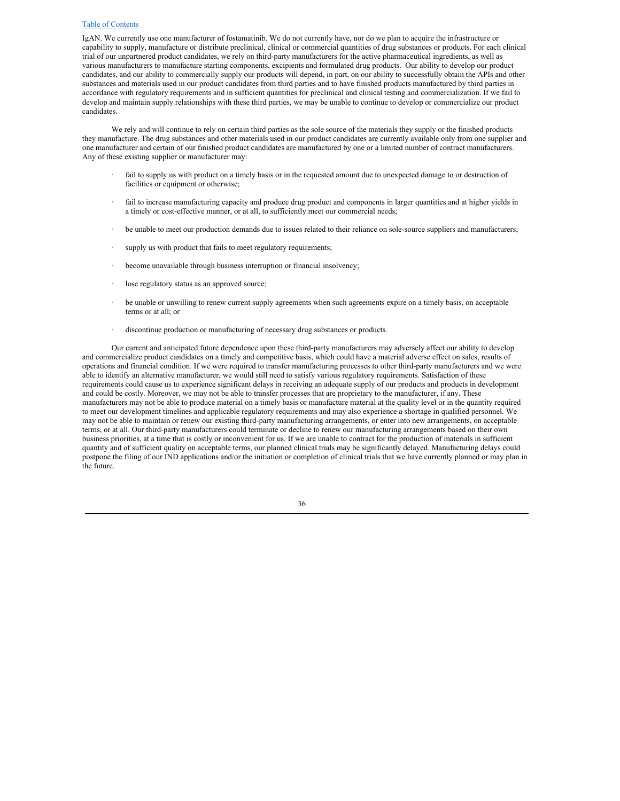IgAN. We currently use one manufacturer of fostamatinib. We do not currently have, nor do we plan to acquire the infrastructure or capability to supply, manufacture or distribute preclinical, clinical or commercial quantities of drug substances or products. For each clinical trial of our unpartnered product candidates, we rely on third-party manufacturers for the active pharmaceutical ingredients, as well as various manufacturers to manufacture starting components, excipients and formulated drug products. Our ability to develop our product candidates, and our ability to commercially supply our products will depend, in part, on our ability to successfully obtain the APIs and other substances and materials used in our product candidates from third parties and to have finished products manufactured by third parties in accordance with regulatory requirements and in sufficient quantities for preclinical and clinical testing and commercialization. If we fail to develop and maintain supply relationships with these third parties, we may be unable to continue to develop or commercialize our product candidates.

We rely and will continue to rely on certain third parties as the sole source of the materials they supply or the finished products they manufacture. The drug substances and other materials used in our product candidates are currently available only from one supplier and one manufacturer and certain of our finished product candidates are manufactured by one or a limited number of contract manufacturers. Any of these existing supplier or manufacturer may:

- fail to supply us with product on a timely basis or in the requested amount due to unexpected damage to or destruction of facilities or equipment or otherwise;
- fail to increase manufacturing capacity and produce drug product and components in larger quantities and at higher yields in a timely or cost-effective manner, or at all, to sufficiently meet our commercial needs;
- be unable to meet our production demands due to issues related to their reliance on sole-source suppliers and manufacturers;
- supply us with product that fails to meet regulatory requirements;
- become unavailable through business interruption or financial insolvency;
- lose regulatory status as an approved source;
- be unable or unwilling to renew current supply agreements when such agreements expire on a timely basis, on acceptable terms or at all; or
- discontinue production or manufacturing of necessary drug substances or products.

Our current and anticipated future dependence upon these third-party manufacturers may adversely affect our ability to develop and commercialize product candidates on a timely and competitive basis, which could have a material adverse effect on sales, results of operations and financial condition. If we were required to transfer manufacturing processes to other third-party manufacturers and we were able to identify an alternative manufacturer, we would still need to satisfy various regulatory requirements. Satisfaction of these requirements could cause us to experience significant delays in receiving an adequate supply of our products and products in development and could be costly. Moreover, we may not be able to transfer processes that are proprietary to the manufacturer, if any. These manufacturers may not be able to produce material on a timely basis or manufacture material at the quality level or in the quantity required to meet our development timelines and applicable regulatory requirements and may also experience a shortage in qualified personnel. We may not be able to maintain or renew our existing third-party manufacturing arrangements, or enter into new arrangements, on acceptable terms, or at all. Our third-party manufacturers could terminate or decline to renew our manufacturing arrangements based on their own business priorities, at a time that is costly or inconvenient for us. If we are unable to contract for the production of materials in sufficient quantity and of sufficient quality on acceptable terms, our planned clinical trials may be significantly delayed. Manufacturing delays could postpone the filing of our IND applications and/or the initiation or completion of clinical trials that we have currently planned or may plan in the future.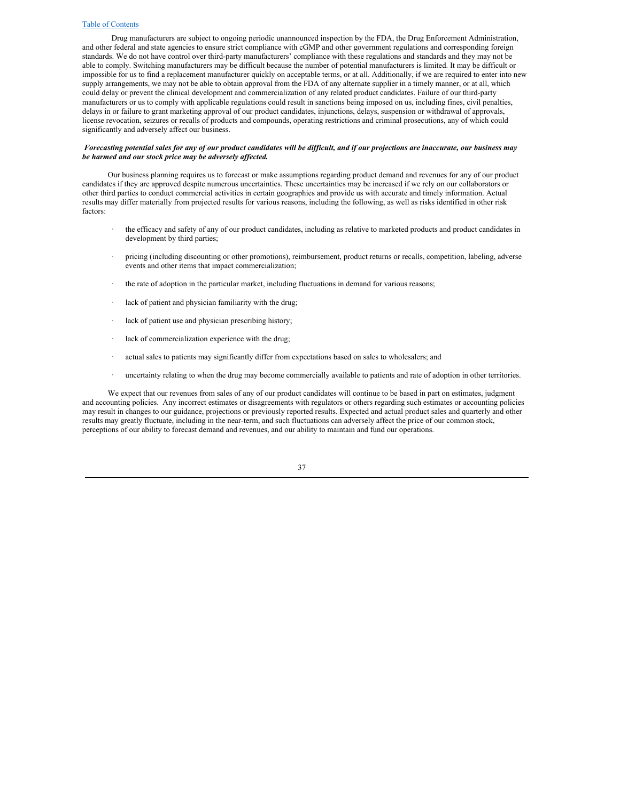Drug manufacturers are subject to ongoing periodic unannounced inspection by the FDA, the Drug Enforcement Administration, and other federal and state agencies to ensure strict compliance with cGMP and other government regulations and corresponding foreign standards. We do not have control over third-party manufacturers' compliance with these regulations and standards and they may not be able to comply. Switching manufacturers may be difficult because the number of potential manufacturers is limited. It may be difficult or impossible for us to find a replacement manufacturer quickly on acceptable terms, or at all. Additionally, if we are required to enter into new supply arrangements, we may not be able to obtain approval from the FDA of any alternate supplier in a timely manner, or at all, which could delay or prevent the clinical development and commercialization of any related product candidates. Failure of our third-party manufacturers or us to comply with applicable regulations could result in sanctions being imposed on us, including fines, civil penalties, delays in or failure to grant marketing approval of our product candidates, injunctions, delays, suspension or withdrawal of approvals, license revocation, seizures or recalls of products and compounds, operating restrictions and criminal prosecutions, any of which could significantly and adversely affect our business.

## Forecasting potential sales for any of our product candidates will be difficult, and if our projections are inaccurate, our business may *be harmed and our stock price may be adversely af ected.*

Our business planning requires us to forecast or make assumptions regarding product demand and revenues for any of our product candidates if they are approved despite numerous uncertainties. These uncertainties may be increased if we rely on our collaborators or other third parties to conduct commercial activities in certain geographies and provide us with accurate and timely information. Actual results may differ materially from projected results for various reasons, including the following, as well as risks identified in other risk factors:

- the efficacy and safety of any of our product candidates, including as relative to marketed products and product candidates in development by third parties;
- pricing (including discounting or other promotions), reimbursement, product returns or recalls, competition, labeling, adverse events and other items that impact commercialization;
- the rate of adoption in the particular market, including fluctuations in demand for various reasons;
- lack of patient and physician familiarity with the drug;
- lack of patient use and physician prescribing history;
- lack of commercialization experience with the drug;
- actual sales to patients may significantly differ from expectations based on sales to wholesalers; and
- · uncertainty relating to when the drug may become commercially available to patients and rate of adoption in other territories.

We expect that our revenues from sales of any of our product candidates will continue to be based in part on estimates, judgment and accounting policies. Any incorrect estimates or disagreements with regulators or others regarding such estimates or accounting policies may result in changes to our guidance, projections or previously reported results. Expected and actual product sales and quarterly and other results may greatly fluctuate, including in the near-term, and such fluctuations can adversely affect the price of our common stock, perceptions of our ability to forecast demand and revenues, and our ability to maintain and fund our operations.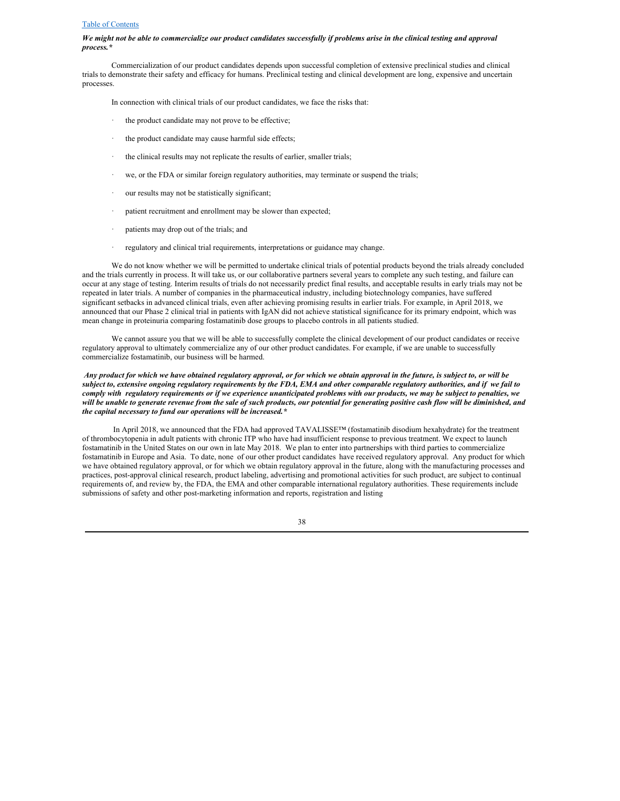## We might not be able to commercialize our product candidates successfully if problems arise in the clinical testing and approval *process.\**

Commercialization of our product candidates depends upon successful completion of extensive preclinical studies and clinical trials to demonstrate their safety and efficacy for humans. Preclinical testing and clinical development are long, expensive and uncertain processes.

In connection with clinical trials of our product candidates, we face the risks that:

- the product candidate may not prove to be effective;
- the product candidate may cause harmful side effects;
- the clinical results may not replicate the results of earlier, smaller trials;
- we, or the FDA or similar foreign regulatory authorities, may terminate or suspend the trials;
- our results may not be statistically significant;
- patient recruitment and enrollment may be slower than expected;
- patients may drop out of the trials; and
- · regulatory and clinical trial requirements, interpretations or guidance may change.

We do not know whether we will be permitted to undertake clinical trials of potential products beyond the trials already concluded and the trials currently in process. It will take us, or our collaborative partners several years to complete any such testing, and failure can occur at any stage of testing. Interim results of trials do not necessarily predict final results, and acceptable results in early trials may not be repeated in later trials. A number of companies in the pharmaceutical industry, including biotechnology companies, have suffered significant setbacks in advanced clinical trials, even after achieving promising results in earlier trials. For example, in April 2018, we announced that our Phase 2 clinical trial in patients with IgAN did not achieve statistical significance for its primary endpoint, which was mean change in proteinuria comparing fostamatinib dose groups to placebo controls in all patients studied.

We cannot assure you that we will be able to successfully complete the clinical development of our product candidates or receive regulatory approval to ultimately commercialize any of our other product candidates. For example, if we are unable to successfully commercialize fostamatinib, our business will be harmed.

## Any product for which we have obtained regulatory approval, or for which we obtain approval in the future, is subject to, or will be subject to, extensive ongoing regulatory requirements by the FDA, EMA and other comparable regulatory authorities, and if we fail to comply with regulatory requirements or if we experience unanticipated problems with our products, we may be subject to penalties, we will be unable to generate revenue from the sale of such products, our potential for generating positive cash flow will be diminished, and *the capital necessary to fund our operations will be increased.\**

In April 2018, we announced that the FDA had approved TAVALISSE™ (fostamatinib disodium hexahydrate) for the treatment of thrombocytopenia in adult patients with chronic ITP who have had insufficient response to previous treatment. We expect to launch fostamatinib in the United States on our own in late May 2018. We plan to enter into partnerships with third parties to commercialize fostamatinib in Europe and Asia. To date, none of our other product candidates have received regulatory approval. Any product for which we have obtained regulatory approval, or for which we obtain regulatory approval in the future, along with the manufacturing processes and practices, post-approval clinical research, product labeling, advertising and promotional activities for such product, are subject to continual requirements of, and review by, the FDA, the EMA and other comparable international regulatory authorities. These requirements include submissions of safety and other post-marketing information and reports, registration and listing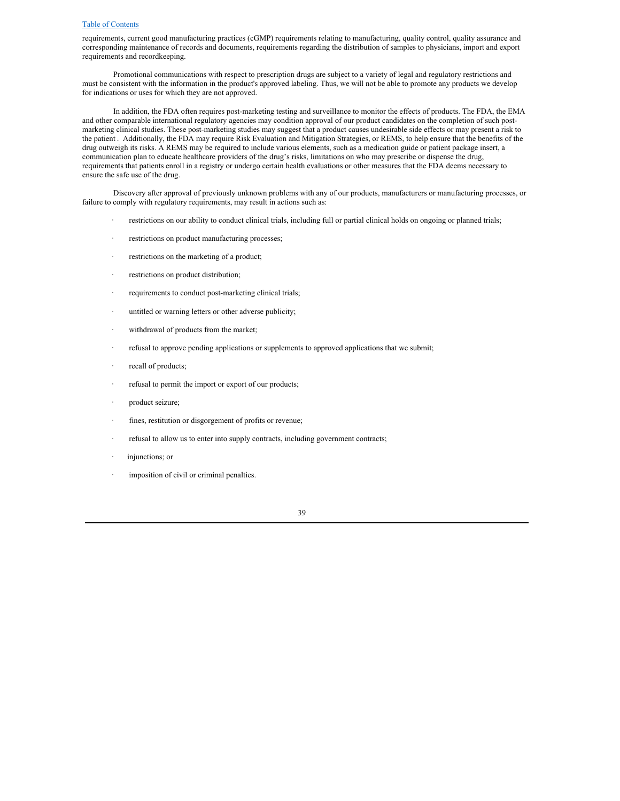requirements, current good manufacturing practices (cGMP) requirements relating to manufacturing, quality control, quality assurance and corresponding maintenance of records and documents, requirements regarding the distribution of samples to physicians, import and export requirements and recordkeeping.

Promotional communications with respect to prescription drugs are subject to a variety of legal and regulatory restrictions and must be consistent with the information in the product's approved labeling. Thus, we will not be able to promote any products we develop for indications or uses for which they are not approved.

In addition, the FDA often requires post-marketing testing and surveillance to monitor the effects of products. The FDA, the EMA and other comparable international regulatory agencies may condition approval of our product candidates on the completion of such postmarketing clinical studies. These post-marketing studies may suggest that a product causes undesirable side effects or may present a risk to the patient . Additionally, the FDA may require Risk Evaluation and Mitigation Strategies, or REMS, to help ensure that the benefits of the drug outweigh its risks. A REMS may be required to include various elements, such as a medication guide or patient package insert, a communication plan to educate healthcare providers of the drug's risks, limitations on who may prescribe or dispense the drug, requirements that patients enroll in a registry or undergo certain health evaluations or other measures that the FDA deems necessary to ensure the safe use of the drug.

Discovery after approval of previously unknown problems with any of our products, manufacturers or manufacturing processes, or failure to comply with regulatory requirements, may result in actions such as:

- restrictions on our ability to conduct clinical trials, including full or partial clinical holds on ongoing or planned trials;
- restrictions on product manufacturing processes;
- restrictions on the marketing of a product;
- restrictions on product distribution;
- · requirements to conduct post-marketing clinical trials;
- untitled or warning letters or other adverse publicity;
- withdrawal of products from the market;
- · refusal to approve pending applications or supplements to approved applications that we submit;
- recall of products;
- refusal to permit the import or export of our products;
- product seizure;
- fines, restitution or disgorgement of profits or revenue;
- refusal to allow us to enter into supply contracts, including government contracts;
- injunctions; or
- imposition of civil or criminal penalties.
- 39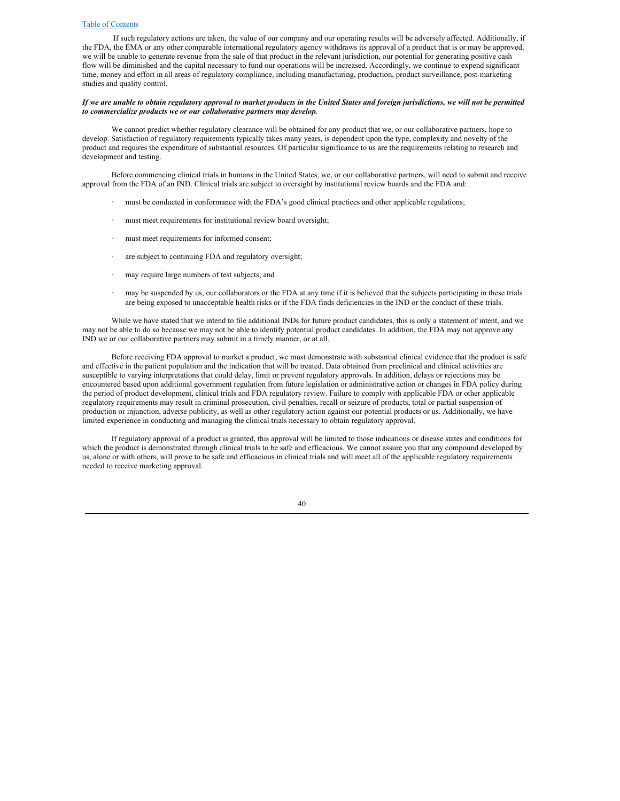If such regulatory actions are taken, the value of our company and our operating results will be adversely affected. Additionally, if the FDA, the EMA or any other comparable international regulatory agency withdraws its approval of a product that is or may be approved, we will be unable to generate revenue from the sale of that product in the relevant jurisdiction, our potential for generating positive cash flow will be diminished and the capital necessary to fund our operations will be increased. Accordingly, we continue to expend significant time, money and effort in all areas of regulatory compliance, including manufacturing, production, product surveillance, post-marketing studies and quality control.

## If we are unable to obtain regulatory approval to market products in the United States and foreign jurisdictions, we will not be permitted *to commercialize products we or our collaborative partners may develop.*

We cannot predict whether regulatory clearance will be obtained for any product that we, or our collaborative partners, hope to develop. Satisfaction of regulatory requirements typically takes many years, is dependent upon the type, complexity and novelty of the product and requires the expenditure of substantial resources. Of particular significance to us are the requirements relating to research and development and testing.

Before commencing clinical trials in humans in the United States, we, or our collaborative partners, will need to submit and receive approval from the FDA of an IND. Clinical trials are subject to oversight by institutional review boards and the FDA and:

- must be conducted in conformance with the FDA's good clinical practices and other applicable regulations;
- must meet requirements for institutional review board oversight;
- must meet requirements for informed consent;
- are subject to continuing FDA and regulatory oversight;
- may require large numbers of test subjects; and
- may be suspended by us, our collaborators or the FDA at any time if it is believed that the subjects participating in these trials are being exposed to unacceptable health risks or if the FDA finds deficiencies in the IND or the conduct of these trials.

While we have stated that we intend to file additional INDs for future product candidates, this is only a statement of intent, and we may not be able to do so because we may not be able to identify potential product candidates. In addition, the FDA may not approve any IND we or our collaborative partners may submit in a timely manner, or at all.

Before receiving FDA approval to market a product, we must demonstrate with substantial clinical evidence that the product is safe and effective in the patient population and the indication that will be treated. Data obtained from preclinical and clinical activities are susceptible to varying interpretations that could delay, limit or prevent regulatory approvals. In addition, delays or rejections may be encountered based upon additional government regulation from future legislation or administrative action or changes in FDA policy during the period of product development, clinical trials and FDA regulatory review. Failure to comply with applicable FDA or other applicable regulatory requirements may result in criminal prosecution, civil penalties, recall or seizure of products, total or partial suspension of production or injunction, adverse publicity, as well as other regulatory action against our potential products or us. Additionally, we have limited experience in conducting and managing the clinical trials necessary to obtain regulatory approval.

If regulatory approval of a product is granted, this approval will be limited to those indications or disease states and conditions for which the product is demonstrated through clinical trials to be safe and efficacious. We cannot assure you that any compound developed by us, alone or with others, will prove to be safe and efficacious in clinical trials and will meet all of the applicable regulatory requirements needed to receive marketing approval.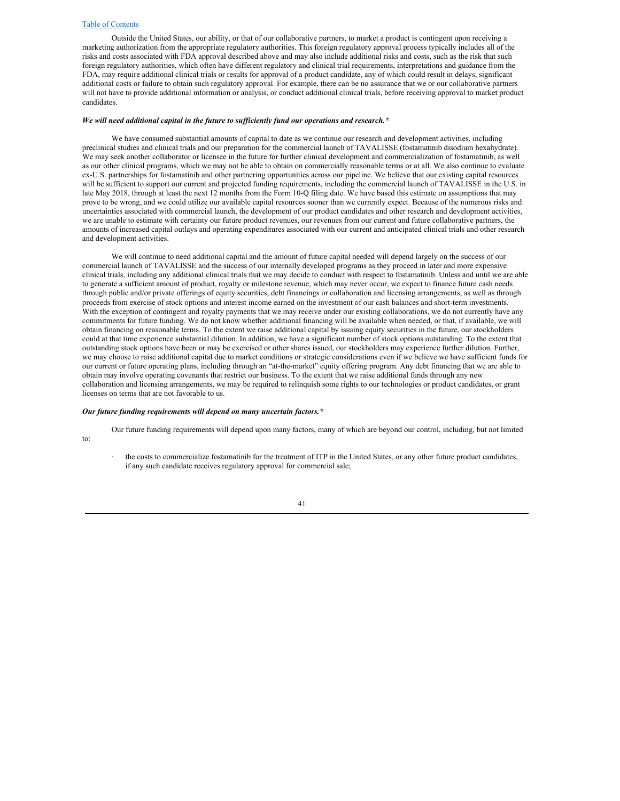Outside the United States, our ability, or that of our collaborative partners, to market a product is contingent upon receiving a marketing authorization from the appropriate regulatory authorities. This foreign regulatory approval process typically includes all of the risks and costs associated with FDA approval described above and may also include additional risks and costs, such as the risk that such foreign regulatory authorities, which often have different regulatory and clinical trial requirements, interpretations and guidance from the FDA, may require additional clinical trials or results for approval of a product candidate, any of which could result in delays, significant additional costs or failure to obtain such regulatory approval. For example, there can be no assurance that we or our collaborative partners will not have to provide additional information or analysis, or conduct additional clinical trials, before receiving approval to market product candidates.

## *We will need additional capital in the future to suf iciently fund our operations and research.\**

We have consumed substantial amounts of capital to date as we continue our research and development activities, including preclinical studies and clinical trials and our preparation for the commercial launch of TAVALISSE (fostamatinib disodium hexahydrate). We may seek another collaborator or licensee in the future for further clinical development and commercialization of fostamatinib, as well as our other clinical programs, which we may not be able to obtain on commercially reasonable terms or at all. We also continue to evaluate ex-U.S. partnerships for fostamatinib and other partnering opportunities across our pipeline. We believe that our existing capital resources will be sufficient to support our current and projected funding requirements, including the commercial launch of TAVALISSE in the U.S. in late May 2018, through at least the next 12 months from the Form 10-Q filing date. We have based this estimate on assumptions that may prove to be wrong, and we could utilize our available capital resources sooner than we currently expect. Because of the numerous risks and uncertainties associated with commercial launch, the development of our product candidates and other research and development activities, we are unable to estimate with certainty our future product revenues, our revenues from our current and future collaborative partners, the amounts of increased capital outlays and operating expenditures associated with our current and anticipated clinical trials and other research and development activities.

We will continue to need additional capital and the amount of future capital needed will depend largely on the success of our commercial launch of TAVALISSE and the success of our internally developed programs as they proceed in later and more expensive clinical trials, including any additional clinical trials that we may decide to conduct with respect to fostamatinib. Unless and until we are able to generate a sufficient amount of product, royalty or milestone revenue, which may never occur, we expect to finance future cash needs through public and/or private offerings of equity securities, debt financings or collaboration and licensing arrangements, as well as through proceeds from exercise of stock options and interest income earned on the investment of our cash balances and short-term investments. With the exception of contingent and royalty payments that we may receive under our existing collaborations, we do not currently have any commitments for future funding. We do not know whether additional financing will be available when needed, or that, if available, we will obtain financing on reasonable terms. To the extent we raise additional capital by issuing equity securities in the future, our stockholders could at that time experience substantial dilution. In addition, we have a significant number of stock options outstanding. To the extent that outstanding stock options have been or may be exercised or other shares issued, our stockholders may experience further dilution. Further, we may choose to raise additional capital due to market conditions or strategic considerations even if we believe we have sufficient funds for our current or future operating plans, including through an "at-the-market" equity offering program. Any debt financing that we are able to obtain may involve operating covenants that restrict our business. To the extent that we raise additional funds through any new collaboration and licensing arrangements, we may be required to relinquish some rights to our technologies or product candidates, or grant licenses on terms that are not favorable to us.

## *Our future funding requirements will depend on many uncertain factors.\**

Our future funding requirements will depend upon many factors, many of which are beyond our control, including, but not limited

to:

the costs to commercialize fostamatinib for the treatment of ITP in the United States, or any other future product candidates, if any such candidate receives regulatory approval for commercial sale;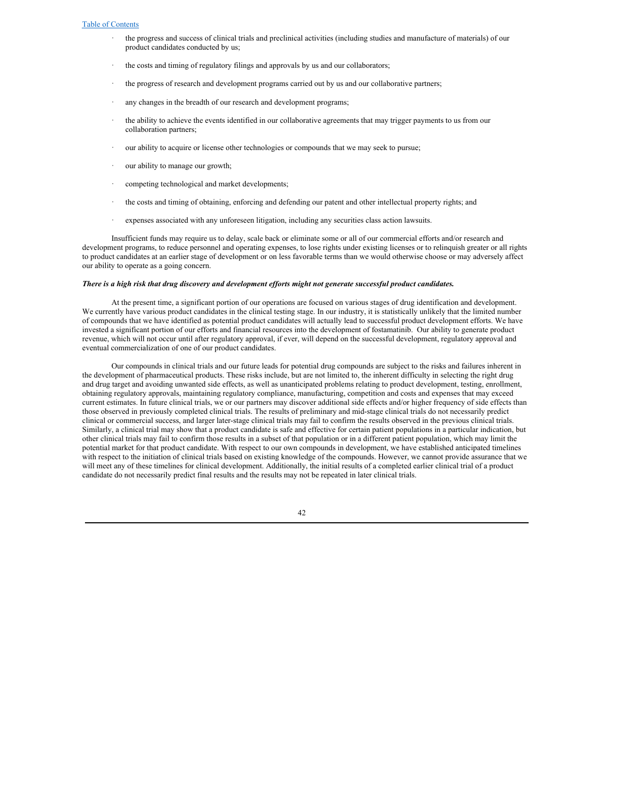- · the progress and success of clinical trials and preclinical activities (including studies and manufacture of materials) of our product candidates conducted by us;
- the costs and timing of regulatory filings and approvals by us and our collaborators;
- the progress of research and development programs carried out by us and our collaborative partners;
- any changes in the breadth of our research and development programs;
- · the ability to achieve the events identified in our collaborative agreements that may trigger payments to us from our collaboration partners;
- our ability to acquire or license other technologies or compounds that we may seek to pursue;
- our ability to manage our growth;
- competing technological and market developments;
- · the costs and timing of obtaining, enforcing and defending our patent and other intellectual property rights; and
- expenses associated with any unforeseen litigation, including any securities class action lawsuits.

Insufficient funds may require us to delay, scale back or eliminate some or all of our commercial efforts and/or research and development programs, to reduce personnel and operating expenses, to lose rights under existing licenses or to relinquish greater or all rights to product candidates at an earlier stage of development or on less favorable terms than we would otherwise choose or may adversely affect our ability to operate as a going concern.

## There is a high risk that drug discovery and development efforts might not generate successful product candidates.

At the present time, a significant portion of our operations are focused on various stages of drug identification and development. We currently have various product candidates in the clinical testing stage. In our industry, it is statistically unlikely that the limited number of compounds that we have identified as potential product candidates will actually lead to successful product development efforts. We have invested a significant portion of our efforts and financial resources into the development of fostamatinib. Our ability to generate product revenue, which will not occur until after regulatory approval, if ever, will depend on the successful development, regulatory approval and eventual commercialization of one of our product candidates.

Our compounds in clinical trials and our future leads for potential drug compounds are subject to the risks and failures inherent in the development of pharmaceutical products. These risks include, but are not limited to, the inherent difficulty in selecting the right drug and drug target and avoiding unwanted side effects, as well as unanticipated problems relating to product development, testing, enrollment, obtaining regulatory approvals, maintaining regulatory compliance, manufacturing, competition and costs and expenses that may exceed current estimates. In future clinical trials, we or our partners may discover additional side effects and/or higher frequency of side effects than those observed in previously completed clinical trials. The results of preliminary and mid-stage clinical trials do not necessarily predict clinical or commercial success, and larger later-stage clinical trials may fail to confirm the results observed in the previous clinical trials. Similarly, a clinical trial may show that a product candidate is safe and effective for certain patient populations in a particular indication, but other clinical trials may fail to confirm those results in a subset of that population or in a different patient population, which may limit the potential market for that product candidate. With respect to our own compounds in development, we have established anticipated timelines with respect to the initiation of clinical trials based on existing knowledge of the compounds. However, we cannot provide assurance that we will meet any of these timelines for clinical development. Additionally, the initial results of a completed earlier clinical trial of a product candidate do not necessarily predict final results and the results may not be repeated in later clinical trials.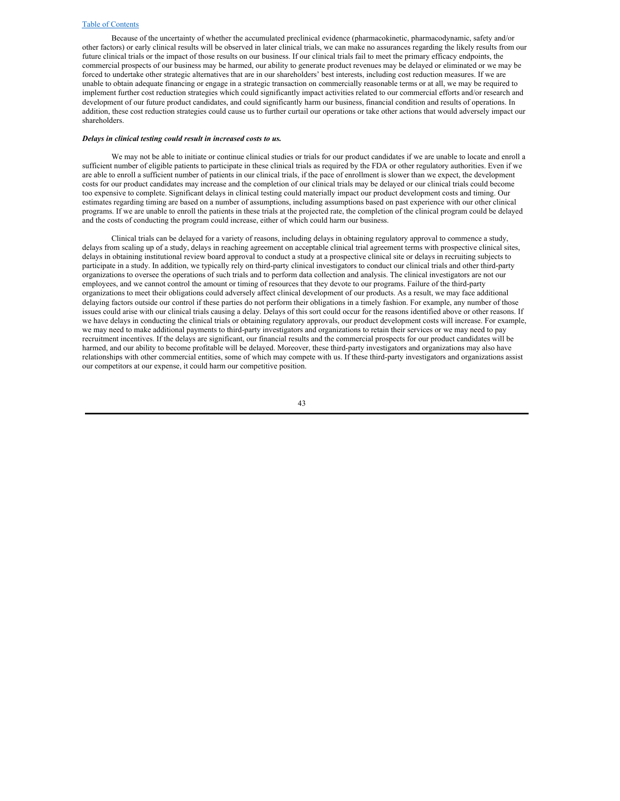Because of the uncertainty of whether the accumulated preclinical evidence (pharmacokinetic, pharmacodynamic, safety and/or other factors) or early clinical results will be observed in later clinical trials, we can make no assurances regarding the likely results from our future clinical trials or the impact of those results on our business. If our clinical trials fail to meet the primary efficacy endpoints, the commercial prospects of our business may be harmed, our ability to generate product revenues may be delayed or eliminated or we may be forced to undertake other strategic alternatives that are in our shareholders' best interests, including cost reduction measures. If we are unable to obtain adequate financing or engage in a strategic transaction on commercially reasonable terms or at all, we may be required to implement further cost reduction strategies which could significantly impact activities related to our commercial efforts and/or research and development of our future product candidates, and could significantly harm our business, financial condition and results of operations. In addition, these cost reduction strategies could cause us to further curtail our operations or take other actions that would adversely impact our shareholders.

## *Delays in clinical testing could result in increased costs to us.*

We may not be able to initiate or continue clinical studies or trials for our product candidates if we are unable to locate and enroll a sufficient number of eligible patients to participate in these clinical trials as required by the FDA or other regulatory authorities. Even if we are able to enroll a sufficient number of patients in our clinical trials, if the pace of enrollment is slower than we expect, the development costs for our product candidates may increase and the completion of our clinical trials may be delayed or our clinical trials could become too expensive to complete. Significant delays in clinical testing could materially impact our product development costs and timing. Our estimates regarding timing are based on a number of assumptions, including assumptions based on past experience with our other clinical programs. If we are unable to enroll the patients in these trials at the projected rate, the completion of the clinical program could be delayed and the costs of conducting the program could increase, either of which could harm our business.

Clinical trials can be delayed for a variety of reasons, including delays in obtaining regulatory approval to commence a study, delays from scaling up of a study, delays in reaching agreement on acceptable clinical trial agreement terms with prospective clinical sites, delays in obtaining institutional review board approval to conduct a study at a prospective clinical site or delays in recruiting subjects to participate in a study. In addition, we typically rely on third-party clinical investigators to conduct our clinical trials and other third-party organizations to oversee the operations of such trials and to perform data collection and analysis. The clinical investigators are not our employees, and we cannot control the amount or timing of resources that they devote to our programs. Failure of the third-party organizations to meet their obligations could adversely affect clinical development of our products. As a result, we may face additional delaying factors outside our control if these parties do not perform their obligations in a timely fashion. For example, any number of those issues could arise with our clinical trials causing a delay. Delays of this sort could occur for the reasons identified above or other reasons. If we have delays in conducting the clinical trials or obtaining regulatory approvals, our product development costs will increase. For example, we may need to make additional payments to third-party investigators and organizations to retain their services or we may need to pay recruitment incentives. If the delays are significant, our financial results and the commercial prospects for our product candidates will be harmed, and our ability to become profitable will be delayed. Moreover, these third-party investigators and organizations may also have relationships with other commercial entities, some of which may compete with us. If these third-party investigators and organizations assist our competitors at our expense, it could harm our competitive position.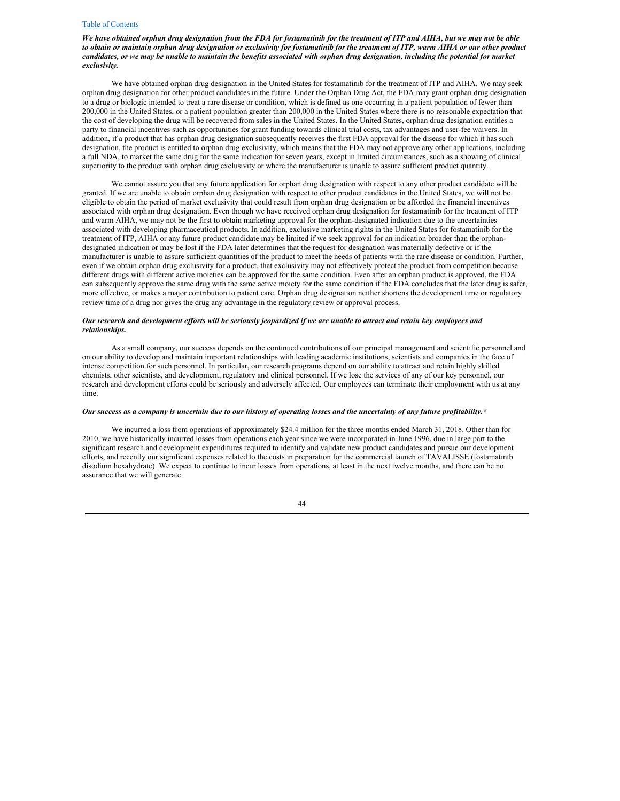We have obtained orphan drug designation from the FDA for fostamatinib for the treatment of ITP and AIHA, but we may not be able to obtain or maintain orphan drug designation or exclusivity for fostamatinib for the treatment of ITP, warm AIHA or our other product candidates, or we may be unable to maintain the benefits associated with orphan drug designation, including the potential for market *exclusivity.*

We have obtained orphan drug designation in the United States for fostamatinib for the treatment of ITP and AIHA. We may seek orphan drug designation for other product candidates in the future. Under the Orphan Drug Act, the FDA may grant orphan drug designation to a drug or biologic intended to treat a rare disease or condition, which is defined as one occurring in a patient population of fewer than 200,000 in the United States, or a patient population greater than 200,000 in the United States where there is no reasonable expectation that the cost of developing the drug will be recovered from sales in the United States. In the United States, orphan drug designation entitles a party to financial incentives such as opportunities for grant funding towards clinical trial costs, tax advantages and user-fee waivers. In addition, if a product that has orphan drug designation subsequently receives the first FDA approval for the disease for which it has such designation, the product is entitled to orphan drug exclusivity, which means that the FDA may not approve any other applications, including a full NDA, to market the same drug for the same indication for seven years, except in limited circumstances, such as a showing of clinical superiority to the product with orphan drug exclusivity or where the manufacturer is unable to assure sufficient product quantity.

We cannot assure you that any future application for orphan drug designation with respect to any other product candidate will be granted. If we are unable to obtain orphan drug designation with respect to other product candidates in the United States, we will not be eligible to obtain the period of market exclusivity that could result from orphan drug designation or be afforded the financial incentives associated with orphan drug designation. Even though we have received orphan drug designation for fostamatinib for the treatment of ITP and warm AIHA, we may not be the first to obtain marketing approval for the orphan-designated indication due to the uncertainties associated with developing pharmaceutical products. In addition, exclusive marketing rights in the United States for fostamatinib for the treatment of ITP, AIHA or any future product candidate may be limited if we seek approval for an indication broader than the orphandesignated indication or may be lost if the FDA later determines that the request for designation was materially defective or if the manufacturer is unable to assure sufficient quantities of the product to meet the needs of patients with the rare disease or condition. Further, even if we obtain orphan drug exclusivity for a product, that exclusivity may not effectively protect the product from competition because different drugs with different active moieties can be approved for the same condition. Even after an orphan product is approved, the FDA can subsequently approve the same drug with the same active moiety for the same condition if the FDA concludes that the later drug is safer, more effective, or makes a major contribution to patient care. Orphan drug designation neither shortens the development time or regulatory review time of a drug nor gives the drug any advantage in the regulatory review or approval process.

## Our research and development efforts will be seriously jeopardized if we are unable to attract and retain key employees and *relationships.*

As a small company, our success depends on the continued contributions of our principal management and scientific personnel and on our ability to develop and maintain important relationships with leading academic institutions, scientists and companies in the face of intense competition for such personnel. In particular, our research programs depend on our ability to attract and retain highly skilled chemists, other scientists, and development, regulatory and clinical personnel. If we lose the services of any of our key personnel, our research and development efforts could be seriously and adversely affected. Our employees can terminate their employment with us at any time.

# Our success as a company is uncertain due to our history of operating losses and the uncertainty of any future profitability.\*

We incurred a loss from operations of approximately \$24.4 million for the three months ended March 31, 2018. Other than for 2010, we have historically incurred losses from operations each year since we were incorporated in June 1996, due in large part to the significant research and development expenditures required to identify and validate new product candidates and pursue our development efforts, and recently our significant expenses related to the costs in preparation for the commercial launch of TAVALISSE (fostamatinib disodium hexahydrate). We expect to continue to incur losses from operations, at least in the next twelve months, and there can be no assurance that we will generate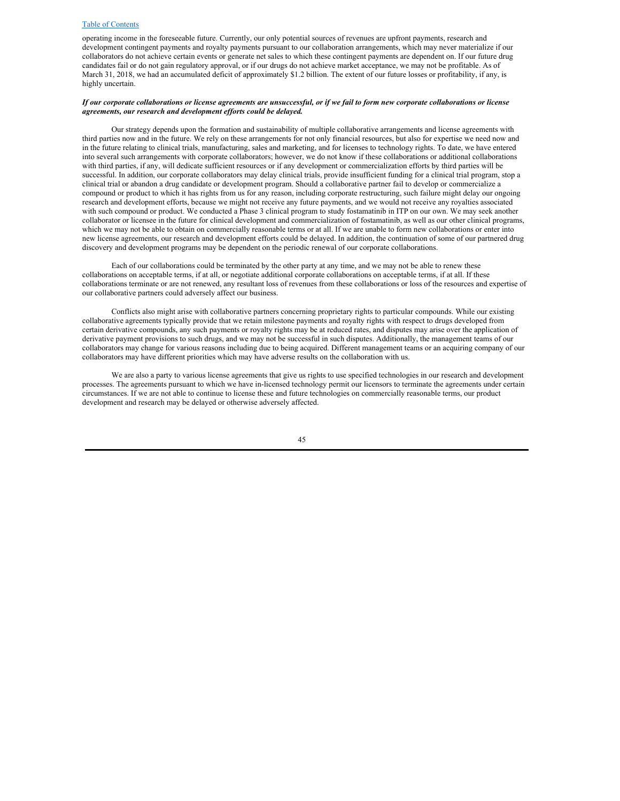operating income in the foreseeable future. Currently, our only potential sources of revenues are upfront payments, research and development contingent payments and royalty payments pursuant to our collaboration arrangements, which may never materialize if our collaborators do not achieve certain events or generate net sales to which these contingent payments are dependent on. If our future drug candidates fail or do not gain regulatory approval, or if our drugs do not achieve market acceptance, we may not be profitable. As of March 31, 2018, we had an accumulated deficit of approximately \$1.2 billion. The extent of our future losses or profitability, if any, is highly uncertain.

#### If our corporate collaborations or license agreements are unsuccessful, or if we fail to form new corporate collaborations or license *agreements, our research and development ef orts could be delayed.*

Our strategy depends upon the formation and sustainability of multiple collaborative arrangements and license agreements with third parties now and in the future. We rely on these arrangements for not only financial resources, but also for expertise we need now and in the future relating to clinical trials, manufacturing, sales and marketing, and for licenses to technology rights. To date, we have entered into several such arrangements with corporate collaborators; however, we do not know if these collaborations or additional collaborations with third parties, if any, will dedicate sufficient resources or if any development or commercialization efforts by third parties will be successful. In addition, our corporate collaborators may delay clinical trials, provide insufficient funding for a clinical trial program, stop a clinical trial or abandon a drug candidate or development program. Should a collaborative partner fail to develop or commercialize a compound or product to which it has rights from us for any reason, including corporate restructuring, such failure might delay our ongoing research and development efforts, because we might not receive any future payments, and we would not receive any royalties associated with such compound or product. We conducted a Phase 3 clinical program to study fostamatinib in ITP on our own. We may seek another collaborator or licensee in the future for clinical development and commercialization of fostamatinib, as well as our other clinical programs, which we may not be able to obtain on commercially reasonable terms or at all. If we are unable to form new collaborations or enter into new license agreements, our research and development efforts could be delayed. In addition, the continuation of some of our partnered drug discovery and development programs may be dependent on the periodic renewal of our corporate collaborations.

Each of our collaborations could be terminated by the other party at any time, and we may not be able to renew these collaborations on acceptable terms, if at all, or negotiate additional corporate collaborations on acceptable terms, if at all. If these collaborations terminate or are not renewed, any resultant loss of revenues from these collaborations or loss of the resources and expertise of our collaborative partners could adversely affect our business.

Conflicts also might arise with collaborative partners concerning proprietary rights to particular compounds. While our existing collaborative agreements typically provide that we retain milestone payments and royalty rights with respect to drugs developed from certain derivative compounds, any such payments or royalty rights may be at reduced rates, and disputes may arise over the application of derivative payment provisions to such drugs, and we may not be successful in such disputes. Additionally, the management teams of our collaborators may change for various reasons including due to being acquired. Different management teams or an acquiring company of our collaborators may have different priorities which may have adverse results on the collaboration with us.

We are also a party to various license agreements that give us rights to use specified technologies in our research and development processes. The agreements pursuant to which we have in-licensed technology permit our licensors to terminate the agreements under certain circumstances. If we are not able to continue to license these and future technologies on commercially reasonable terms, our product development and research may be delayed or otherwise adversely affected.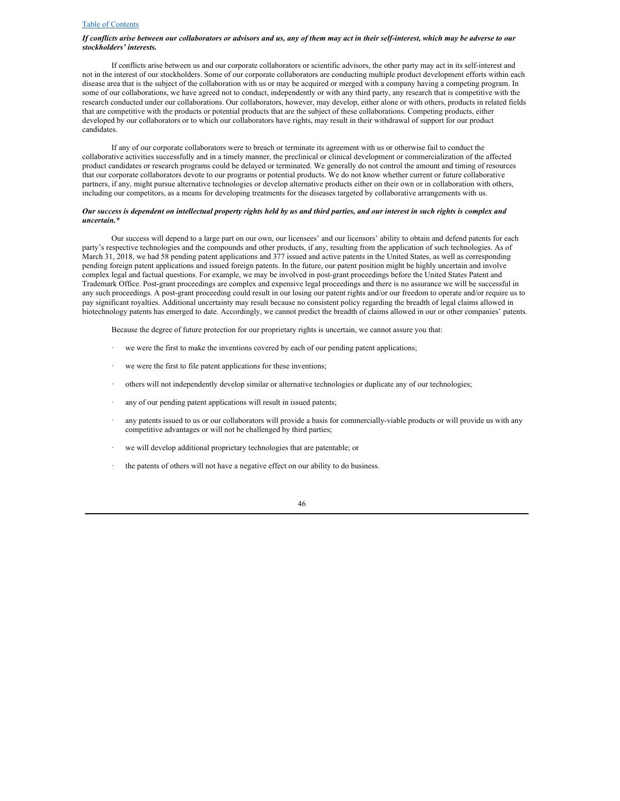#### If conflicts arise between our collaborators or advisors and us, any of them may act in their self-interest, which may be adverse to our *stockholders' interests.*

If conflicts arise between us and our corporate collaborators or scientific advisors, the other party may act in its self-interest and not in the interest of our stockholders. Some of our corporate collaborators are conducting multiple product development efforts within each disease area that is the subject of the collaboration with us or may be acquired or merged with a company having a competing program. In some of our collaborations, we have agreed not to conduct, independently or with any third party, any research that is competitive with the research conducted under our collaborations. Our collaborators, however, may develop, either alone or with others, products in related fields that are competitive with the products or potential products that are the subject of these collaborations. Competing products, either developed by our collaborators or to which our collaborators have rights, may result in their withdrawal of support for our product candidates.

If any of our corporate collaborators were to breach or terminate its agreement with us or otherwise fail to conduct the collaborative activities successfully and in a timely manner, the preclinical or clinical development or commercialization of the affected product candidates or research programs could be delayed or terminated. We generally do not control the amount and timing of resources that our corporate collaborators devote to our programs or potential products. We do not know whether current or future collaborative partners, if any, might pursue alternative technologies or develop alternative products either on their own or in collaboration with others, including our competitors, as a means for developing treatments for the diseases targeted by collaborative arrangements with us.

## Our success is dependent on intellectual property rights held by us and third parties, and our interest in such rights is complex and *uncertain.\**

Our success will depend to a large part on our own, our licensees' and our licensors' ability to obtain and defend patents for each party's respective technologies and the compounds and other products, if any, resulting from the application of such technologies. As of March 31, 2018, we had 58 pending patent applications and 377 issued and active patents in the United States, as well as corresponding pending foreign patent applications and issued foreign patents. In the future, our patent position might be highly uncertain and involve complex legal and factual questions. For example, we may be involved in post-grant proceedings before the United States Patent and Trademark Office. Post-grant proceedings are complex and expensive legal proceedings and there is no assurance we will be successful in any such proceedings. A post-grant proceeding could result in our losing our patent rights and/or our freedom to operate and/or require us to pay significant royalties. Additional uncertainty may result because no consistent policy regarding the breadth of legal claims allowed in biotechnology patents has emerged to date. Accordingly, we cannot predict the breadth of claims allowed in our or other companies' patents.

Because the degree of future protection for our proprietary rights is uncertain, we cannot assure you that:

- we were the first to make the inventions covered by each of our pending patent applications;
- we were the first to file patent applications for these inventions;
- · others will not independently develop similar or alternative technologies or duplicate any of our technologies;
- any of our pending patent applications will result in issued patents;
- any patents issued to us or our collaborators will provide a basis for commercially-viable products or will provide us with any competitive advantages or will not be challenged by third parties;
- we will develop additional proprietary technologies that are patentable; or
- the patents of others will not have a negative effect on our ability to do business.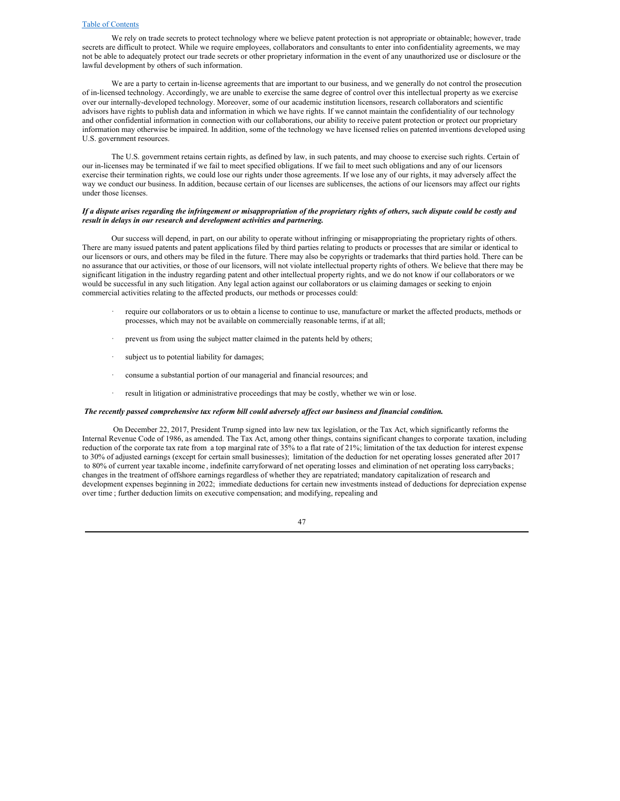We rely on trade secrets to protect technology where we believe patent protection is not appropriate or obtainable; however, trade secrets are difficult to protect. While we require employees, collaborators and consultants to enter into confidentiality agreements, we may not be able to adequately protect our trade secrets or other proprietary information in the event of any unauthorized use or disclosure or the lawful development by others of such information.

We are a party to certain in-license agreements that are important to our business, and we generally do not control the prosecution of in-licensed technology. Accordingly, we are unable to exercise the same degree of control over this intellectual property as we exercise over our internally-developed technology. Moreover, some of our academic institution licensors, research collaborators and scientific advisors have rights to publish data and information in which we have rights. If we cannot maintain the confidentiality of our technology and other confidential information in connection with our collaborations, our ability to receive patent protection or protect our proprietary information may otherwise be impaired. In addition, some of the technology we have licensed relies on patented inventions developed using U.S. government resources.

The U.S. government retains certain rights, as defined by law, in such patents, and may choose to exercise such rights. Certain of our in-licenses may be terminated if we fail to meet specified obligations. If we fail to meet such obligations and any of our licensors exercise their termination rights, we could lose our rights under those agreements. If we lose any of our rights, it may adversely affect the way we conduct our business. In addition, because certain of our licenses are sublicenses, the actions of our licensors may affect our rights under those licenses.

## If a dispute arises regarding the infringement or misappropriation of the proprietary rights of others, such dispute could be costly and *result in delays in our research and development activities and partnering.*

Our success will depend, in part, on our ability to operate without infringing or misappropriating the proprietary rights of others. There are many issued patents and patent applications filed by third parties relating to products or processes that are similar or identical to our licensors or ours, and others may be filed in the future. There may also be copyrights or trademarks that third parties hold. There can be no assurance that our activities, or those of our licensors, will not violate intellectual property rights of others. We believe that there may be significant litigation in the industry regarding patent and other intellectual property rights, and we do not know if our collaborators or we would be successful in any such litigation. Any legal action against our collaborators or us claiming damages or seeking to enjoin commercial activities relating to the affected products, our methods or processes could:

- require our collaborators or us to obtain a license to continue to use, manufacture or market the affected products, methods or processes, which may not be available on commercially reasonable terms, if at all;
- prevent us from using the subject matter claimed in the patents held by others;
- subject us to potential liability for damages;
- · consume a substantial portion of our managerial and financial resources; and
- result in litigation or administrative proceedings that may be costly, whether we win or lose.

# *The recently passed comprehensive tax reform bill could adversely af ect our business and financial condition.*

On December 22, 2017, President Trump signed into law new tax legislation, or the Tax Act, which significantly reforms the Internal Revenue Code of 1986, as amended. The Tax Act, among other things, contains significant changes to corporate taxation, including reduction of the corporate tax rate from a top marginal rate of 35% to a flat rate of 21%; limitation of the tax deduction for interest expense to 30% of adjusted earnings (except for certain small businesses); limitation of the deduction for net operating losses generated after 2017 to 80% of current year taxable income , indefinite carryforward of net operating losses and elimination of net operating loss carrybacks; changes in the treatment of offshore earnings regardless of whether they are repatriated; mandatory capitalization of research and development expenses beginning in 2022; immediate deductions for certain new investments instead of deductions for depreciation expense over time ; further deduction limits on executive compensation; and modifying, repealing and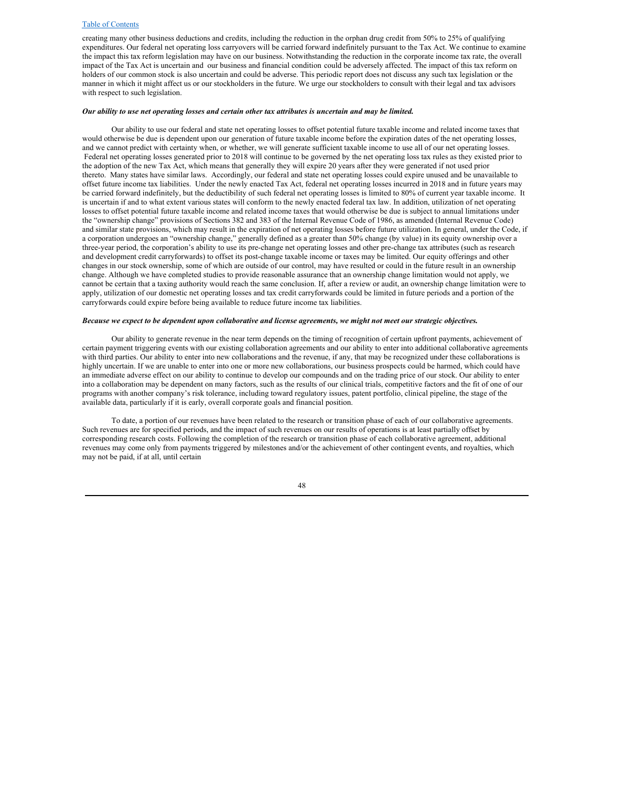creating many other business deductions and credits, including the reduction in the orphan drug credit from 50% to 25% of qualifying expenditures. Our federal net operating loss carryovers will be carried forward indefinitely pursuant to the Tax Act. We continue to examine the impact this tax reform legislation may have on our business. Notwithstanding the reduction in the corporate income tax rate, the overall impact of the Tax Act is uncertain and our business and financial condition could be adversely affected. The impact of this tax reform on holders of our common stock is also uncertain and could be adverse. This periodic report does not discuss any such tax legislation or the manner in which it might affect us or our stockholders in the future. We urge our stockholders to consult with their legal and tax advisors with respect to such legislation.

#### Our ability to use net operating losses and certain other tax attributes is uncertain and may be limited.

Our ability to use our federal and state net operating losses to offset potential future taxable income and related income taxes that would otherwise be due is dependent upon our generation of future taxable income before the expiration dates of the net operating losses, and we cannot predict with certainty when, or whether, we will generate sufficient taxable income to use all of our net operating losses. Federal net operating losses generated prior to 2018 will continue to be governed by the net operating loss tax rules as they existed prior to the adoption of the new Tax Act, which means that generally they will expire 20 years after they were generated if not used prior thereto. Many states have similar laws. Accordingly, our federal and state net operating losses could expire unused and be unavailable to offset future income tax liabilities. Under the newly enacted Tax Act, federal net operating losses incurred in 2018 and in future years may be carried forward indefinitely, but the deductibility of such federal net operating losses is limited to 80% of current year taxable income. It is uncertain if and to what extent various states will conform to the newly enacted federal tax law. In addition, utilization of net operating losses to offset potential future taxable income and related income taxes that would otherwise be due is subject to annual limitations under the "ownership change" provisions of Sections 382 and 383 of the Internal Revenue Code of 1986, as amended (Internal Revenue Code) and similar state provisions, which may result in the expiration of net operating losses before future utilization. In general, under the Code, if a corporation undergoes an "ownership change," generally defined as a greater than 50% change (by value) in its equity ownership over a three-year period, the corporation's ability to use its pre-change net operating losses and other pre-change tax attributes (such as research and development credit carryforwards) to offset its post-change taxable income or taxes may be limited. Our equity offerings and other changes in our stock ownership, some of which are outside of our control, may have resulted or could in the future result in an ownership change. Although we have completed studies to provide reasonable assurance that an ownership change limitation would not apply, we cannot be certain that a taxing authority would reach the same conclusion. If, after a review or audit, an ownership change limitation were to apply, utilization of our domestic net operating losses and tax credit carryforwards could be limited in future periods and a portion of the carryforwards could expire before being available to reduce future income tax liabilities.

#### Because we expect to be dependent upon collaborative and license agreements, we might not meet our strategic objectives.

Our ability to generate revenue in the near term depends on the timing of recognition of certain upfront payments, achievement of certain payment triggering events with our existing collaboration agreements and our ability to enter into additional collaborative agreements with third parties. Our ability to enter into new collaborations and the revenue, if any, that may be recognized under these collaborations is highly uncertain. If we are unable to enter into one or more new collaborations, our business prospects could be harmed, which could have an immediate adverse effect on our ability to continue to develop our compounds and on the trading price of our stock. Our ability to enter into a collaboration may be dependent on many factors, such as the results of our clinical trials, competitive factors and the fit of one of our programs with another company's risk tolerance, including toward regulatory issues, patent portfolio, clinical pipeline, the stage of the available data, particularly if it is early, overall corporate goals and financial position.

To date, a portion of our revenues have been related to the research or transition phase of each of our collaborative agreements. Such revenues are for specified periods, and the impact of such revenues on our results of operations is at least partially offset by corresponding research costs. Following the completion of the research or transition phase of each collaborative agreement, additional revenues may come only from payments triggered by milestones and/or the achievement of other contingent events, and royalties, which may not be paid, if at all, until certain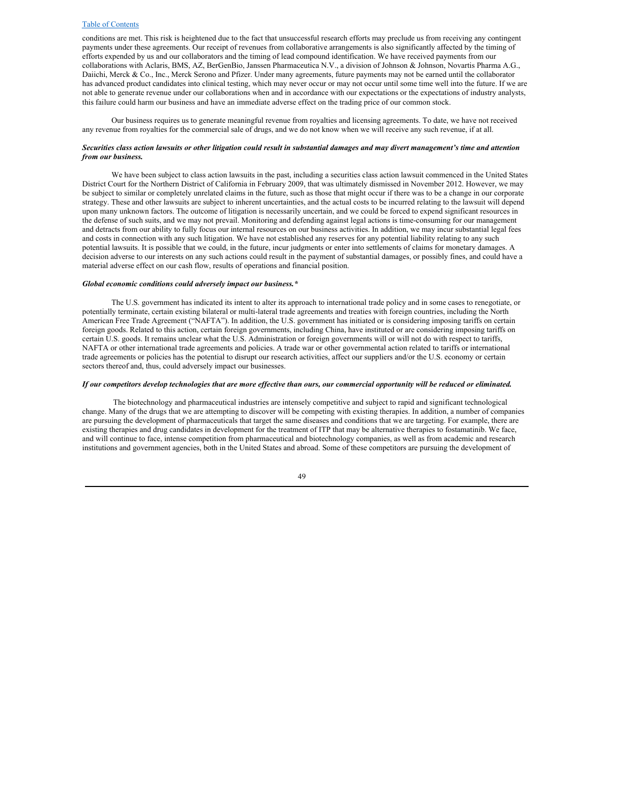conditions are met. This risk is heightened due to the fact that unsuccessful research efforts may preclude us from receiving any contingent payments under these agreements. Our receipt of revenues from collaborative arrangements is also significantly affected by the timing of efforts expended by us and our collaborators and the timing of lead compound identification. We have received payments from our collaborations with Aclaris, BMS, AZ, BerGenBio, Janssen Pharmaceutica N.V., a division of Johnson & Johnson, Novartis Pharma A.G., Daiichi, Merck & Co., Inc., Merck Serono and Pfizer. Under many agreements, future payments may not be earned until the collaborator has advanced product candidates into clinical testing, which may never occur or may not occur until some time well into the future. If we are not able to generate revenue under our collaborations when and in accordance with our expectations or the expectations of industry analysts, this failure could harm our business and have an immediate adverse effect on the trading price of our common stock.

Our business requires us to generate meaningful revenue from royalties and licensing agreements. To date, we have not received any revenue from royalties for the commercial sale of drugs, and we do not know when we will receive any such revenue, if at all.

## Securities class action lawsuits or other litigation could result in substantial damages and may divert management's time and attention *from our business.*

We have been subject to class action lawsuits in the past, including a securities class action lawsuit commenced in the United States District Court for the Northern District of California in February 2009, that was ultimately dismissed in November 2012. However, we may be subject to similar or completely unrelated claims in the future, such as those that might occur if there was to be a change in our corporate strategy. These and other lawsuits are subject to inherent uncertainties, and the actual costs to be incurred relating to the lawsuit will depend upon many unknown factors. The outcome of litigation is necessarily uncertain, and we could be forced to expend significant resources in the defense of such suits, and we may not prevail. Monitoring and defending against legal actions is time-consuming for our management and detracts from our ability to fully focus our internal resources on our business activities. In addition, we may incur substantial legal fees and costs in connection with any such litigation. We have not established any reserves for any potential liability relating to any such potential lawsuits. It is possible that we could, in the future, incur judgments or enter into settlements of claims for monetary damages. A decision adverse to our interests on any such actions could result in the payment of substantial damages, or possibly fines, and could have a material adverse effect on our cash flow, results of operations and financial position.

#### *Global economic conditions could adversely impact our business.\**

The U.S. government has indicated its intent to alter its approach to international trade policy and in some cases to renegotiate, or potentially terminate, certain existing bilateral or multi-lateral trade agreements and treaties with foreign countries, including the North American Free Trade Agreement ("NAFTA"). In addition, the U.S. government has initiated or is considering imposing tariffs on certain foreign goods. Related to this action, certain foreign governments, including China, have instituted or are considering imposing tariffs on certain U.S. goods. It remains unclear what the U.S. Administration or foreign governments will or will not do with respect to tariffs, NAFTA or other international trade agreements and policies. A trade war or other governmental action related to tariffs or international trade agreements or policies has the potential to disrupt our research activities, affect our suppliers and/or the U.S. economy or certain sectors thereof and, thus, could adversely impact our businesses.

## If our competitors develop technologies that are more effective than ours, our commercial opportunity will be reduced or eliminated.

The biotechnology and pharmaceutical industries are intensely competitive and subject to rapid and significant technological change. Many of the drugs that we are attempting to discover will be competing with existing therapies. In addition, a number of companies are pursuing the development of pharmaceuticals that target the same diseases and conditions that we are targeting. For example, there are existing therapies and drug candidates in development for the treatment of ITP that may be alternative therapies to fostamatinib. We face, and will continue to face, intense competition from pharmaceutical and biotechnology companies, as well as from academic and research institutions and government agencies, both in the United States and abroad. Some of these competitors are pursuing the development of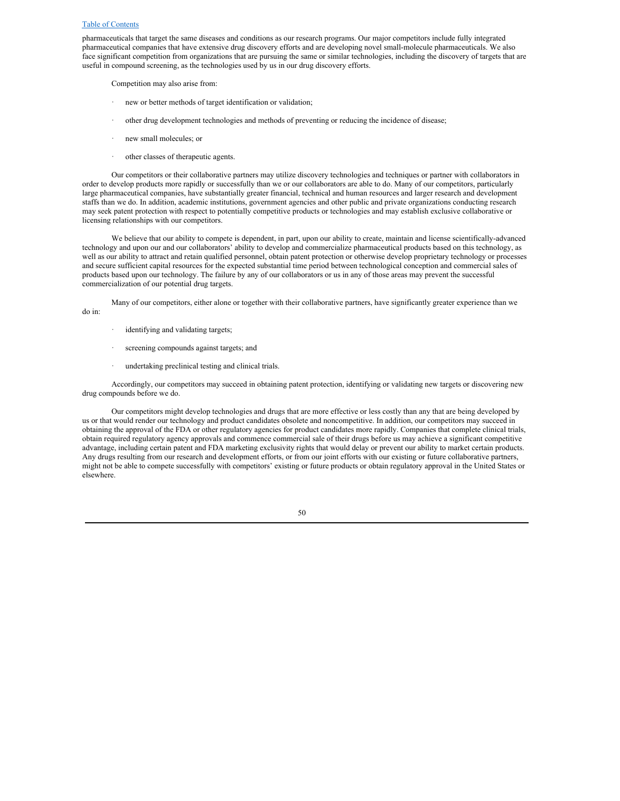pharmaceuticals that target the same diseases and conditions as our research programs. Our major competitors include fully integrated pharmaceutical companies that have extensive drug discovery efforts and are developing novel small-molecule pharmaceuticals. We also face significant competition from organizations that are pursuing the same or similar technologies, including the discovery of targets that are useful in compound screening, as the technologies used by us in our drug discovery efforts.

Competition may also arise from:

- new or better methods of target identification or validation;
- · other drug development technologies and methods of preventing or reducing the incidence of disease;
- new small molecules; or
- other classes of therapeutic agents.

Our competitors or their collaborative partners may utilize discovery technologies and techniques or partner with collaborators in order to develop products more rapidly or successfully than we or our collaborators are able to do. Many of our competitors, particularly large pharmaceutical companies, have substantially greater financial, technical and human resources and larger research and development staffs than we do. In addition, academic institutions, government agencies and other public and private organizations conducting research may seek patent protection with respect to potentially competitive products or technologies and may establish exclusive collaborative or licensing relationships with our competitors.

We believe that our ability to compete is dependent, in part, upon our ability to create, maintain and license scientifically-advanced technology and upon our and our collaborators' ability to develop and commercialize pharmaceutical products based on this technology, as well as our ability to attract and retain qualified personnel, obtain patent protection or otherwise develop proprietary technology or processes and secure sufficient capital resources for the expected substantial time period between technological conception and commercial sales of products based upon our technology. The failure by any of our collaborators or us in any of those areas may prevent the successful commercialization of our potential drug targets.

Many of our competitors, either alone or together with their collaborative partners, have significantly greater experience than we do in:

- identifying and validating targets;
- screening compounds against targets; and
- undertaking preclinical testing and clinical trials.

Accordingly, our competitors may succeed in obtaining patent protection, identifying or validating new targets or discovering new drug compounds before we do.

Our competitors might develop technologies and drugs that are more effective or less costly than any that are being developed by us or that would render our technology and product candidates obsolete and noncompetitive. In addition, our competitors may succeed in obtaining the approval of the FDA or other regulatory agencies for product candidates more rapidly. Companies that complete clinical trials, obtain required regulatory agency approvals and commence commercial sale of their drugs before us may achieve a significant competitive advantage, including certain patent and FDA marketing exclusivity rights that would delay or prevent our ability to market certain products. Any drugs resulting from our research and development efforts, or from our joint efforts with our existing or future collaborative partners, might not be able to compete successfully with competitors' existing or future products or obtain regulatory approval in the United States or elsewhere.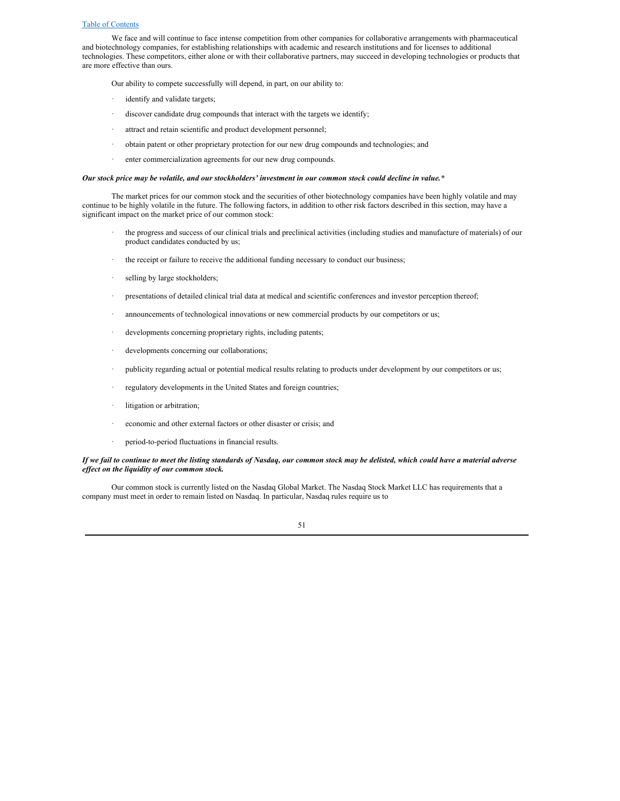We face and will continue to face intense competition from other companies for collaborative arrangements with pharmaceutical and biotechnology companies, for establishing relationships with academic and research institutions and for licenses to additional technologies. These competitors, either alone or with their collaborative partners, may succeed in developing technologies or products that are more effective than ours.

Our ability to compete successfully will depend, in part, on our ability to:

- identify and validate targets;
- · discover candidate drug compounds that interact with the targets we identify;
- · attract and retain scientific and product development personnel;
- · obtain patent or other proprietary protection for our new drug compounds and technologies; and
- enter commercialization agreements for our new drug compounds.

#### Our stock price may be volatile, and our stockholders' investment in our common stock could decline in value.\*

The market prices for our common stock and the securities of other biotechnology companies have been highly volatile and may continue to be highly volatile in the future. The following factors, in addition to other risk factors described in this section, may have a significant impact on the market price of our common stock:

- the progress and success of our clinical trials and preclinical activities (including studies and manufacture of materials) of our product candidates conducted by us;
- the receipt or failure to receive the additional funding necessary to conduct our business;
- selling by large stockholders;
- presentations of detailed clinical trial data at medical and scientific conferences and investor perception thereof;
- · announcements of technological innovations or new commercial products by our competitors or us;
- developments concerning proprietary rights, including patents;
- developments concerning our collaborations;
- publicity regarding actual or potential medical results relating to products under development by our competitors or us;
- regulatory developments in the United States and foreign countries;
- litigation or arbitration;
- economic and other external factors or other disaster or crisis; and
- period-to-period fluctuations in financial results.

## If we fail to continue to meet the listing standards of Nasdaq, our common stock may be delisted, which could have a material adverse *ef ect on the liquidity of our common stock.*

Our common stock is currently listed on the Nasdaq Global Market. The Nasdaq Stock Market LLC has requirements that a company must meet in order to remain listed on Nasdaq. In particular, Nasdaq rules require us to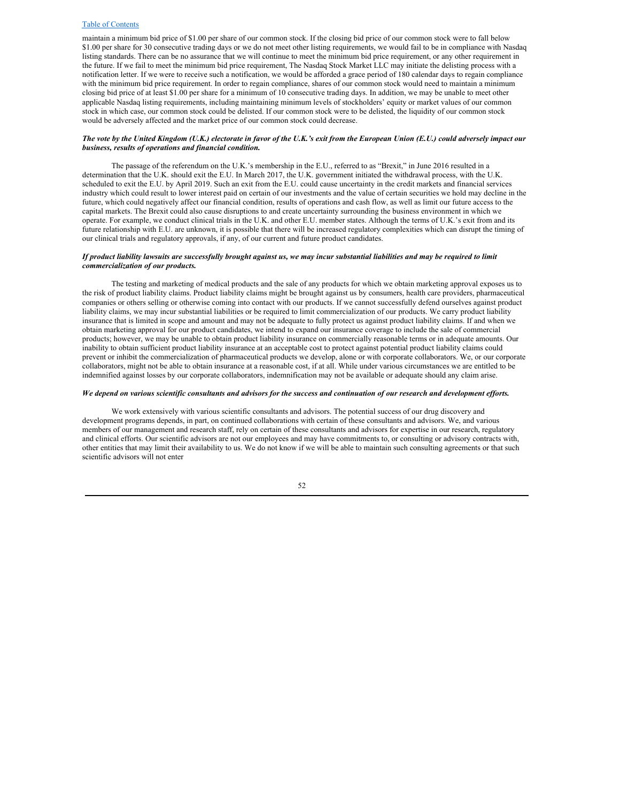maintain a minimum bid price of \$1.00 per share of our common stock. If the closing bid price of our common stock were to fall below \$1.00 per share for 30 consecutive trading days or we do not meet other listing requirements, we would fail to be in compliance with Nasdaq listing standards. There can be no assurance that we will continue to meet the minimum bid price requirement, or any other requirement in the future. If we fail to meet the minimum bid price requirement, The Nasdaq Stock Market LLC may initiate the delisting process with a notification letter. If we were to receive such a notification, we would be afforded a grace period of 180 calendar days to regain compliance with the minimum bid price requirement. In order to regain compliance, shares of our common stock would need to maintain a minimum closing bid price of at least \$1.00 per share for a minimum of 10 consecutive trading days. In addition, we may be unable to meet other applicable Nasdaq listing requirements, including maintaining minimum levels of stockholders' equity or market values of our common stock in which case, our common stock could be delisted. If our common stock were to be delisted, the liquidity of our common stock would be adversely affected and the market price of our common stock could decrease.

# The vote by the United Kingdom (U.K.) electorate in favor of the U.K.'s exit from the European Union (E.U.) could adversely impact our *business, results of operations and financial condition.*

The passage of the referendum on the U.K.'s membership in the E.U., referred to as "Brexit," in June 2016 resulted in a determination that the U.K. should exit the E.U. In March 2017, the U.K. government initiated the withdrawal process, with the U.K. scheduled to exit the E.U. by April 2019. Such an exit from the E.U. could cause uncertainty in the credit markets and financial services industry which could result to lower interest paid on certain of our investments and the value of certain securities we hold may decline in the future, which could negatively affect our financial condition, results of operations and cash flow, as well as limit our future access to the capital markets. The Brexit could also cause disruptions to and create uncertainty surrounding the business environment in which we operate. For example, we conduct clinical trials in the U.K. and other E.U. member states. Although the terms of U.K.'s exit from and its future relationship with E.U. are unknown, it is possible that there will be increased regulatory complexities which can disrupt the timing of our clinical trials and regulatory approvals, if any, of our current and future product candidates.

#### If product liability lawsuits are successfully brought against us, we may incur substantial liabilities and may be required to limit *commercialization of our products.*

The testing and marketing of medical products and the sale of any products for which we obtain marketing approval exposes us to the risk of product liability claims. Product liability claims might be brought against us by consumers, health care providers, pharmaceutical companies or others selling or otherwise coming into contact with our products. If we cannot successfully defend ourselves against product liability claims, we may incur substantial liabilities or be required to limit commercialization of our products. We carry product liability insurance that is limited in scope and amount and may not be adequate to fully protect us against product liability claims. If and when we obtain marketing approval for our product candidates, we intend to expand our insurance coverage to include the sale of commercial products; however, we may be unable to obtain product liability insurance on commercially reasonable terms or in adequate amounts. Our inability to obtain sufficient product liability insurance at an acceptable cost to protect against potential product liability claims could prevent or inhibit the commercialization of pharmaceutical products we develop, alone or with corporate collaborators. We, or our corporate collaborators, might not be able to obtain insurance at a reasonable cost, if at all. While under various circumstances we are entitled to be indemnified against losses by our corporate collaborators, indemnification may not be available or adequate should any claim arise.

## We depend on various scientific consultants and advisors for the success and continuation of our research and development efforts.

We work extensively with various scientific consultants and advisors. The potential success of our drug discovery and development programs depends, in part, on continued collaborations with certain of these consultants and advisors. We, and various members of our management and research staff, rely on certain of these consultants and advisors for expertise in our research, regulatory and clinical efforts. Our scientific advisors are not our employees and may have commitments to, or consulting or advisory contracts with, other entities that may limit their availability to us. We do not know if we will be able to maintain such consulting agreements or that such scientific advisors will not enter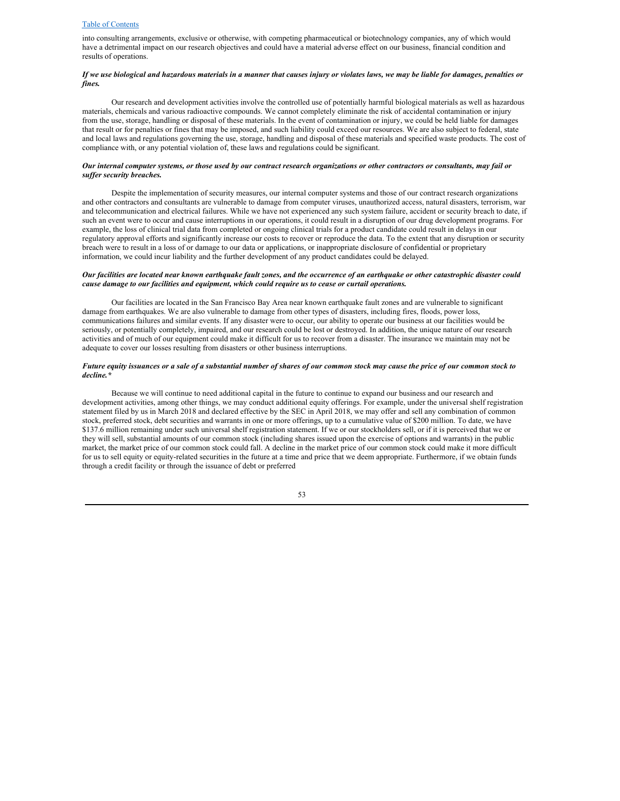into consulting arrangements, exclusive or otherwise, with competing pharmaceutical or biotechnology companies, any of which would have a detrimental impact on our research objectives and could have a material adverse effect on our business, financial condition and results of operations.

#### If we use biological and hazardous materials in a manner that causes injury or violates laws, we may be liable for damages, penalties or *fines.*

Our research and development activities involve the controlled use of potentially harmful biological materials as well as hazardous materials, chemicals and various radioactive compounds. We cannot completely eliminate the risk of accidental contamination or injury from the use, storage, handling or disposal of these materials. In the event of contamination or injury, we could be held liable for damages that result or for penalties or fines that may be imposed, and such liability could exceed our resources. We are also subject to federal, state and local laws and regulations governing the use, storage, handling and disposal of these materials and specified waste products. The cost of compliance with, or any potential violation of, these laws and regulations could be significant.

# Our internal computer systems, or those used by our contract research organizations or other contractors or consultants, may fail or *suf er security breaches.*

Despite the implementation of security measures, our internal computer systems and those of our contract research organizations and other contractors and consultants are vulnerable to damage from computer viruses, unauthorized access, natural disasters, terrorism, war and telecommunication and electrical failures. While we have not experienced any such system failure, accident or security breach to date, if such an event were to occur and cause interruptions in our operations, it could result in a disruption of our drug development programs. For example, the loss of clinical trial data from completed or ongoing clinical trials for a product candidate could result in delays in our regulatory approval efforts and significantly increase our costs to recover or reproduce the data. To the extent that any disruption or security breach were to result in a loss of or damage to our data or applications, or inappropriate disclosure of confidential or proprietary information, we could incur liability and the further development of any product candidates could be delayed.

## Our facilities are located near known earthquake fault zones, and the occurrence of an earthquake or other catastrophic disaster could *cause damage to our facilities and equipment, which could require us to cease or curtail operations.*

Our facilities are located in the San Francisco Bay Area near known earthquake fault zones and are vulnerable to significant damage from earthquakes. We are also vulnerable to damage from other types of disasters, including fires, floods, power loss, communications failures and similar events. If any disaster were to occur, our ability to operate our business at our facilities would be seriously, or potentially completely, impaired, and our research could be lost or destroyed. In addition, the unique nature of our research activities and of much of our equipment could make it difficult for us to recover from a disaster. The insurance we maintain may not be adequate to cover our losses resulting from disasters or other business interruptions.

# Future equity issuances or a sale of a substantial number of shares of our common stock may cause the price of our common stock to *decline.\**

Because we will continue to need additional capital in the future to continue to expand our business and our research and development activities, among other things, we may conduct additional equity offerings. For example, under the universal shelf registration statement filed by us in March 2018 and declared effective by the SEC in April 2018, we may offer and sell any combination of common stock, preferred stock, debt securities and warrants in one or more offerings, up to a cumulative value of \$200 million. To date, we have \$137.6 million remaining under such universal shelf registration statement. If we or our stockholders sell, or if it is perceived that we or they will sell, substantial amounts of our common stock (including shares issued upon the exercise of options and warrants) in the public market, the market price of our common stock could fall. A decline in the market price of our common stock could make it more difficult for us to sell equity or equity-related securities in the future at a time and price that we deem appropriate. Furthermore, if we obtain funds through a credit facility or through the issuance of debt or preferred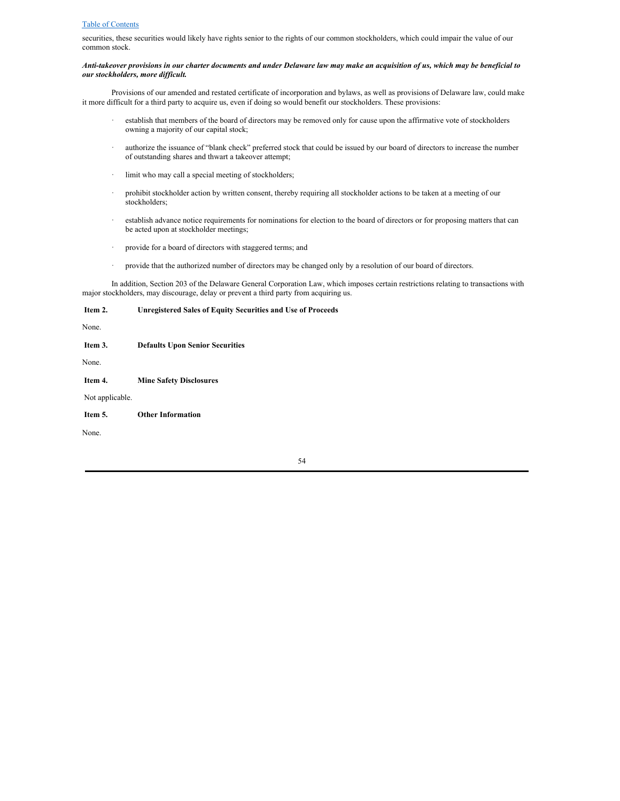securities, these securities would likely have rights senior to the rights of our common stockholders, which could impair the value of our common stock.

## Anti-takeover provisions in our charter documents and under Delaware law may make an acquisition of us, which may be beneficial to *our stockholders, more dif icult.*

Provisions of our amended and restated certificate of incorporation and bylaws, as well as provisions of Delaware law, could make it more difficult for a third party to acquire us, even if doing so would benefit our stockholders. These provisions:

- establish that members of the board of directors may be removed only for cause upon the affirmative vote of stockholders owning a majority of our capital stock;
- authorize the issuance of "blank check" preferred stock that could be issued by our board of directors to increase the number of outstanding shares and thwart a takeover attempt;
- · limit who may call a special meeting of stockholders;
- · prohibit stockholder action by written consent, thereby requiring all stockholder actions to be taken at a meeting of our stockholders;
- · establish advance notice requirements for nominations for election to the board of directors or for proposing matters that can be acted upon at stockholder meetings;
- · provide for a board of directors with staggered terms; and
- provide that the authorized number of directors may be changed only by a resolution of our board of directors.

In addition, Section 203 of the Delaware General Corporation Law, which imposes certain restrictions relating to transactions with major stockholders, may discourage, delay or prevent a third party from acquiring us.

## **Item 2. Unregistered Sales of Equity Securities and Use of Proceeds**

None.

| Item 3.         | <b>Defaults Upon Senior Securities</b> |
|-----------------|----------------------------------------|
| None.           |                                        |
| Item 4.         | <b>Mine Safety Disclosures</b>         |
| Not applicable. |                                        |
| Item 5.         | <b>Other Information</b>               |
| None.           |                                        |
|                 |                                        |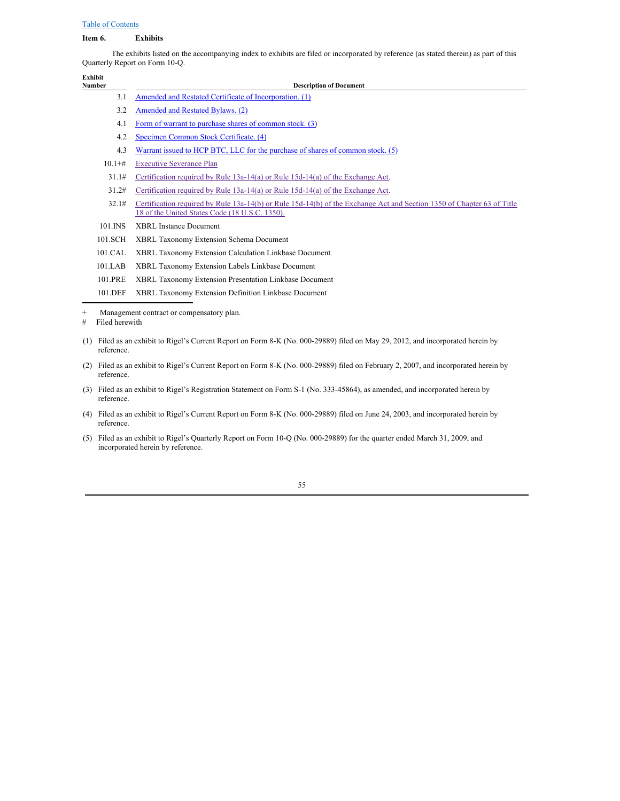# **Item 6. Exhibits**

The exhibits listed on the accompanying index to exhibits are filed or incorporated by reference (as stated therein) as part of this Quarterly Report on Form 10-Q.

| Exhibit<br><b>Number</b> | <b>Description of Document</b>                                                                                                                                           |
|--------------------------|--------------------------------------------------------------------------------------------------------------------------------------------------------------------------|
| 3.1                      | Amended and Restated Certificate of Incorporation. (1)                                                                                                                   |
| 3.2                      | Amended and Restated Bylaws. (2)                                                                                                                                         |
| 4.1                      | Form of warrant to purchase shares of common stock. (3)                                                                                                                  |
| 4.2                      | Specimen Common Stock Certificate. (4)                                                                                                                                   |
| 4.3                      | Warrant issued to HCP BTC, LLC for the purchase of shares of common stock. (5)                                                                                           |
| $10.1 + \#$              | <b>Executive Severance Plan</b>                                                                                                                                          |
| 31.1#                    | Certification required by Rule 13a-14(a) or Rule 15d-14(a) of the Exchange Act.                                                                                          |
| 31.2#                    | Certification required by Rule 13a-14(a) or Rule 15d-14(a) of the Exchange Act.                                                                                          |
| 32.1#                    | Certification required by Rule 13a-14(b) or Rule 15d-14(b) of the Exchange Act and Section 1350 of Chapter 63 of Title<br>18 of the United States Code (18 U.S.C. 1350). |
| 101.INS                  | <b>XBRL</b> Instance Document                                                                                                                                            |
| 101.SCH                  | XBRL Taxonomy Extension Schema Document                                                                                                                                  |
| 101.CAL                  | XBRL Taxonomy Extension Calculation Linkbase Document                                                                                                                    |
| 101.LAB                  | XBRL Taxonomy Extension Labels Linkbase Document                                                                                                                         |
| 101.PRE                  | XBRL Taxonomy Extension Presentation Linkbase Document                                                                                                                   |
| 101.DEF                  | XBRL Taxonomy Extension Definition Linkbase Document                                                                                                                     |
| $^{+}$<br>$-1$           | Management contract or compensatory plan.                                                                                                                                |

# Filed herewith

(1) Filed as an exhibit to Rigel's Current Report on Form 8-K (No. 000-29889) filed on May 29, 2012, and incorporated herein by reference.

- (2) Filed as an exhibit to Rigel's Current Report on Form 8-K (No. 000-29889) filed on February 2, 2007, and incorporated herein by reference.
- (3) Filed as an exhibit to Rigel's Registration Statement on Form S-1 (No. 333-45864), as amended, and incorporated herein by reference.
- (4) Filed as an exhibit to Rigel's Current Report on Form 8-K (No. 000-29889) filed on June 24, 2003, and incorporated herein by reference.
- (5) Filed as an exhibit to Rigel's Quarterly Report on Form 10-Q (No. 000-29889) for the quarter ended March 31, 2009, and incorporated herein by reference.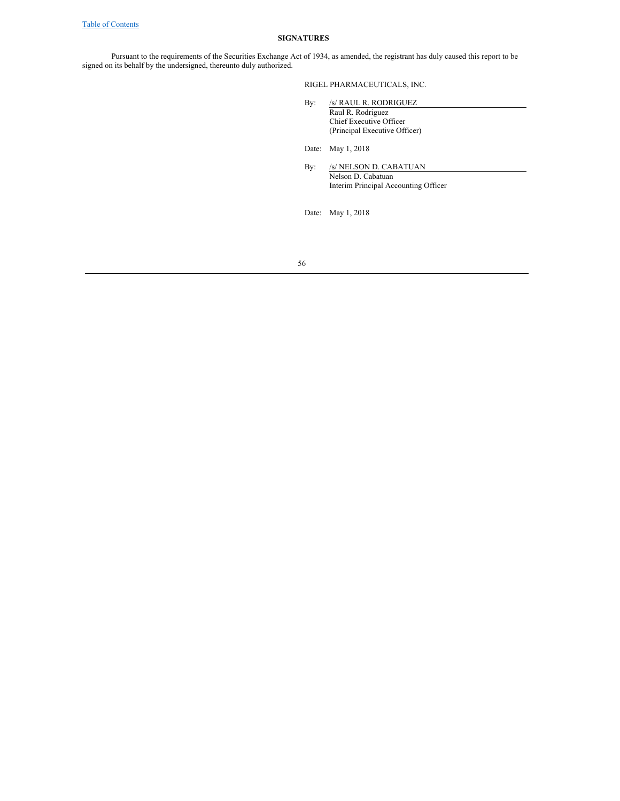# **SIGNATURES**

Pursuant to the requirements of the Securities Exchange Act of 1934, as amended, the registrant has duly caused this report to be signed on its behalf by the undersigned, thereunto duly authorized.

RIGEL PHARMACEUTICALS, INC.

| By: | /s/ RAUL R. RODRIGUEZ         |
|-----|-------------------------------|
|     | Raul R. Rodriguez             |
|     | Chief Executive Officer       |
|     | (Principal Executive Officer) |
|     | Date: May 1, 2018             |

By: /s/ NELSON D. CABATUAN Nelson D. Cabatuan Interim Principal Accounting Officer

Date: May 1, 2018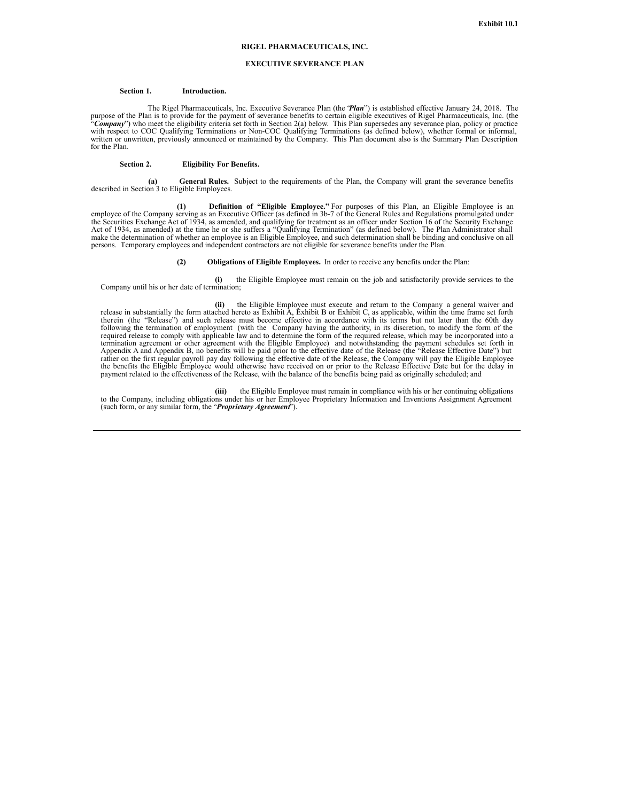#### **RIGEL PHARMACEUTICALS, INC.**

### **EXECUTIVE SEVERANCE PLAN**

#### **Section 1. Introduction.**

The Rigel Pharmaceuticals, Inc. Executive Severance Plan (the "*Plan*") is established effective January 24, 2018. The purpose of the Plan is to provide for the payment of severance benefits to certain eligible executives of Rigel Pharmaceuticals, Inc. (the "Company") who meet the eligibility criteria set forth in Section 2(a) below. This with respect to COC Qualifying Terminations or Non-COC Qualifying Terminations (as defined below), whether formal or informal, written or unwritten, previously announced or maintained by the Company. This Plan document also is the Summary Plan Description for the Plan.

#### **Section 2. Eligibility For Benefits.**

**(a) General Rules.** Subject to the requirements of the Plan, the Company will grant the severance benefits described in Section 3 to Eligible Employees.

**(1) Definition of "Eligible Employee."** For purposes of this Plan, an Eligible Employee is an employee of the Company serving as an Executive Officer (as defined in 3b-7 of the General Rules and Regulations promulgated under the Securities Exchange Act of 1934, as amended, and qualifying for treatment as an officer under Section 16 of the Security Exchange Act of 1934, as amended) at the time he or she suffers a "Qualifying Termination" (as defined below). The Plan Administrator shall make the determination of whether an employee is an Eligible Employee, and such determination shall be binding and conclusive on all persons. Temporary employees and independent contractors are not eligible for severance benefits under the Plan.

**(2) Obligations of Eligible Employees.** In order to receive any benefits under the Plan:

**(i)** the Eligible Employee must remain on the job and satisfactorily provide services to the Company until his or her date of termination;

**(ii)** the Eligible Employee must execute and return to the Company a general waiver and release in substantially the form attached hereto as Exhibit A, Exhibit B or Exhibit C, as applicable, within the time frame set forth therein (the "Release") and such release must become effective in accordance with its terms but not later than the 60th day following the termination of employment (with the Company having the authority, in its discretion, to modify the form of the required release to comply with applicable law and to determine the form of the required release, which may be incorporated into a termination agreement or other agreement with the Eligible Employee) and notwithstanding the payment schedules set forth in Appendix A and Appendix B, no benefits will be paid prior to the effective date of the Release (th payment related to the effectiveness of the Release, with the balance of the benefits being paid as originally scheduled; and

**(iii)** the Eligible Employee must remain in compliance with his or her continuing obligations to the Company, including obligations under his or her Employee Proprietary Information and Inventions Assignment Agreement (such form, or any similar form, the "*Proprietary Agreement*").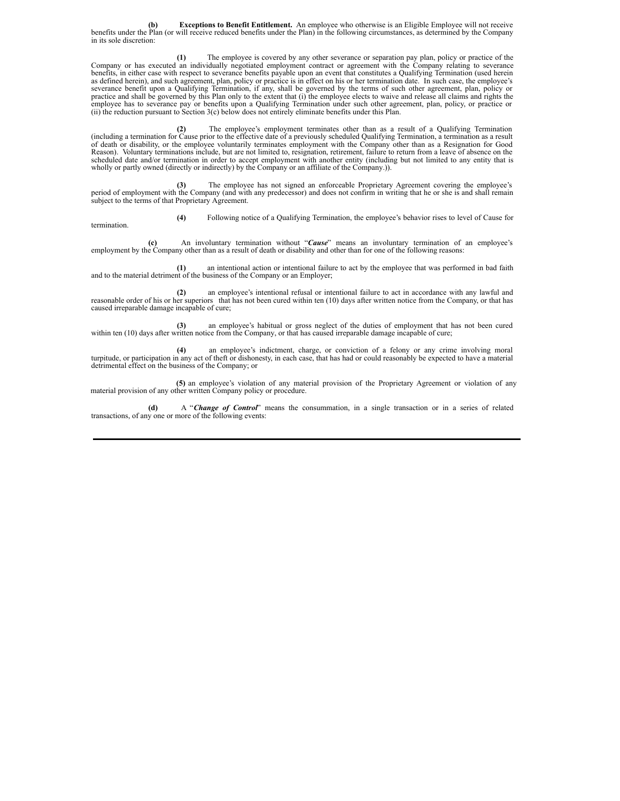**(b) Exceptions to Benefit Entitlement.** An employee who otherwise is an Eligible Employee will not receive benefits under the Plan (or will receive reduced benefits under the Plan) in the following circumstances, as determined by the Company in its sole discretion:

**(1)** The employee is covered by any other severance or separation pay plan, policy or practice of the Company or has executed an individually negotiated employment contract or agreement with the Company relating to severance benefits, in either case with respect to severance benefits payable upon an event that constitutes a Qualifying Termination (used herein as defined herein), and such agreement, plan, policy or practice is in effect on his or her termination date. In such case, the employee's severance benefit upon a Qualifying Termination, if any, shall be governed by the t practice and shall be governed by this Plan only to the extent that (i) the employee elects to waive and release all claims and rights the employee has to severance pay or benefits upon a Qualifying Termination under such other agreement, plan, policy, or practice or (ii) the reduction pursuant to Section 3(c) below does not entirely eliminate benefits under this Plan.

**(2)** The employee's employment terminates other than as a result of a Qualifying Termination (including a termination for Cause prior to the effective date of a previously scheduled Qualifying Termination, a termination as a result<br>of death or disability, or the employee voluntarily terminates employment with the Reason). Voluntary terminations include, but are not limited to, resignation, retirement, failure to return from a leave of absence on the scheduled date and/or termination in order to accept employment with another entity (including but not limited to any entity that is wholly or partly owned (directly or indirectly) by the Company or an affiliate of the Com

(3) The employee has not signed an enforceable Proprietary Agreement covering the employee's period of employment with the Company (and with any predecessor) and does not confirm in writing that he or she is and shall rema subject to the terms of that Proprietary Agreement.

**(4)** Following notice of a Qualifying Termination, the employee's behavior rises to level of Cause for termination.

**(c)** An involuntary termination without "*Cause*" means an involuntary termination of an employee's employment by the Company other than as a result of death or disability and other than for one of the following reasons:

**(1)** an intentional action or intentional failure to act by the employee that was performed in bad faith and to the material detriment of the business of the Company or an Employer;

**(2)** an employee's intentional refusal or intentional failure to act in accordance with any lawful and reasonable order of his or her superiors that has not been cured within ten (10) days after written notice from the Company, or that has caused irreparable damage incapable of cure;

**(3)** an employee's habitual or gross neglect of the duties of employment that has not been cured within ten (10) days after written notice from the Company, or that has caused irreparable damage incapable of cure;

**(4)** an employee's indictment, charge, or conviction of a felony or any crime involving moral turpitude, or participation in any act of theft or dishonesty, in each case, that has had or could reasonably be expected to have a material detrimental effect on the business of the Company; or

**(5)** an employee's violation of any material provision of the Proprietary Agreement or violation of any material provision of any other written Company policy or procedure.

**(d)** A "*Change of Control*" means the consummation, in a single transaction or in a series of related transactions, of any one or more of the following events: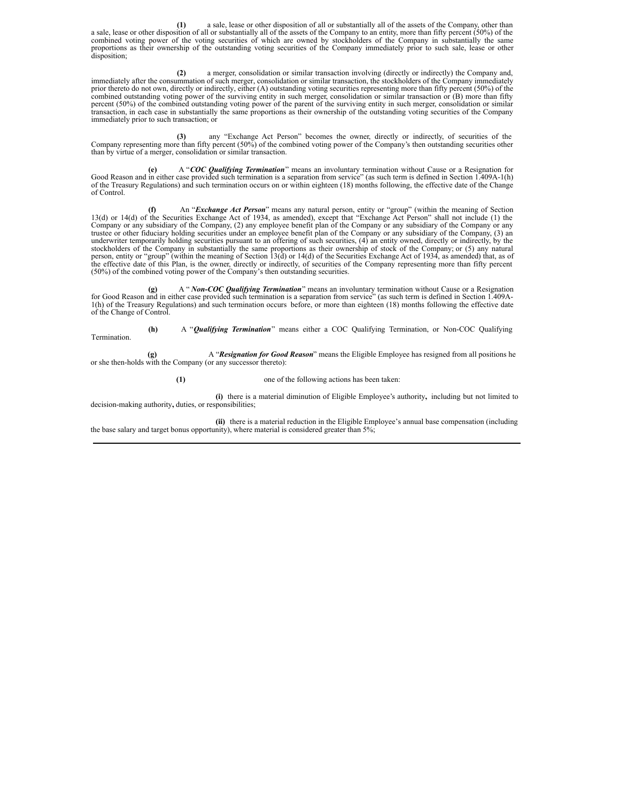**(1)** a sale, lease or other disposition of all or substantially all of the assets of the Company, other than a sale, lease or other disposition of all or substantially all of the assets of the Company to an entity, more than fifty percent  $(50%)$  of the combined voting power of the voting securities of which are owned by stockholders of the Company in substantially the same<br>proportions as their ownership of the outstanding voting securities of the Company immediately prio

immediately after the consummation of such merger, consolidation or similar transaction involving (directly or indirectly) the Company and,<br>immediately after the consummation of such merger, consolidation or similar transa prior thereto do not own, directly or indirectly, either (A) outstanding voting securities representing more than fifty percent (50%) of the combined outstanding voting power of the surviving entity in such merger, consolidation or similar transaction or (B) more than fifty percent (50%) of the combined outstanding voting power of the parent of the surviving entity in such merger, consolidation or similar<br>transaction, in each case in substantially the same proportions as their ownership of th immediately prior to such transaction; or

 $(3)$  any "Exchange Act Person" becomes the owner, directly or indirectly, of securities of the Company representing more than fifty percent  $(50\%)$  of the combined voting power of the Company's then outstanding securitie

**(e)** A "*COC Qualifying Termination*" means an involuntary termination without Cause or a Resignation for Good Reason and in either case provided such termination is a separation from service" (as such term is defined in Section 1.409A-1(h) of the Treasury Regulations) and such termination occurs on or within eighteen (18) mon of Control.

(f) An "*Exchange Act Person*" means any natural person, entity or "group" (within the meaning of Section 13(d) or 14(d) of the Securities Exchange Act of 1934, as amended), except that "Exchange Act Person" shall not incl Company or any subsidiary of the Company, (2) any employee benefit plan of the Company or any subsidiary of the Company or any trustee or other fiduciary holding securities under an employee benefit plan of the Company or any subsidiary of the Company, (3) an<br>underwriter temporarily holding securities pursuant to an offering of such securities, (4 the effective date of this Plan, is the owner, directly or indirectly, of securities of the Company representing more than fifty percent (50%) of the combined voting power of the Company's then outstanding securities.

**(g)** A " *Non-COC Qualifying Termination*" means an involuntary termination without Cause or a Resignation for Good Reason and in either case provided such termination is a separation from service" (as such term is defined in Section 1.409A-<br>1(h) of the Treasury Regulations) and such termination occurs before, or more than eigh of the Change of Control.

**(h)** A "*Qualifying Termination*" means either a COC Qualifying Termination, or Non-COC Qualifying Termination.

**(g)** A "*Resignation for Good Reason*" means the Eligible Employee has resigned from all positions he (g) A "Resignation for Good<br>or she then-holds with the Company (or any successor thereto):

**(1)** one of the following actions has been taken:

**(i)** there is a material diminution of Eligible Employee's authority**,** including but not limited to decision-making authority**,** duties, or responsibilities;

**(ii)** there is a material reduction in the Eligible Employee's annual base compensation (including the base salary and target bonus opportunity), where material is considered greater than 5%;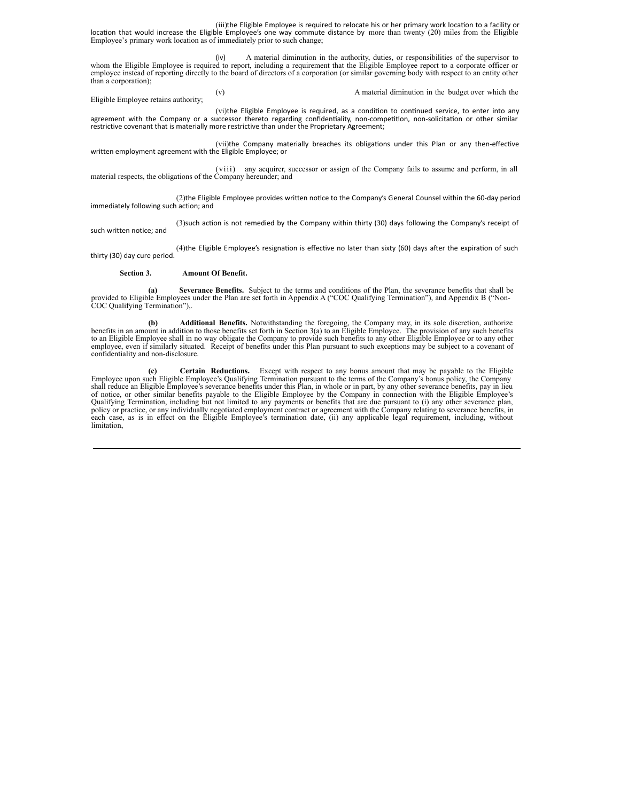(iii)the Eligible Employee is required to relocate his or her primary work location to a facility or location that would increase the Eligible Employee's one way commute distance by more than twenty (20) miles from the Eligible Employee's primary work location as of immediately prior to such change;

(iv) A material diminution in the authority, duties, or responsibilities of the supervisor to whom the Eligible Employee is required to report, including a requirement that the Eligible Employee report to a corporate officer or employee instead of reporting directly to the board of directors of a corporation (or similar governing body with respect to an entity other than a corporation);

(v) A material diminution in the budget over which the Eligible Employee retains authority;

(vi)the Eligible Employee is required, as a condition to continued service, to enter into any agreement with the Company or a successor thereto regarding confidentiality, non-competition, non-solicitation or other similar restrictive covenant that is materially more restrictive than under the Proprietary Agreement;

(vii)the Company materially breaches its obligations under this Plan or any then-effective written employment agreement with the Eligible Employee; or

(viii) any acquirer, successor or assign of the Company fails to assume and perform, in all material respects, the obligations of the Company hereunder; and

(2) the Eligible Employee provides written notice to the Company's General Counsel within the 60-day period immediately following such action; and

(3) such action is not remedied by the Company within thirty (30) days following the Company's receipt of such written notice; and

(4)the Eligible Employee's resignation is effective no later than sixty (60) days after the expiration of such thirty (30) day cure period.

# **Section 3. Amount Of Benefit.**

**(a) Severance Benefits.** Subject to the terms and conditions of the Plan, the severance benefits that shall be provided to Eligible Employees under the Plan are set forth in Appendix A ("COC Qualifying Termination"), and Appendix B ("Non-COC Qualifying Termination"),.

**(b) Additional Benefits.** Notwithstanding the foregoing, the Company may, in its sole discretion, authorize benefits in an amount in addition to those benefits set forth in Section 3(a) to an Eligible Employee. The provision of any such benefits to an Eligible Employee shall in no way obligate the Company to provide such benefits to any other Eligible Employee or to any other employee, even if similarly situated. Receipt of benefits under this Plan pursuant to such exceptions may be subject to a covenant of confidentiality and non-disclosure.

**(c) Certain Reductions.** Except with respect to any bonus amount that may be payable to the Eligible Employee upon such Eligible Employee's Qualifying Termination pursuant to the terms of the Company's bonus policy, the Company<br>shall reduce an Eligible Employee's severance benefits under this Plan, in whole or in part, by of notice, or other similar benefits payable to the Eligible Employee by the Company in connection with the Eligible Employee's Qualifying Termination, including but not limited to any payments or benefits that are due pursuant to (i) any other severance plan, policy or practice, or any individually negotiated employment contract or agreement with each case, as is in effect on the Eligible Employee's termination date, (ii) any applicable legal requirement, including, without limitation,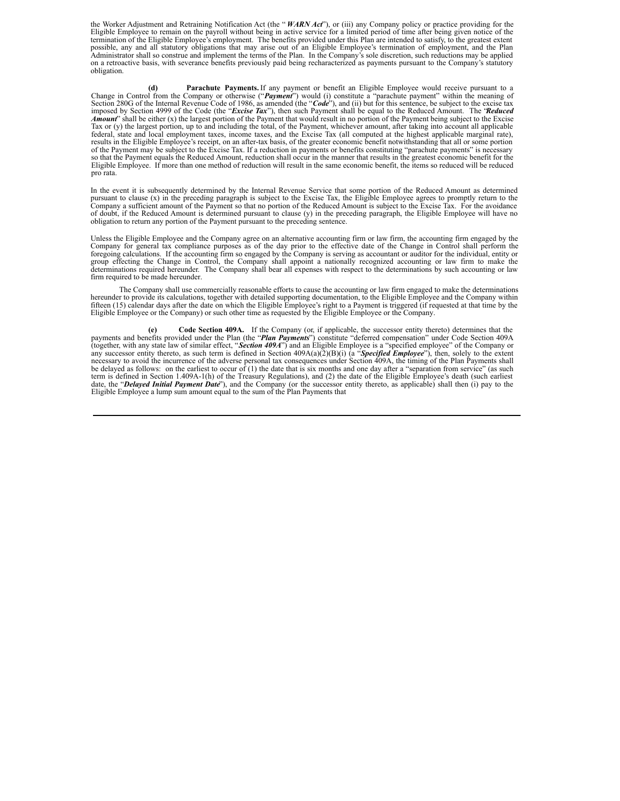the Worker Adjustment and Retraining Notification Act (the " *WARN Act*"), or (iii) any Company policy or practice providing for the Eligible Employee to remain on the payroll without being in active service for a limited period of time after being given notice of the termination of the Eligible Employee's employment. The benefits provided under this Plan are intended to satisfy, to the greatest extent<br>possible, any and all statutory obligations that may arise out of an Eligible Employe Administrator shall so construe and implement the terms of the Plan. In the Company's sole discretion, such reductions may be applied on a retroactive basis, with severance benefits previously paid being recharacterized as payments pursuant to the Company's statutory obligation.

**(d) Parachute Payments.** If any payment or benefit an Eligible Employee would receive pursuant to a Change in Control from the Company or otherwise ("*Payment*") would (i) constitute a "parachute payment" within the meaning of Section 280G of the Internal Revenue Code of 1986, as amended (the "Code"), and (ii) but for this sentence, be subject to the excise tax<br>imposed by Section 4999 of the Code (the "Excise Tax"), then such Payment shall be eq *Amount*' shall be either (x) the largest portion of the Payment that would result in no portion of the Payment being subject to the Excise Tax or (y) the largest portion, up to and including the total, of the Payment, whi federal, state and local employment taxes, income taxes, and the Excise Tax (all computed at the highest applicable marginal rate), results in the Eligible Employee's receipt, on an after-tax basis, of the greater economic of the Payment may be subject to the Excise Tax. If a reduction in payments or benefits constituting "parachute payments" is necessary so that the Payment equals the Reduced Amount, reduction shall occur in the manner that results in the greatest economic benefit for the Eligible Employee. If more than one method of reduction will result in the same economic benefit, the items so reduced will be reduced pro rata.

In the event it is subsequently determined by the Internal Revenue Service that some portion of the Reduced Amount as determined pursuant to clause (x) in the preceding paragraph is subject to the Excise Tax, the Eligible Employee agrees to promptly return to the Company a sufficient amount of the Payment so that no portion of the Reduced Amount is subject to the Excise Tax. For the avoidance of doubt, if the Reduced Amount is determined pursuant to clause (y) in the preceding paragraph, the Eligible Employee will have no obligation to return any portion of the Payment pursuant to the preceding sentence.

Unless the Eligible Employee and the Company agree on an alternative accounting firm or law firm, the accounting firm engaged by the<br>Company for general tax compliance purposes as of the day prior to the effective date of group effecting the Change in Control, the Company shall appoint a nationally recognized accounting or law firm to make the determinations required hereunder. The Company shall bear all expenses with respect to the determinations by such accounting or law firm required to be made hereunder.

The Company shall use commercially reasonable efforts to cause the accounting or law firm engaged to make the determinations hereunder to provide its calculations, together with detailed supporting documentation, to the El fifteen (15) calendar days after the date on which the Eligible Employee's right to a Payment is triggered (if requested at that time by the Eligible Employee or the Company) or such other time as requested by the Eligible

**(e) Code Section 409A.** If the Company (or, if applicable, the successor entity thereto) determines that the payments and benefits provided under the Plan (the "*Plan Payments*") constitute "deferred compensation" under Code Section 409A<br>(together, with any state law of similar effect, "*Section 409A*") and an Eligible Employee i be delayed as follows: on the earliest to occur of (1) the date that is six months and one day after a "separation from service" (as such term is defined in Section 1.409A-1(h) of the Treasury Regulations), and (2) the date of the Eligible Employee's death (such earliest date, the "**Delayed Initial Payment Date**"), and the Company (or the successor entity thereto, as applicable) shall then (i) pay to the Eligible Employee a lump sum amount equal to the sum of the Plan Payments that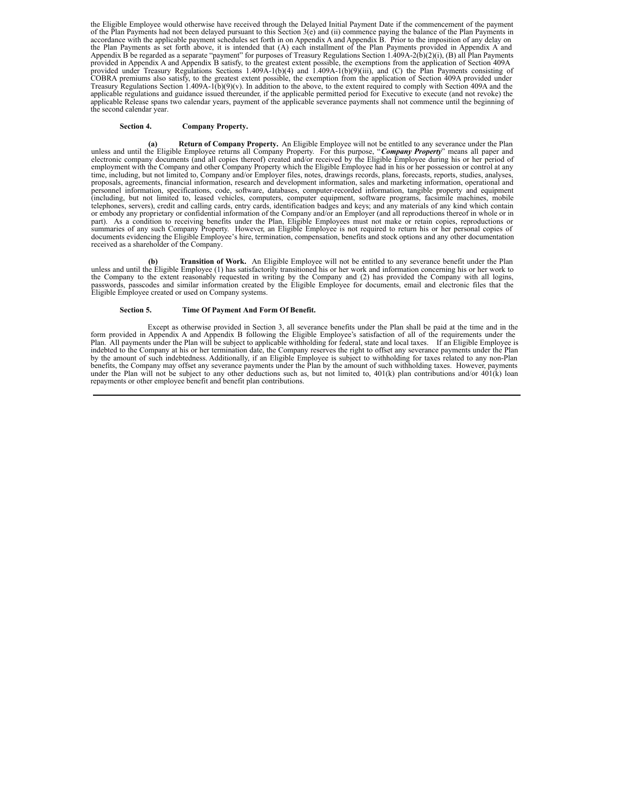the Eligible Employee would otherwise have received through the Delayed Initial Payment Date if the commencement of the payment of the Plan Payments had not been delayed pursuant to this Section 3(e) and (ii) commence paying the balance of the Plan Payments in accordance with the applicable payment schedules set forth in on Appendix A and Appendix B. Prior to the imposition of any delay on the Plan Payments as set forth above, it is intended that (A) each installment of the Plan Payments provided in Appendix A and Appendix B be regarded as a separate "payment" for purposes of Treasury Regulations Section 1.409A-2(b)(2)(i), (B) all Plan Payments provided in Appendix A and Appendix B satisfy, to the greatest extent possible, the exemp provided under Treasury Regulations Sections 1.409A-1(b)(4) and 1.409A-1(b)(9)(iii), and (C) the Plan Payments consisting of COBRA premiums also satisfy, to the greatest extent possible, the exemption from the application applicable Release spans two calendar years, payment of the applicable severance payments shall not commence until the beginning of the second calendar year.

## **Section 4. Company Property.**

**(a) Return of Company Property.** An Eligible Employee will not be entitled to any severance under the Plan unless and until the Eligible Employee returns all Company Property. For this purpose, "*Company Property*" means all paper and electronic company documents (and all copies thereof) created and/or received by the Eligible Employee during his or her period of employment with the Company and other Company Property which the Eligible Employee had in his or her possession or control at any time, including, but not limited to, Company and/or Employer files, notes, drawings records, plans, forecasts, reports, studies, analyses, proposals, agreements, financial information, research and development information, sales and marketing information, operational and<br>personnel information, specifications, code, software, databases, computer-recorded infor (including, but not limited to, leased vehicles, computers, computer equipment, software programs, facsimile machines, mobile telephones, servers), credit and calling cards, entry cards, identification badges and keys; and any materials of any kind which contain or embody any proprietary or confidential information of the Company and/or an Employer (and all reproductions thereof in whole or in part). As a condition to receiving benefits under the Plan, Eligible Employees must not make or retain copies, reproductions or<br>summaries of any such Company Property. However, an Eligible Employee is not required to retur documents evidencing the Eligible Employee's hire, termination, compensation, benefits and stock options and any other documentation received as a shareholder of the Company.

**(b) Transition of Work.** An Eligible Employee will not be entitled to any severance benefit under the Plan unless and until the Eligible Employee (1) has satisfactorily transitioned his or her work and information concerning his or her work to the Company to the extent reasonably requested in writing by the Company and (2) has provided the Company with all logins, passwords, passcodes and similar information created by the Eligible Employee for documents, email and electronic files that the Eligible Employee created or used on Company systems.

# **Section 5. Time Of Payment And Form Of Benefit.**

Except as otherwise provided in Section 3, all severance benefits under the Plan shall be paid at the time and in the form provided in Appendix A and Appendix B following the Eligible Employee's satisfaction of all of the requirements under the<br>Plan. All payments under the Plan will be subject to applicable withholding for federal, state indebted to the Company at his or her termination date, the Company reserves the right to offset any severance payments under the Plan<br>by the amount of such indebtedness. Additionally, if an Eligible Employee is subject to benefits, the Company may offset any severance payments under the Plan by the amount of such withholding taxes. However, payments under the Plan will not be subject to any other deductions such as, but not limited to, 401(k) plan contributions and/or 401(k) loan repayments or other employee benefit and benefit plan contributions.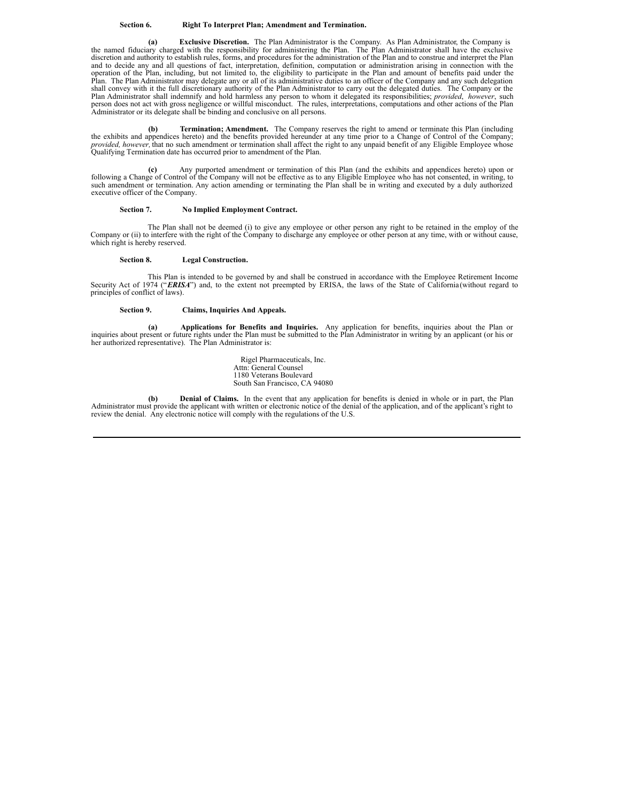#### **Section 6. Right To Interpret Plan; Amendment and Termination.**

**(a) Exclusive Discretion.** The Plan Administrator is the Company. As Plan Administrator, the Company is the named fiduciary charged with the responsibility for administering the Plan. The Plan Administrator shall have the exclusive discretion and authority to establish rules, forms, and procedures for the administration of the Plan and to construe and interpret the Plan and to decide any and all questions of fact, interpretation, definition, computation or administration arising in connection with the operation of the Plan, including, but not limited to, the eligibility to participate in the Plan and amount of benefits paid under the<br>Plan. The Plan Administrator may delegate any or all of its administrative duties to an Plan Administrator shall indemnify and hold harmless any person to whom it delegated its responsibilities; *provided*, *however*, such person does not act with gross negligence or willful misconduct. The rules, interpretations, computations and other actions of the Plan Administrator or its delegate shall be binding and conclusive on all persons.

**(b) Termination; Amendment.** The Company reserves the right to amend or terminate this Plan (including the exhibits and appendices hereto) and the benefits provided hereunder at any time prior to a Change of Control of the Company, provided, however, that no such annendment or termination shall affect the right to any unpai

(c) Any purported amendment or termination of this Plan (and the exhibits and appendices hereto) upon or following a Change of Control of the Company will not be effective as to any Eligible Employee who has not consented, executive officer of the Company.

## **Section 7. No Implied Employment Contract.**

The Plan shall not be deemed (i) to give any employee or other person any right to be retained in the employ of the Company or (ii) to interfere with the right of the Company to discharge any employee or other person at any time, with or without cause, which right is hereby reserved.

# **Section 8. Legal Construction.**

This Plan is intended to be governed by and shall be construed in accordance with the Employee Retirement Income Security Act of 1974 ("ERISA") and, to the extent not preempted by ERISA, the laws of the State of California(without regard to principles of conflict of laws).

# **Section 9. Claims, Inquiries And Appeals.**

(a) **Applications for Benefits and Inquiries.** Any application for benefits, inquiries about the Plan or inquiries about present or future rights under the Plan must be submitted to the Plan Administrator in writing by an

Rigel Pharmaceuticals, Inc. Attn: General Counsel 1180 Veterans Boulevard South San Francisco, CA 94080

(b) **Denial of Claims.** In the event that any application for benefits is denied in whole or in part, the Plan Administrator must provide the applicant with written or electronic notice of the denial of the application, an review the denial. Any electronic notice will comply with the regulations of the U.S.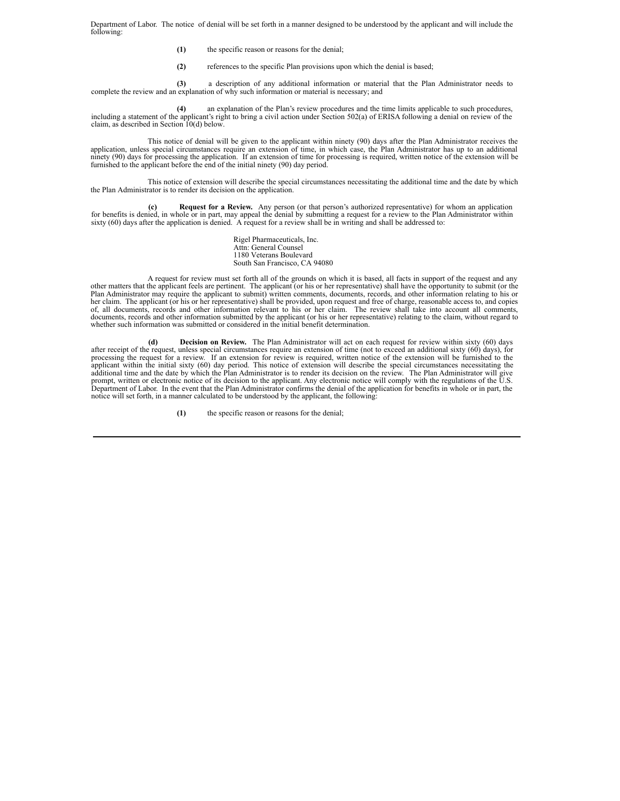Department of Labor. The notice of denial will be set forth in a manner designed to be understood by the applicant and will include the following:

- **(1)** the specific reason or reasons for the denial;
- **(2)** references to the specific Plan provisions upon which the denial is based;

**(3)** a description of any additional information or material that the Plan Administrator needs to complete the review and an explanation of why such information or material is necessary; and

**(4)** an explanation of the Plan's review procedures and the time limits applicable to such procedures, including a statement of the applicant's right to bring a civil action under Section 502(a) of ERISA following a denial on review of the claim, as described in Section 10(d) below.

This notice of denial will be given to the applicant within ninety (90) days after the Plan Administrator receives the application, unless special circumstances require an extension of time, in which case, the Plan Administrator has up to an additional ninety (90) days for processing the application. If an extension of time for processing is required, written notice of the extension will be furnished to the applicant before the end of the initial ninety (90) day period.

This notice of extension will describe the special circumstances necessitating the additional time and the date by which the Plan Administrator is to render its decision on the application.

(c) **Request for a Review.** Any person (or that person's authorized representative) for whom an application for benefits is denied, in whole or in part, may appeal the denial by submitting a request for a review to the Pla sixty (60) days after the application is denied. A request for a review shall be in writing and shall be addressed to:

> Rigel Pharmaceuticals, Inc. Attn: General Counsel 1180 Veterans Boulevard South San Francisco, CA 94080

A request for review must set forth all of the grounds on which it is based, all facts in support of the request and any other matters that the applicant feels are pertinent. The applicant (or his or her representative) shall have the opportunity to submit (or the Plan Administrator may require the applicant to submit) written comments, documents, records, and other information relating to his or her claim. The applicant (or his or her representative) shall be provided, upon request and free of charge, reasonable access to, and copies of, all documents, records and other information relevant to his or her claim. The review shall take into account all comments, documents, records and other information submitted by the applicant (or his or her representative) relating to the claim, without regard to whether such information was submitted or considered in the initial benefit determination.

**(d) Decision on Review.** The Plan Administrator will act on each request for review within sixty (60) days after receipt of the request, unless special circumstances require an extension of time (not to exceed an additional sixty (60) days), for processing the request for a review. If an extension for review is required, written notice of the extension will be furnished to the applicant within the initial sixty (60) day period. This notice of extension will describe the special circumstances necessitating the additional time and the date by which the Plan Administrator is to render its decision prompt, written or electronic notice of its decision to the applicant. Any electronic notice will comply with the regulations of the U.S.<br>Department of Labor. In the event that the Plan Administrator confirms the denial of notice will set forth, in a manner calculated to be understood by the applicant, the following:

**(1)** the specific reason or reasons for the denial;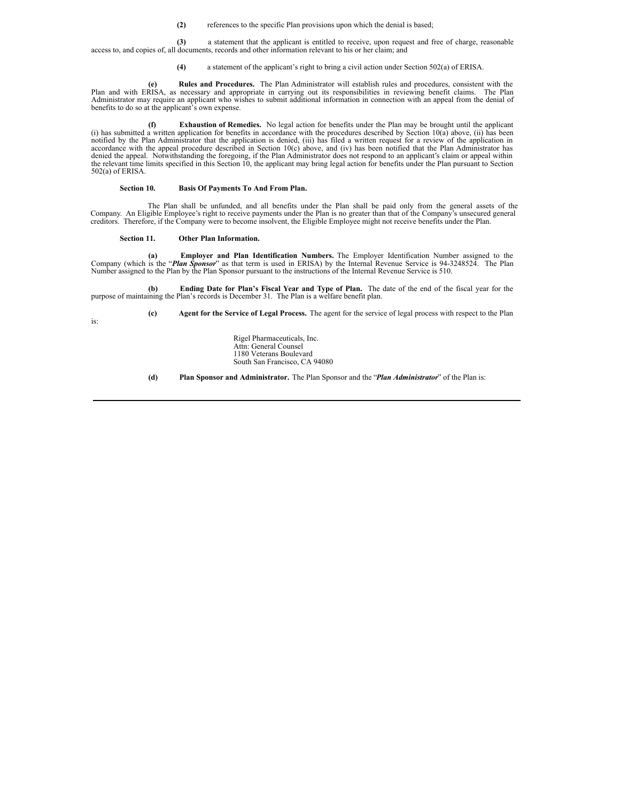**(2)** references to the specific Plan provisions upon which the denial is based;

**(3)** a statement that the applicant is entitled to receive, upon request and free of charge, reasonable access to, and copies of, all documents, records and other information relevant to his or her claim; and

**(4)** a statement of the applicant's right to bring a civil action under Section 502(a) of ERISA.

**(e) Rules and Procedures.** The Plan Administrator will establish rules and procedures, consistent with the Plan and with ERISA, as necessary and appropriate in carrying out its responsibilities in reviewing benefit claims. The Plan<br>Administrator may require an applicant who wishes to submit additional information in connection benefits to do so at the applicant's own expense.

**(f) Exhaustion of Remedies.** No legal action for benefits under the Plan may be brought until the applicant (i) has submitted a written application for benefits in accordance with the procedures described by Section  $10(a)$  above, (ii) has been notified by the Plan Administrator that the application is denied, (iii) has filed a written request for a review of the application in accordance with the appeal procedure described in Section 10(c) above, and (iv) has been notified that the Plan Administrator has denied the appeal. Notwithstanding the foregoing, if the Plan Administrator does not respond to an applicant's claim or appeal within<br>the relevant time limits specified in this Section 10, the applicant may bring legal act 502(a) of ERISA.

#### **Section 10. Basis Of Payments To And From Plan.**

The Plan shall be unfunded, and all benefits under the Plan shall be paid only from the general assets of the Company. An Eligible Employee's right to receive payments under the Plan is no greater than that of the Company's unsecured general creditors. Therefore, if the Company were to become insolvent, the Eligible Employee might not receive benefits under the Plan.

#### **Section 11. Other Plan Information.**

(a) Employer and Plan Identification Numbers. The Employer Identification Number assigned to the Company (which is the "*Plan Sponsor*" as that term is used in ERISA) by the Internal Revenue Service is 94-3248524. The Plan

**(b) Ending Date for Plan's Fiscal Year and Type of Plan.** The date of the end of the fiscal year for the purpose of maintaining the Plan's records is December 31. The Plan is a welfare benefit plan.

is:

**(c) Agent for the Service of Legal Process.** The agent for the service of legal process with respect to the Plan

Rigel Pharmaceuticals, Inc. Attn: General Counsel 1180 Veterans Boulevard South San Francisco, CA 94080

**(d) Plan Sponsor and Administrator.** The Plan Sponsor and the "*Plan Administrator*" of the Plan is: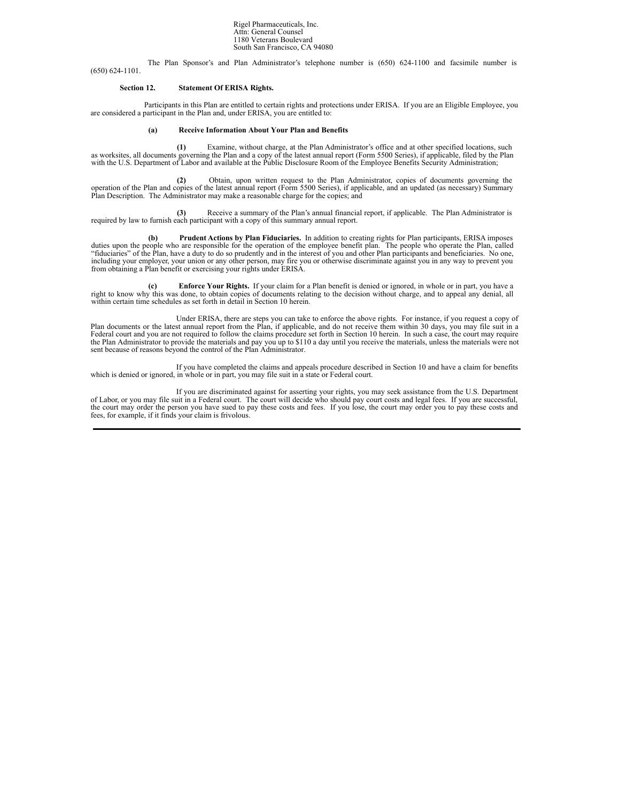Rigel Pharmaceuticals, Inc. Attn: General Counsel 1180 Veterans Boulevard South San Francisco, CA 94080

The Plan Sponsor's and Plan Administrator's telephone number is (650) 624-1100 and facsimile number is (650) 624‑1101.

# **Section 12. Statement Of ERISA Rights.**

Participants in this Plan are entitled to certain rights and protections under ERISA. If you are an Eligible Employee, you are considered a participant in the Plan and, under ERISA, you are entitled to:

#### **(a) Receive Information About Your Plan and Benefits**

**(1)** Examine, without charge, at the Plan Administrator's office and at other specified locations, such as worksites, all documents governing the Plan and a copy of the latest annual report (Form 5500 Series), if applicable, filed by the Plan<br>with the U.S. Department of Labor and available at the Public Disclosure Room of th

(2) Obtain, upon written request to the Plan Administrator, copies of documents governing the operation of the Plan and copies of the latest annual report (Form 5500 Series), if applicable, and an updated (as necessary) Su

Receive a summary of the Plan's annual financial report, if applicable. The Plan Administrator is **(3)** Receive a summary of the Plan's annual financia required by law to furnish each participant with a copy of this summary annual report.

(b) **Prudent Actions by Plan Fiduciaries.** In addition to creating rights for Plan participants, ERISA imposes duties upon the people who are responsible for the operation of the employee benefit plan. The people who opera including your employer, your union or any other person, may fire you or otherwise discriminate against you in any way to prevent you from obtaining a Plan benefit or exercising your rights under ERISA.

**(c) Enforce Your Rights.** If your claim for a Plan benefit is denied or ignored, in whole or in part, you have a right to know why this was done, to obtain copies of documents relating to the decision without charge, and to appeal any denial, all within certain time schedules as set forth in detail in Section 10 herein.

Under ERISA, there are steps you can take to enforce the above rights. For instance, if you request a copy of Plan documents or the latest annual report from the Plan, if applicable, and do not receive them within 30 days, you may file suit in a<br>Federal court and you are not required to follow the claims procedure set forth in Sec the Plan Administrator to provide the materials and pay you up to \$110 a day until you receive the materials, unless the materials were not sent because of reasons beyond the control of the Plan Administrator.

If you have completed the claims and appeals procedure described in Section 10 and have a claim for benefits which is denied or ignored, in whole or in part, you may file suit in a state or Federal court.

If you are discriminated against for asserting your rights, you may seek assistance from the U.S. Department<br>of Labor, or you may file suit in a Federal court. The court will decide who should pay court costs and legal fee the court may order the person you have sued to pay these costs and fees. If you lose, the court may order you to pay these costs and fees, for example, if it finds your claim is frivolous.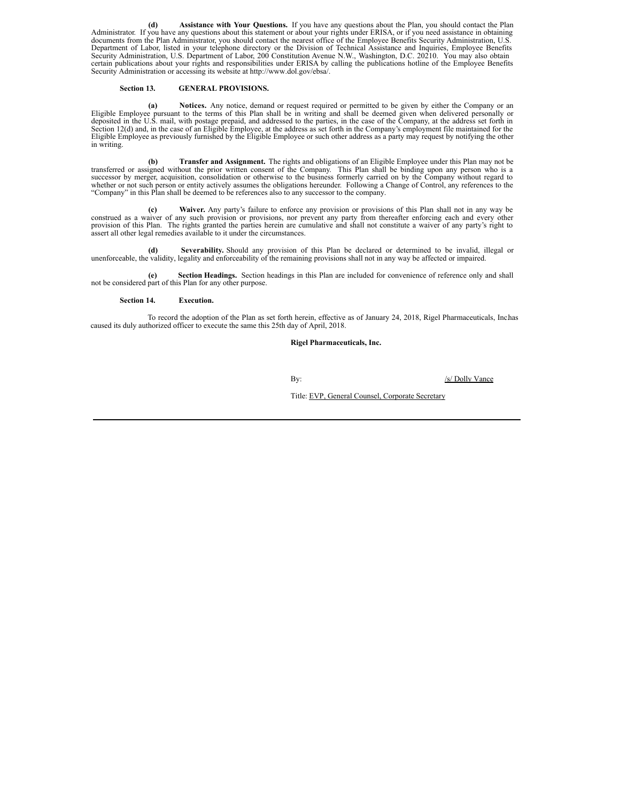(d) **Assistance with Your Questions.** If you have any questions about the Plan, you should contact the Plan Administrator. If you have any questions about this statement or about your rights under ERISA, or if you need ass documents from the Plan Administrator, you should contact the nearest office of the Employee Benefits Security Administration, U.S. Department of Labor, listed in your telephone directory or the Division of Technical Assistance and Inquiries, Employee Benefits<br>Security Administration, U.S. Department of Labor, 200 Constitution Avenue N.W., Washington, certain publications about your rights and responsibilities under ERISA by calling the publications hotline of the Employee Benefits Security Administration or accessing its website at http://www.dol.gov/ebsa/.

## **Section 13. GENERAL PROVISIONS.**

**(a) Notices.** Any notice, demand or request required or permitted to be given by either the Company or an Eligible Employee pursuant to the terms of this Plan shall be in writing and shall be deemed given when delivered personally or<br>deposited in the U.S. mail, with postage prepaid, and addressed to the parties, in the case of Eligible Employee as previously furnished by the Eligible Employee or such other address as a party may request by notifying the other in writing.

**(b) Transfer and Assignment.** The rights and obligations of an Eligible Employee under this Plan may not be transferred or assigned without the prior written consent of the Company. This Plan shall be binding upon any person who is a<br>successor by merger, acquisition, consolidation or otherwise to the business formerly carried on "Company" in this Plan shall be deemed to be references also to any successor to the company.

(c) Waiver. Any party's failure to enforce any provision or provisions of this Plan shall not in any way be construed as a waiver of any such provision or provisions, nor prevent any party from thereafter enforcing each an provision of this Plan. The rights granted the parties herein are cumulative and shall not constitute a waiver of any party's right to assert all other legal remedies available to it under the circumstances.

**(d) Severability.** Should any provision of this Plan be declared or determined to be invalid, illegal or unenforceable, the validity, legality and enforceability of the remaining provisions shall not in any way be affected or impaired.

**(e) Section Headings.** Section headings in this Plan are included for convenience of reference only and shall not be considered part of this Plan for any other purpose.

#### **Section 14. Execution.**

To record the adoption of the Plan as set forth herein, effective as of January 24, 2018, Rigel Pharmaceuticals, Inchas caused its duly authorized officer to execute the same this 25th day of April, 2018.

#### **Rigel Pharmaceuticals, Inc.**

By:  $/s/Dolly$  Vance

Title: EVP, General Counsel, Corporate Secretary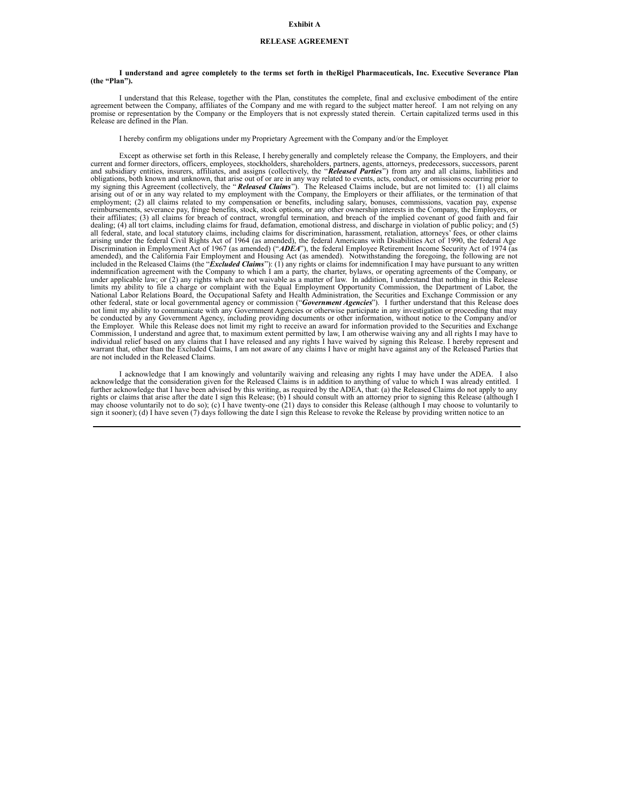# <span id="page-67-0"></span>**Exhibit A**

## **RELEASE AGREEMENT**

#### I understand and agree completely to the terms set forth in the Rigel Pharmaceuticals, Inc. Executive Severance Plan **(the "Plan").**

I understand that this Release, together with the Plan, constitutes the complete, final and exclusive embodiment of the entire agreement between the Company, affiliates of the Company and me with regard to the subject matter hereof. I am not relying on any promise or representation by the Company or the Employers that is not expressly stated therein. Certain capitalized terms used in this Release are defined in the Plan.

I hereby confirm my obligations under my Proprietary Agreement with the Company and/or the Employer.

Except as otherwise set forth in this Release, I hereby generally and completely release the Company, the Employers, and their<br>current and former directors, officers, employees, stockholders, shareholders, partners, agents obligations, both known and unknown, that arise out of or are in any way related to events, acts, conduct, or omissions occurring prior to my signing this Agreement (collectively, the "**Released Claims**"). The Released Cla employment; (2) all claims related to my compensation or benefits, including salary, bonuses, commissions, vacation pay, expense reimbursements, severance pay, fringe benefits, stock, stock options, or any other ownership interests in the Company, the Employers, or their affiliates; (3) all claims for breach of contract, wrongful termination, and breach of the implied covenant of good faith and fair dealing; (4) all tort claims, including claims for fraud, defamation, emotional distress, and discharge in violation of public policy; and (5) all federal, state, and local statutory claims, including claims for discrimination, harassment, retaliation, attorneys' fees, or other claims<br>arising under the federal Civil Rights Act of 1964 (as amended), the federal Am amended), and the California Fair Employment and Housing Act (as amended). Notwithstanding the foregoing, the following are not included in the Released Claims (the "*Excluded Claims*"): (1) any rights or claims for indemnification I may have pursuant to any written indemnification agreement with the Company to which I am a party, the charter, bylaws, or operating agreements of the Company, or under applicable law; or (2) any rights which are not waivable as a matter of law. In addition, I understand that nothing in this Release limits my ability to file a charge or complaint with the Equal Employment Opportunity Commission, the Department of Labor, the<br>National Labor Relations Board, the Occupational Safety and Health Administration, the Securiti other federal, state or local governmental agency or commission ("*Government Agencies*"). I further understand that this Release does not limit my ability to communicate with any Government Agencies or otherwise participate in any investigation or proceeding that may<br>be conducted by any Government Agency, including providing documents or other informatio Commission, I understand and agree that, to maximum extent permitted by law, I am otherwise waiving any and all rights I may have to individual relief based on any claims that I have released and any rights I have waived by signing this Release. I hereby represent and warrant that, other than the Excluded Claims, I am not aware of any claims I have or might have against any of the Released Parties that are not included in the Released Claims.

I acknowledge that I am knowingly and voluntarily waiving and releasing any rights I may have under the ADEA. I also acknowledge that the consideration given for the Released Claims is in addition to anything of value to which I was already entitled. I further acknowledge that I have been advised by this writing, as required by the ADEA, that: (a) the Released Claims do not apply to any rights or claims that arise after the date I sign this Release; (b) I should consult with an attorney prior to signing this Release (although I may choose voluntarily not to do so); (c) I have twenty-one (21) days to consider this Release (although I may choose to voluntarily to sign it sooner); (d) I have seven (7) days following the date I sign this Release to revoke the Release by providing written notice to an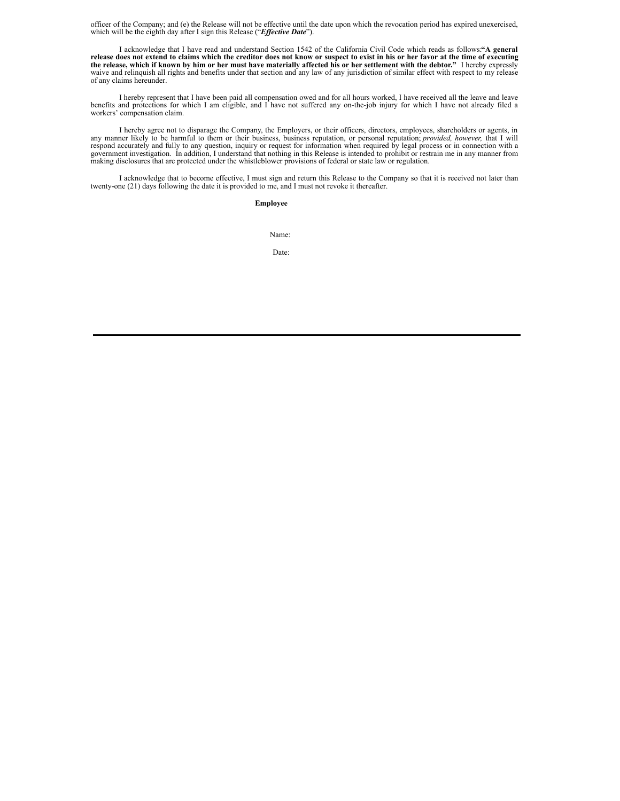officer of the Company; and (e) the Release will not be effective until the date upon which the revocation period has expired unexercised, which will be the eighth day after I sign this Release ("*Effective Date*").

I acknowledge that I have read and understand Section 1542 of the California Civil Code which reads as follows:"A general<br>release does not extend to claims which the creditor does not know or suspect to exist in his or her of any claims hereunder.

I hereby represent that I have been paid all compensation owed and for all hours worked, I have received all the leave and leave<br>benefits and protections for which I am eligible, and I have not suffered any on-the-job inju workers' compensation claim.

I hereby agree not to disparage the Company, the Employers, or their officers, directors, employees, shareholders or agents, in any manner likely to be harmful to them or their business, business reputation, or personal reputation; *provided, however,* that I will respond accurately and fully to any question, inquiry or request for information when required by legal process or in connection with a government investigation. In addition, I understand that nothing in this Release is intended to prohibit or restrain me in any manner from making disclosures that are protected under the whistleblower provisions of federal or state law or regulation.

I acknowledge that to become effective, I must sign and return this Release to the Company so that it is received not later than twenty-one (21) days following the date it is provided to me, and I must not revoke it thereafter.

**Employee**

Name:

Date: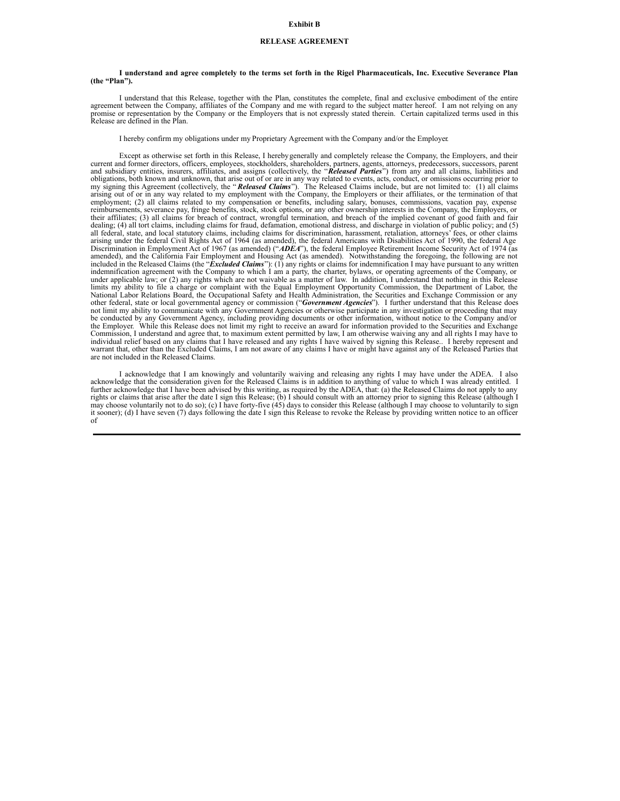## **Exhibit B**

## **RELEASE AGREEMENT**

#### I understand and agree completely to the terms set forth in the Rigel Pharmaceuticals, Inc. Executive Severance Plan **(the "Plan").**

I understand that this Release, together with the Plan, constitutes the complete, final and exclusive embodiment of the entire agreement between the Company, affiliates of the Company and me with regard to the subject matter hereof. I am not relying on any promise or representation by the Company or the Employers that is not expressly stated therein. Certain capitalized terms used in this Release are defined in the Plan.

## I hereby confirm my obligations under my Proprietary Agreement with the Company and/or the Employer.

Except as otherwise set forth in this Release, I hereby generally and completely release the Company, the Employers, and their<br>current and former directors, officers, employees, stockholders, shareholders, partners, agents obligations, both known and unknown, that arise out of or are in any way related to events, acts, conduct, or omissions occurring prior to my signing this Agreement (collectively, the "**Released Claims**"). The Released Cla employment; (2) all claims related to my compensation or benefits, including salary, bonuses, commissions, vacation pay, expense reimbursements, severance pay, fringe benefits, stock, stock options, or any other ownership interests in the Company, the Employers, or their affiliates; (3) all claims for breach of contract, wrongful termination, and breach of the implied covenant of good faith and fair dealing; (4) all tort claims, including claims for fraud, defamation, emotional distress, and discharge in violation of public policy; and (5) all federal, state, and local statutory claims, including claims for discrimination, harassment, retaliation, attorneys' fees, or other claims<br>arising under the federal Civil Rights Act of 1964 (as amended), the federal Am amended), and the California Fair Employment and Housing Act (as amended). Notwithstanding the foregoing, the following are not included in the Released Claims (the "*Excluded Claims*"): (1) any rights or claims for indemnification I may have pursuant to any written indemnification agreement with the Company to which I am a party, the charter, bylaws, or operating agreements of the Company, or under applicable law; or (2) any rights which are not waivable as a matter of law. In addition, I understand that nothing in this Release limits my ability to file a charge or complaint with the Equal Employment Opportunity Commission, the Department of Labor, the<br>National Labor Relations Board, the Occupational Safety and Health Administration, the Securiti other federal, state or local governmental agency or commission ("*Government Agencies*"). I further understand that this Release does not limit my ability to communicate with any Government Agencies or otherwise participate in any investigation or proceeding that may<br>be conducted by any Government Agency, including providing documents or other informatio Commission, I understand and agree that, to maximum extent permitted by law, I am otherwise waiving any and all rights I may have to individual relief based on any claims that I have released and any rights I have waived by signing this Release.. I hereby represent and warrant that, other than the Excluded Claims, I am not aware of any claims I have or might have against any of the Released Parties that are not included in the Released Claims.

I acknowledge that I am knowingly and voluntarily waiving and releasing any rights I may have under the ADEA. I also acknowledge that the consideration given for the Released Claims is in addition to anything of value to which I was already entitled. I<br>further acknowledge that I have been advised by this writing, as required by the ADEA, rights or claims that arise after the date I sign this Release; (b) I should consult with an attorney prior to signing this Release (although I may choose voluntarily not to do so); (c) I have forty-five (45) days to consider this Release (although I may choose to voluntarily to sign it sooner); (d) I have seven (7) days following the date I sign this Release to revoke the Release by providing written notice to an officer of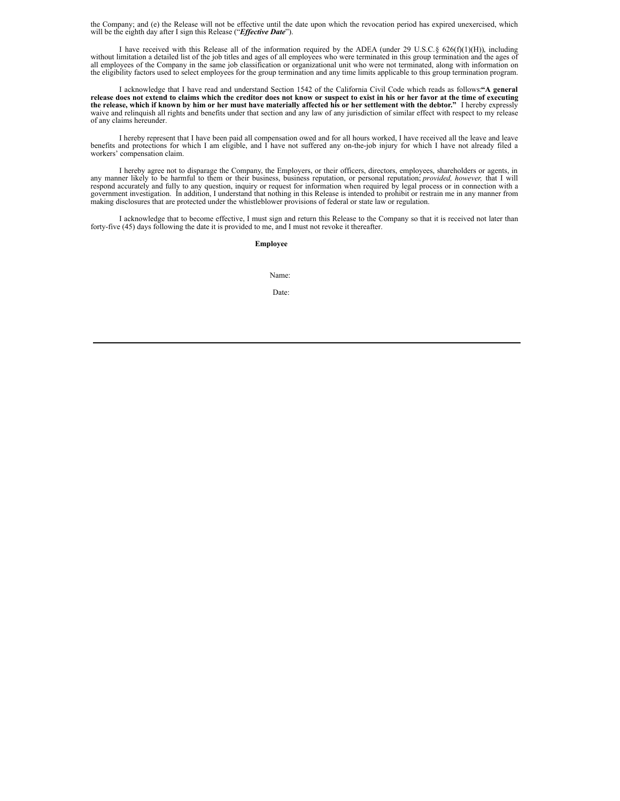the Company; and (e) the Release will not be effective until the date upon which the revocation period has expired unexercised, which will be the eighth day after I sign this Release ("*Effective Date*").

I have received with this Release all of the information required by the ADEA (under 29 U.S.C.§ 626(f)(1)(H)), including without limitation a detailed list of the job titles and ages of all employees who were terminated in this group termination and the ages of all employees of the Company in the same job classification or organizational unit who were not terminated, along with information on the eligibility factors used to select employees for the group termination and any time

I acknowledge that I have read and understand Section 1542 of the California Civil Code which reads as follows:**"A general** release does not extend to claims which the creditor does not know or suspect to exist in his or her favor at the time of executing<br>the release, which if known by him or her must have materially affected his or her settlem of any claims hereunder.

I hereby represent that I have been paid all compensation owed and for all hours worked, I have received all the leave and leave benefits and protections for which I am eligible, and I have not suffered any on-the-job injury for which I have not already filed a workers' compensation claim.

I hereby agree not to disparage the Company, the Employers, or their officers, directors, employees, shareholders or agents, in any manner likely to be harmful to them or their business, business reputation, or personal reputation; *provided, however*, that I will respond accurately and fully to any question, inquiry or request for information when government investigation. In addition, I understand that nothing in this Release is intended to prohibit or restrain me in any manner from making disclosures that are protected under the whistleblower provisions of federal or state law or regulation.

I acknowledge that to become effective, I must sign and return this Release to the Company so that it is received not later than forty-five (45) days following the date it is provided to me, and I must not revoke it thereafter.

**Employee**

Name:

Date: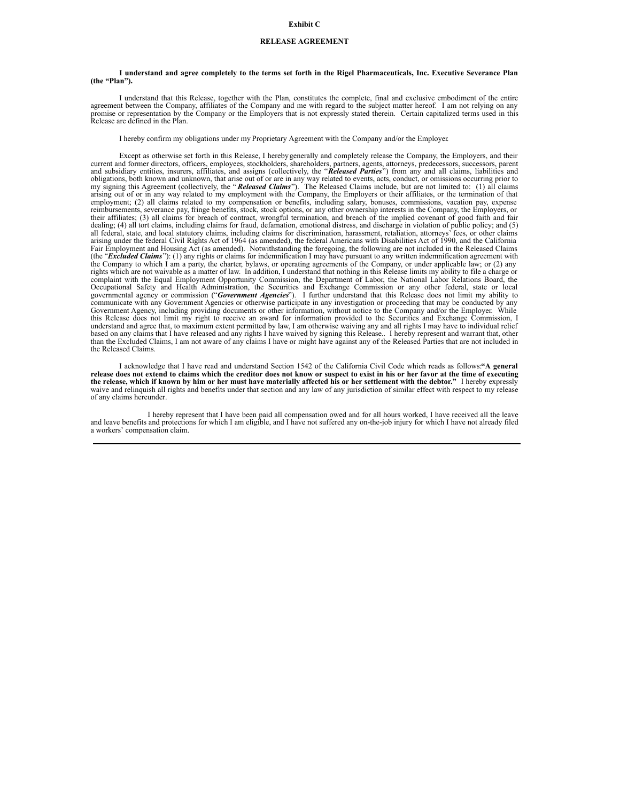# **Exhibit C**

### **RELEASE AGREEMENT**

#### I understand and agree completely to the terms set forth in the Rigel Pharmaceuticals, Inc. Executive Severance Plan **(the "Plan").**

I understand that this Release, together with the Plan, constitutes the complete, final and exclusive embodiment of the entire agreement between the Company, affiliates of the Company and me with regard to the subject matter hereof. I am not relying on any promise or representation by the Company or the Employers that is not expressly stated therein. Certain capitalized terms used in this Release are defined in the Plan.

I hereby confirm my obligations under my Proprietary Agreement with the Company and/or the Employer.

Except as otherwise set forth in this Release, I hereby generally and completely release the Company, the Employers, and their<br>current and former directors, officers, employees, stockholders, shareholders, partners, agents obligations, both known and unknown, that arise out of or are in any way related to events, acts, conduct, or omissions occurring prior to my signing this Agreement (collectively, the "**Released Claims**"). The Released Cla employment; (2) all claims related to my compensation or benefits, including salary, bonuses, commissions, vacation pay, expense reimbursements, severance pay, fringe benefits, stock, stock options, or any other ownership interests in the Company, the Employers, or their affiliates; (3) all claims for breach of contract, wrongful termination, and breach of the implied covenant of good faith and fair dealing; (4) all tort claims, including claims for fraud, defamation, emotional distress, and discharge in violation of public policy; and (5) all federal, state, and local statutory claims, including claims for discrimination, harassment, retaliation, attorneys' fees, or other claims arising under the federal Civil Rights Act of 1964 (as amended), the federal Americans with Disabilities Act of 1990, and the California<br>Fair Employment and Housing Act (as amended). Notwithstanding the foregoing, the foll (the "*Excluded Claims*"): (1) any rights or claims for indemnification I may have pursuant to any written indemnification agreement with the Company to which I am a party, the charter, bylaws, or operating agreements of the Company, or under applicable law; or (2) any rights which are not waivable as a matter of law. In addition, I understand that nothing i complaint with the Equal Employment Opportunity Commission, the Department of Labor, the National Labor Relations Board, the Occupational Safety and Health Administration, the Securities and Exchange Commission or any other federal, state or local governmental agency or commission ("Government Agencies"). I further understand that this Release d communicate with any Government Agencies or otherwise participate in any investigation or proceeding that may be conducted by any Government Agency, including providing documents or other information, without notice to the Company and/or the Employer. While<br>this Release does not limit my right to receive an award for information provided to the Secur understand and agree that, to maximum extent permitted by law, I am otherwise waiving any and all rights I may have to individual relief based on any claims that I have released and any rights I have waived by signing this Release.. I hereby represent and warrant that, other than the Excluded Claims, I am not aware of any claims I have or might have against any of the Released Parties that are not included in the Released Claims.

I acknowledge that I have read and understand Section 1542 of the California Civil Code which reads as follows:**"A general** release does not extend to claims which the creditor does not know or suspect to exist in his or her favor at the time of executing the release, which if known by him or her must have materially affected his or her settlement with the debtor." I hereby expressly waive and relinquish all rights and benefits under that section and any law of any jurisdiction of similar effect with respect to my release of any claims hereunder.

I hereby represent that I have been paid all compensation owed and for all hours worked, I have received all the leave and leave benefits and protections for which I am eligible, and I have not suffered any on-the-job injury for which I have not already filed a workers' compensation claim.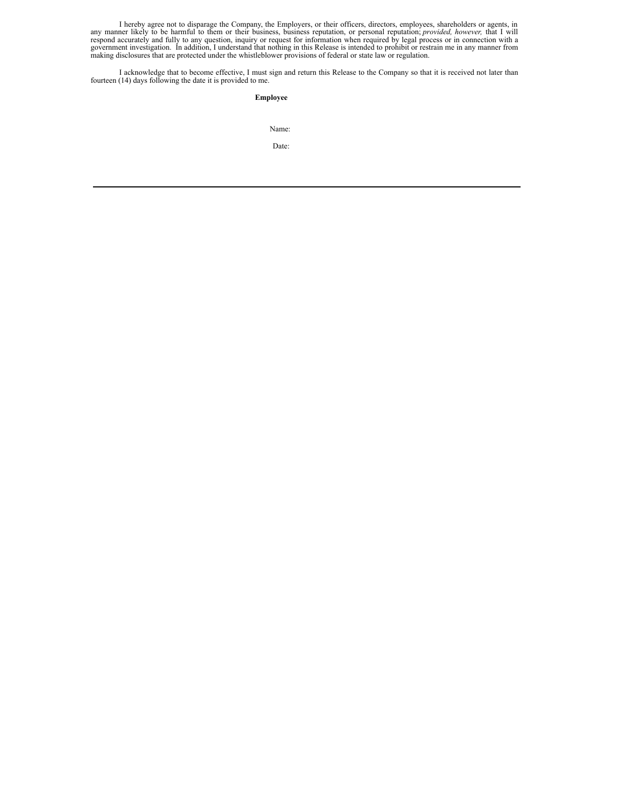I hereby agree not to disparage the Company, the Employers, or their officers, directors, employees, shareholders or agents, in<br>any manner likely to be harmful to them or their business, business reputation, or personal re

I acknowledge that to become effective, I must sign and return this Release to the Company so that it is received not later than fourteen (14) days following the date it is provided to me.

# **Employee**

Name:

Date: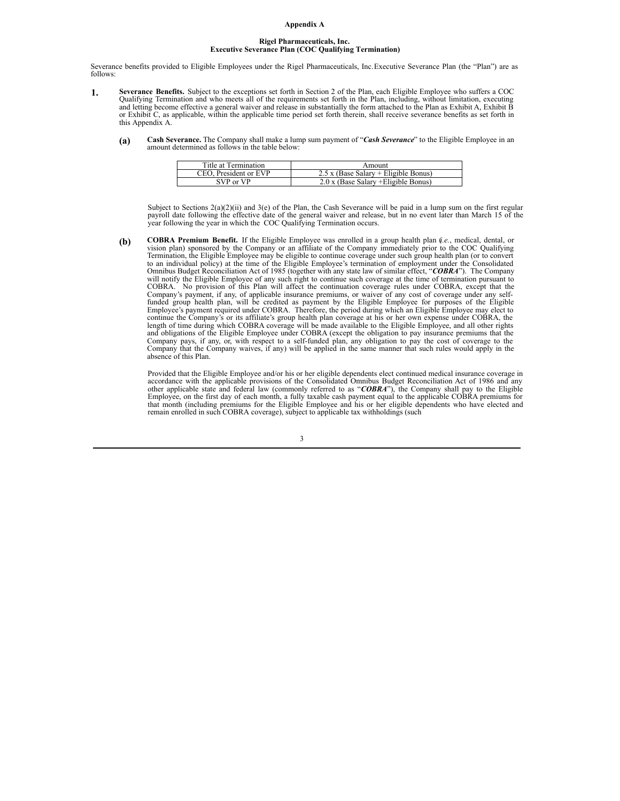### **Appendix A**

#### **Rigel Pharmaceuticals, Inc. Executive Severance Plan (COC Qualifying Termination)**

Severance benefits provided to Eligible Employees under the Rigel Pharmaceuticals, Inc.Executive Severance Plan (the "Plan") are as follows:

- **1. Severance Benefits.** Subject to the exceptions set forth in Section 2 of the Plan, each Eligible Employee who suffers a COC Qualifying Termination and who meets all of the requirements set forth in the Plan, including, without limitation, executing and letting become effective a general waiver and release in substantially the form attached to the Plan as Exhibit A, Exhibit B or Exhibit C, as applicable, within the applicable time period set forth therein, shall receive severance benefits as set forth in this Appendix A.
	- **(a) Cash Severance.** The Company shall make a lump sum payment of "*Cash Severance*" to the Eligible Employee in an amount determined as follows in the table below:

| Title at Termination  | Amount                                      |
|-----------------------|---------------------------------------------|
| CEO. President or EVP | $2.5 \times$ (Base Salary + Eligible Bonus) |
| SVP or VP             | $2.0 \times$ (Base Salary + Eligible Bonus) |

Subject to Sections  $2(a)(2)(ii)$  and  $3(e)$  of the Plan, the Cash Severance will be paid in a lump sum on the first regular payroll date following the effective date of the general waiver and release, but in no event later than March 15 of the year following the year in which the COC Qualifying Termination occurs.

**(b) COBRA Premium Benefit.** If the Eligible Employee was enrolled in a group health plan (*i.e.*, medical, dental, or vision plan) sponsored by the Company or an affiliate of the Company immediately prior to the COC Qualifying Termination, the Eligible Employee may be eligible to continue coverage under such group health plan (or to convert to an individual policy) at the time of the Eligible Employee's termination of employment under the Consolidated<br>Omnibus Budget Reconciliation Act of 1985 (together with any state law of similar effect, "**COBRA**"). The Com will notify the Eligible Employee of any such right to continue such coverage at the time of termination pursuant to COBRA. No provision of this Plan will affect the continuation coverage rules under COBRA, except that the Company's payment, if any, of applicable insurance premiums, or waiver of any cost of coverage under any self-<br>funded group health plan, will be credited as payment by the Eligible Employee for purposes of the Eligible<br>Emp continue the Company's or its affiliate's group health plan coverage at his or her own expense under COBRA, the length of time during which COBRA coverage will be made available to the Eligible Employee, and all other rights and obligations of the Eligible Employee under COBRA (except the obligation to pay insurance premiums that the Company pays, if any, or, with respect to a self-funded plan, any obligation to pay the cost of coverage to the Company that the Company waives, if any) will be applied in the same manner that such rules would apply in the absence of this Plan.

Provided that the Eligible Employee and/or his or her eligible dependents elect continued medical insurance coverage in accordance with the applicable provisions of the Consolidated Omnibus Budget Reconciliation Act of 1986 and any<br>other applicable state and federal law (commonly referred to as "**COBRA**"), the Company shall pay to the Eligi that month (including premiums for the Eligible Employee and his or her eligible dependents who have elected and remain enrolled in such COBRA coverage), subject to applicable tax withholdings (such

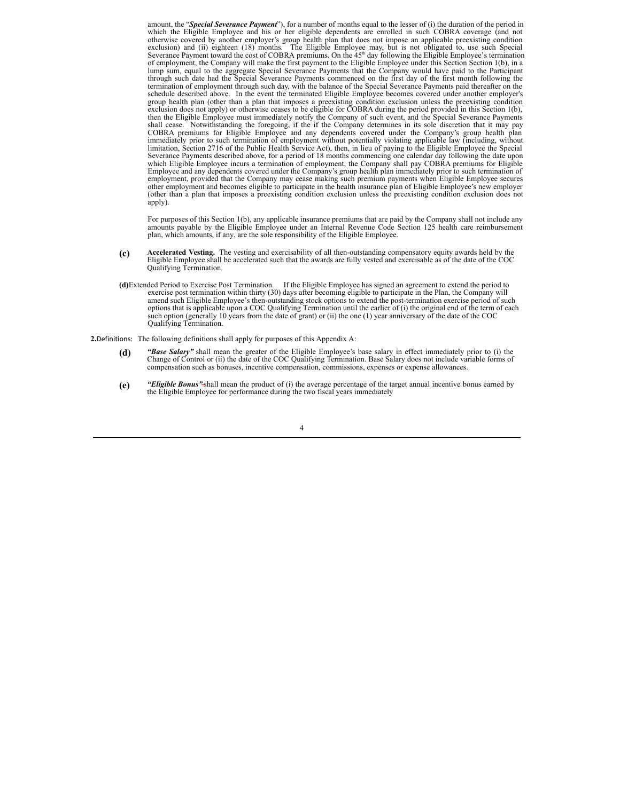amount, the "*Special Severance Payment*"), for a number of months equal to the lesser of (i) the duration of the period in which the Eligible Employee and his or her eligible dependents are enrolled in such COBRA coverage (and not otherwise covered by another employer's group health plan that does not impose an applicable preexisting condition exclusion) and (ii) eighteen (18) months. The Eligible Employee may, but is not obligated to, use such Spec of employment, the Company will make the first payment to the Eligible Employee under this Section Section 1(b), in a lump sum, equal to the aggregate Special Severance Payments that the Company would have paid to the Participant through such date had the Special Severance Payments commenced on the first day of the first month following the termination of employment through such day, with the balance of the Special Severance Payments paid thereafter on the<br>schedule described above. In the event the terminated Eligible Employee becomes covered under another em group health plan (other than a plan that imposes a preexisting condition exclusion unless the preexisting condition exclusion does not apply) or otherwise ceases to be eligible for COBRA during the period provided in this Section 1(b), then the Eligible Employee must immediately notify the Company of such event, and the Special Severance Payments shall cease. Notwithstanding the foregoing, if the if the Company determines in its sole discretion that it may pay COBRA premiums for Eligible Employee and any dependents covered under the Company's group health plan immediately prior to such termination of employment without potentially violating applicable law (including, without limitation, Section 2716 of the Public Health Service Act), then, in lieu of paying to the Eligible Employee the Special Severance Payments described above, for a period of 18 months commencing one calendar day following the date upon which Eligible Employee incurs a termination of employment, the Company shall pay COBRA premiums for Eligible Employee and any dependents covered under the Company's group health plan immediately prior to such termination of employment, provided that the Company may cease making such premium payments when Eligible Employee secures other employment and becomes eligible to participate in the health insurance plan of Eligible Employee's new employer (other than a plan that imposes a preexisting condition exclusion unless the preexisting condition exclusion does not apply).

For purposes of this Section 1(b), any applicable insurance premiums that are paid by the Company shall not include any<br>amounts payable by the Eligible Employee under an Internal Revenue Code Section 125 health care reimbu plan, which amounts, if any, are the sole responsibility of the Eligible Employee.

- (c) Accelerated Vesting. The vesting and exercisability of all then-outstanding compensatory equity awards held by the Eligible Employee shall be accelerated such that the awards are fully vested and exercisable as of the Qualifying Termination.
- (d) Extended Period to Exercise Post Termination. If the Eligible Employee has signed an agreement to extend the period to exercise post termination within thirty (30) days after becoming eligible to participate in the Pla amend such Eligible Employee's then-outstanding stock options to extend the post-termination exercise period of such options that is applicable upon a COC Qualifying Termination until the earlier of (i) the original end of the term of each such option (generally 10 years from the date of grant) or (ii) the one (1) year anniversary of the date of the COC Qualifying Termination.

**2.**Definitions: The following definitions shall apply for purposes of this Appendix A:

- **(d)** *"Base Salary"* shall mean the greater of the Eligible Employee's base salary in effect immediately prior to (i) the Change of Control or (ii) the date of the COC Qualifying Termination. Base Salary does not include variable forms of compensation such as bonuses, incentive compensation, commissions, expenses or expense allowances.
- **(e)** *"Eligible Bonus"* shall mean the product of (i) the average percentage of the target annual incentive bonus earned by the Eligible Employee for performance during the two fiscal years immediately

4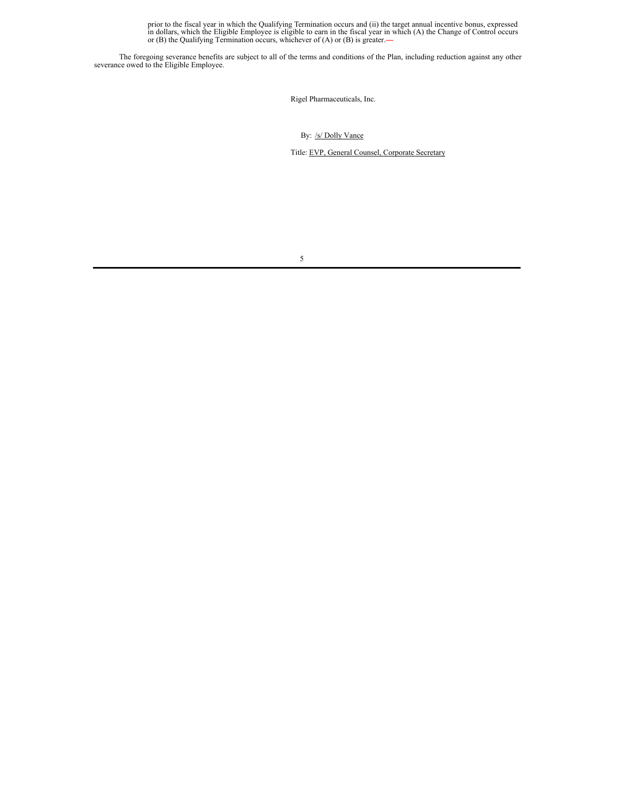prior to the fiscal year in which the Qualifying Termination occurs and (ii) the target annual incentive bonus, expressed<br>in dollars, which the Eligible Employee is eligible to earn in the fiscal year in which (A) the Chan

The foregoing severance benefits are subject to all of the terms and conditions of the Plan, including reduction against any other severance owed to the Eligible Employee.

Rigel Pharmaceuticals, Inc.

By: /s/ Dolly Vance

Title: EVP, General Counsel, Corporate Secretary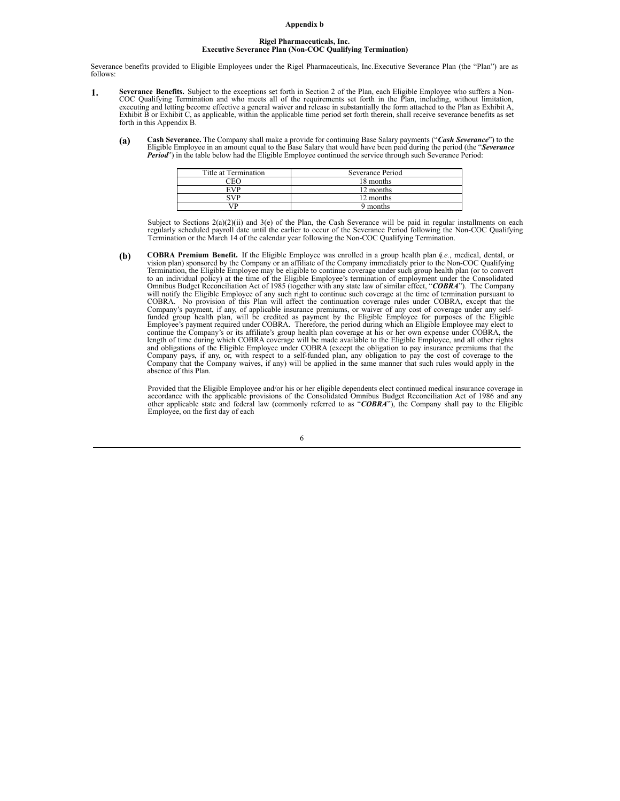### **Appendix b**

#### **Rigel Pharmaceuticals, Inc. Executive Severance Plan (Non-COC Qualifying Termination)**

Severance benefits provided to Eligible Employees under the Rigel Pharmaceuticals, Inc.Executive Severance Plan (the "Plan") are as follows:

- **1. Severance Benefits.** Subject to the exceptions set forth in Section 2 of the Plan, each Eligible Employee who suffers a Non-COC Qualifying Termination and who meets all of the requirements set forth in the Plan, including, without limitation, executing and letting become effective a general waiver and release in substantially the form attached to the Plan as Exhibit A, Exhibit B or Exhibit C, as applicable, within the applicable time period set forth therein, shall receive severance benefits as set forth in this Appendix B.
	- (a) Cash Severance. The Company shall make a provide for continuing Base Salary payments ("Cash Severance") to the Eligible Employee in an amount equal to the Base Salary that would have been paid during the period (the "S *Period*") in the table below had the Eligible Employee continued the service through such Severance Period:

| Title at Termination | Severance Period |
|----------------------|------------------|
|                      | 18 months        |
| <b>EVP</b>           | 12 months        |
| SVP                  | 12 months        |
|                      | 9 months         |

Subject to Sections 2(a)(2)(ii) and 3(e) of the Plan, the Cash Severance will be paid in regular installments on each regularly scheduled payroll date until the earlier to occur of the Severance Period following the Non-COC Qualifying Termination or the March 14 of the calendar year following the Non-COC Qualifying Termination.

(b) **COBRA Premium Benefit.** If the Eligible Employee was enrolled in a group health plan  $(i.e.,$  medical, dental, or vision plan) sponsored by the Company or an affiliate of the Company immediately prior to the Non-COC Qua to an individual policy) at the time of the Eligible Employee's termination of employment under the Consolidated Omnibus Budget Reconciliation Act of 1985 (together with any state law of similar effect, "*COBRA*"). The Company will notify the Eligible Employee of any such right to continue such coverage at the time of termination pursuant to COBRA. No provision of this Plan will affect the continuation coverage rules under COBRA, except that the Company's payment, if any, of applicable insurance premiums, or waiver of any cost of coverage under any selffunded group health plan, will be credited as payment by the Eligible Employee for purposes of the Eligible Employee's payment required under COBRA. Therefore, the period during which an Eligible Employee may elect to continue the Company's or its affiliate's group health plan coverage at his or her own expense under COBRA, the length of time during which COBRA coverage will be made available to the Eligible Employee, and all other rights<br>and obligations of the Eligible Employee under COBRA (except the obligation to pay insurance premiums that th Company that the Company waives, if any) will be applied in the same manner that such rules would apply in the absence of this Plan.

Provided that the Eligible Employee and/or his or her eligible dependents elect continued medical insurance coverage in accordance with the applicable provisions of the Consolidated Omnibus Budget Reconciliation Act of 1986 and any<br>other applicable state and federal law (commonly referred to as "COBRA"), the Company shall pay to the Eligibl Employee, on the first day of each

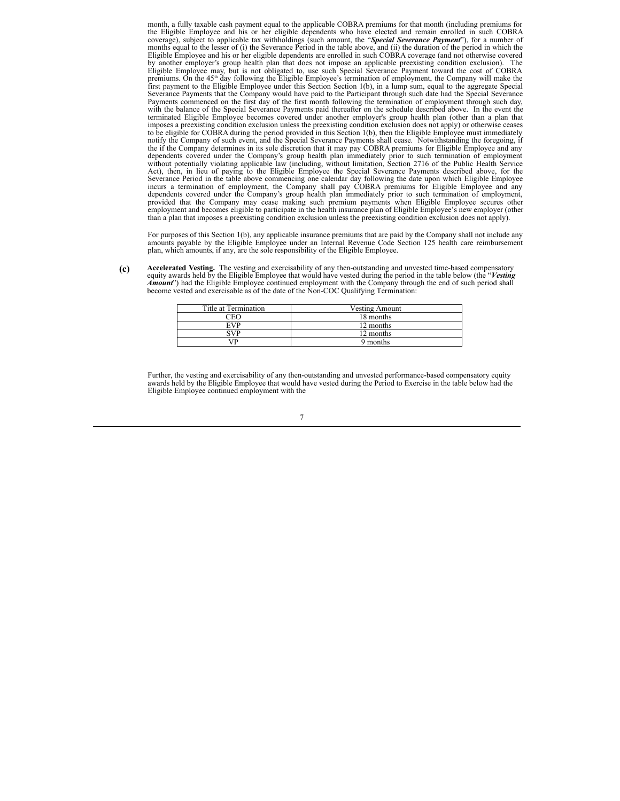month, a fully taxable cash payment equal to the applicable COBRA premiums for that month (including premiums for the Eligible Employee and his or her eligible dependents who have elected and remain enrolled in such COBRA coverage), subject to applicable tax withholdings (such amount, the "*Special Severance Payment*"), for a number of months equal to the lesser of (i) the Severance Period in the table above, and (ii) the duration of the period in which the Eligible Employee and his or her eligible dependents are enrolled in such COBRA coverage (and not otherwise covered by another employer's group health plan that does not impose an applicable preexisting condition exclusion). The Eligible Employee may, but is not obligated to, use such Special Severance Payment toward the cost of COBRA<br>premiums. On the 45<sup>th</sup> day following the Eligible Employee's termination of employment, the Company will make the Payments commenced on the first day of the first month following the termination of employment through such day, with the balance of the Special Severance Payments paid thereafter on the schedule described above. In the event the terminated Eligible Employee becomes covered under another employer's group health plan (other than a plan that imposes a preexisting condition exclusion unless the preexisting condition exclusion does not apply) or otherwise ceases to be eligible for COBRA during the period provided in this Section 1(b), then the Eligible Employee must immediately notify the Company of such event, and the Special Severance Payments shall cease. Notwithstanding the foregoing, if the if the Company determines in its sole discretion that it may pay COBRA premiums for Eligible Employee and any dependents covered under the Company's group health plan immediately prior to such termination of employment<br>without potentially violating applicable law (including, without limitation, Section 2716 of the Public Health Se Act), then, in lieu of paying to the Eligible Employee the Special Severance Payments described above, for the Severance Period in the table above commencing one calendar day following the date upon which Eligible Employee incurs a termination of employment, the Company shall pay COBRA premiums for Eligible Employee and any dependents covered under the Company's group health plan immediately prior to such termination of employment, provided that the Company may cease making such premium payments when Eligible Employee secures other employment and becomes eligible to participate in the health insurance plan of Eligible Employee's new employer (other than a plan that imposes a preexisting condition exclusion unless the preexisting condition exclusion does not apply). th

For purposes of this Section 1(b), any applicable insurance premiums that are paid by the Company shall not include any amounts payable by the Eligible Employee under an Internal Revenue Code Section 125 health care reimbursement plan, which amounts, if any, are the sole responsibility of the Eligible Employee.

(c) Accelerated Vesting. The vesting and exercisability of any then-outstanding and unvested time-based compensatory<br>equity awards held by the Eligible Employee that would have vested during the period in the table below ( *Amount*") had the Eligible Employee continued employment with the Company through the end of such period shall become vested and exercisable as of the date of the Non-COC Qualifying Termination:

| Title at Termination | <b>Vesting Amount</b> |
|----------------------|-----------------------|
| ΈC                   | 18 months             |
| EVP                  | 12 months             |
| SVP                  | 12 months             |
| VD.                  | 9 months              |

Further, the vesting and exercisability of any then-outstanding and unvested performance-based compensatory equity<br>awards held by the Eligible Employee that would have vested during the Period to Exercise in the table belo Eligible Employee continued employment with the

7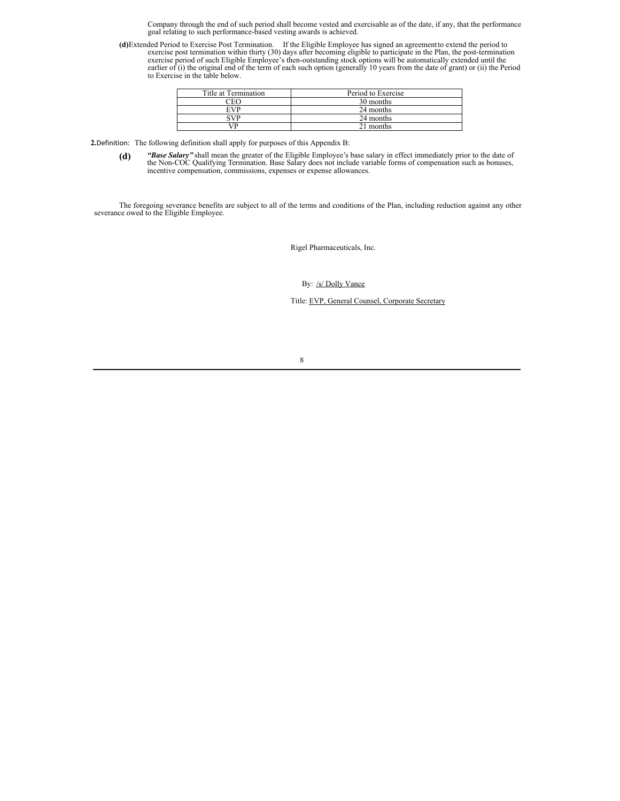Company through the end of such period shall become vested and exercisable as of the date, if any, that the performance goal relating to such performance-based vesting awards is achieved.

(d) Extended Period to Exercise Post Termination. If the Eligible Employee has signed an agreement to extend the period to exercise post termination within thirty (30) days after becoming eligible to participate in the Pla earlier of (i) the original end of the term of each such option (generally 10 years from the date of grant) or (ii) the Period to Exercise in the table below.

| Title at Termination | Period to Exercise |
|----------------------|--------------------|
| ΈC                   | 30 months          |
| <b>EVP</b>           | 24 months          |
| SVP                  | 24 months          |
|                      | 21 months          |

**2.**Definition: The following definition shall apply for purposes of this Appendix B:

(d) "Base Salary" shall mean the greater of the Eligible Employee's base salary in effect immediately prior to the date of the Non-COC Qualifying Termination. Base Salary does not include variable forms of compensation suc

The foregoing severance benefits are subject to all of the terms and conditions of the Plan, including reduction against any other severance owed to the Eligible Employee.

Rigel Pharmaceuticals, Inc.

By: /s/ Dolly Vance

Title: EVP, General Counsel, Corporate Secretary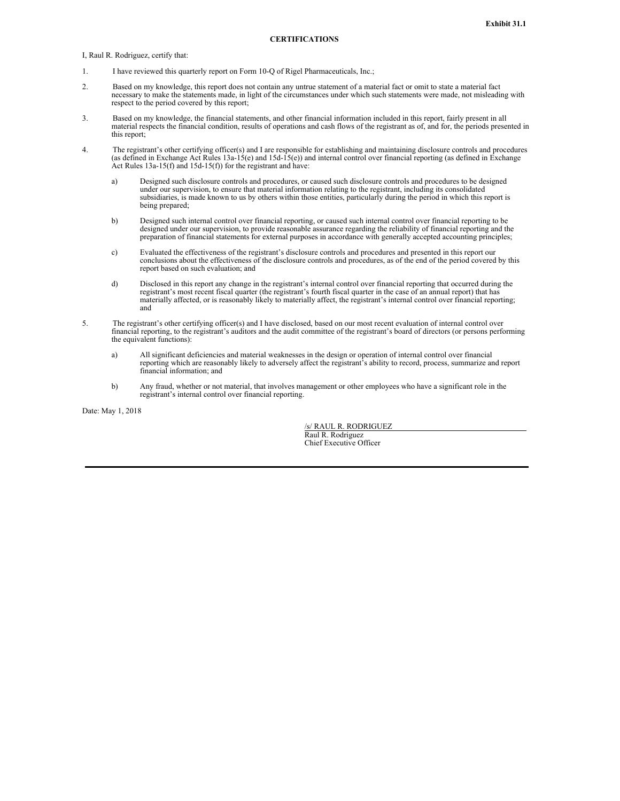# **CERTIFICATIONS**

I, Raul R. Rodriguez, certify that:

- 1. I have reviewed this quarterly report on Form 10-Q of Rigel Pharmaceuticals, Inc.;
- 2. Based on my knowledge, this report does not contain any untrue statement of a material fact or omit to state a material fact necessary to make the statements made, in light of the circumstances under which such statements were made, not misleading with respect to the period covered by this report;
- 3. Based on my knowledge, the financial statements, and other financial information included in this report, fairly present in all material respects the financial condition, results of operations and cash flows of the regi this report;
- 4. The registrant's other certifying officer(s) and I are responsible for establishing and maintaining disclosure controls and procedures (as defined in Exchange Act Rules 13a-15(e) and 15d-15(e)) and internal control over financial reporting (as defined in Exchange Act Rules 13a-15(f) and 15d-15(f)) for the registrant and have:
	- a) Designed such disclosure controls and procedures, or caused such disclosure controls and procedures to be designed under our supervision, to ensure that material information relating to the registrant, including its consolidated subsidiaries, is made known to us by others within those entities, particularly during the period in which this report is being prepared;
	- b) Designed such internal control over financial reporting, or caused such internal control over financial reporting to be designed under our supervision, to provide reasonable assurance regarding the reliability of financial reporting and the preparation of financial statements for external purposes in accordance with generally accepted accounting principles;
	- c) Evaluated the effectiveness of the registrant's disclosure controls and procedures and presented in this report our conclusions about the effectiveness of the disclosure controls and procedures, as of the end of the period covered by this report based on such evaluation; and
	- d) Disclosed in this report any change in the registrant's internal control over financial reporting that occurred during the registrant's most recent fiscal quarter (the registrant's fourth fiscal quarter in the case of a materially affected, or is reasonably likely to materially affect, the registrant's internal control over financial reporting; and
- 5. The registrant's other certifying officer(s) and I have disclosed, based on our most recent evaluation of internal control over financial reporting, to the registrant's auditors and the audit committee of the registrant's board of directors (or persons performing the equivalent functions):
	- a) All significant deficiencies and material weaknesses in the design or operation of internal control over financial reporting which are reasonably likely to adversely affect the registrant's ability to record, process, summarize and report financial information; and
	- b) Any fraud, whether or not material, that involves management or other employees who have a significant role in the registrant's internal control over financial reporting.

Date: May 1, 2018

/s/ RAUL R. RODRIGUEZ Raul R. Rodriguez Chief Executive Officer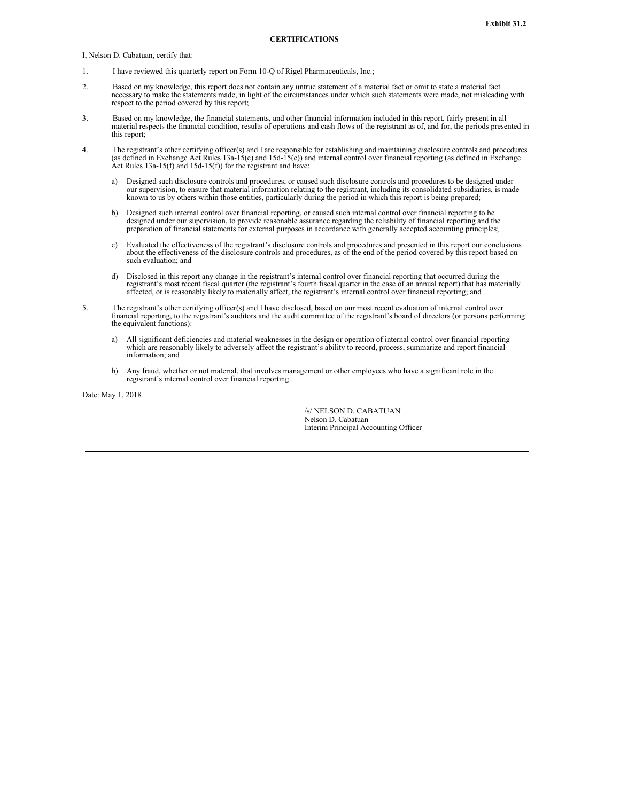# **CERTIFICATIONS**

I, Nelson D. Cabatuan, certify that:

- 1. I have reviewed this quarterly report on Form 10-Q of Rigel Pharmaceuticals, Inc.;
- 2. Based on my knowledge, this report does not contain any untrue statement of a material fact or omit to state a material fact necessary to make the statements made, in light of the circumstances under which such statements were made, not misleading with respect to the period covered by this report;
- 3. Based on my knowledge, the financial statements, and other financial information included in this report, fairly present in all material respects the financial condition, results of operations and cash flows of the regi this report;
- 4. The registrant's other certifying officer(s) and I are responsible for establishing and maintaining disclosure controls and procedures (as defined in Exchange Act Rules 13a-15(e) and 15d-15(e)) and internal control over financial reporting (as defined in Exchange Act Rules 13a-15(f) and 15d-15(f)) for the registrant and have:
	- a) Designed such disclosure controls and procedures, or caused such disclosure controls and procedures to be designed under our supervision, to ensure that material information relating to the registrant, including its consolidated subsidiaries, is made known to us by others within those entities, particularly during the period in which this report is being prepared;
	- b) Designed such internal control over financial reporting, or caused such internal control over financial reporting to be designed under our supervision, to provide reasonable assurance regarding the reliability of financial reporting and the preparation of financial statements for external purposes in accordance with generally accepted accounting principles;
	- c) Evaluated the effectiveness of the registrant's disclosure controls and procedures and presented in this report our conclusions about the effectiveness of the disclosure controls and procedures, as of the end of the period covered by this report based on such evaluation; and
	- d) Disclosed in this report any change in the registrant's internal control over financial reporting that occurred during the registrant's most recent fiscal quarter (the registrant's fourth fiscal quarter in the case of an annual report) that has materially affected, or is reasonably likely to materially affect, the registrant's internal control
- 5. The registrant's other certifying officer(s) and I have disclosed, based on our most recent evaluation of internal control over financial reporting, to the registrant's auditors and the audit committee of the registrant's board of directors (or persons performing the equivalent functions):
	- a) All significant deficiencies and material weaknesses in the design or operation of internal control over financial reporting which are reasonably likely to adversely affect the registrant's ability to record, process, summarize and report financial information; and
	- b) Any fraud, whether or not material, that involves management or other employees who have a significant role in the registrant's internal control over financial reporting.

Date: May 1, 2018

/s/ NELSON D. CABATUAN Nelson D. Cabatuan Interim Principal Accounting Officer